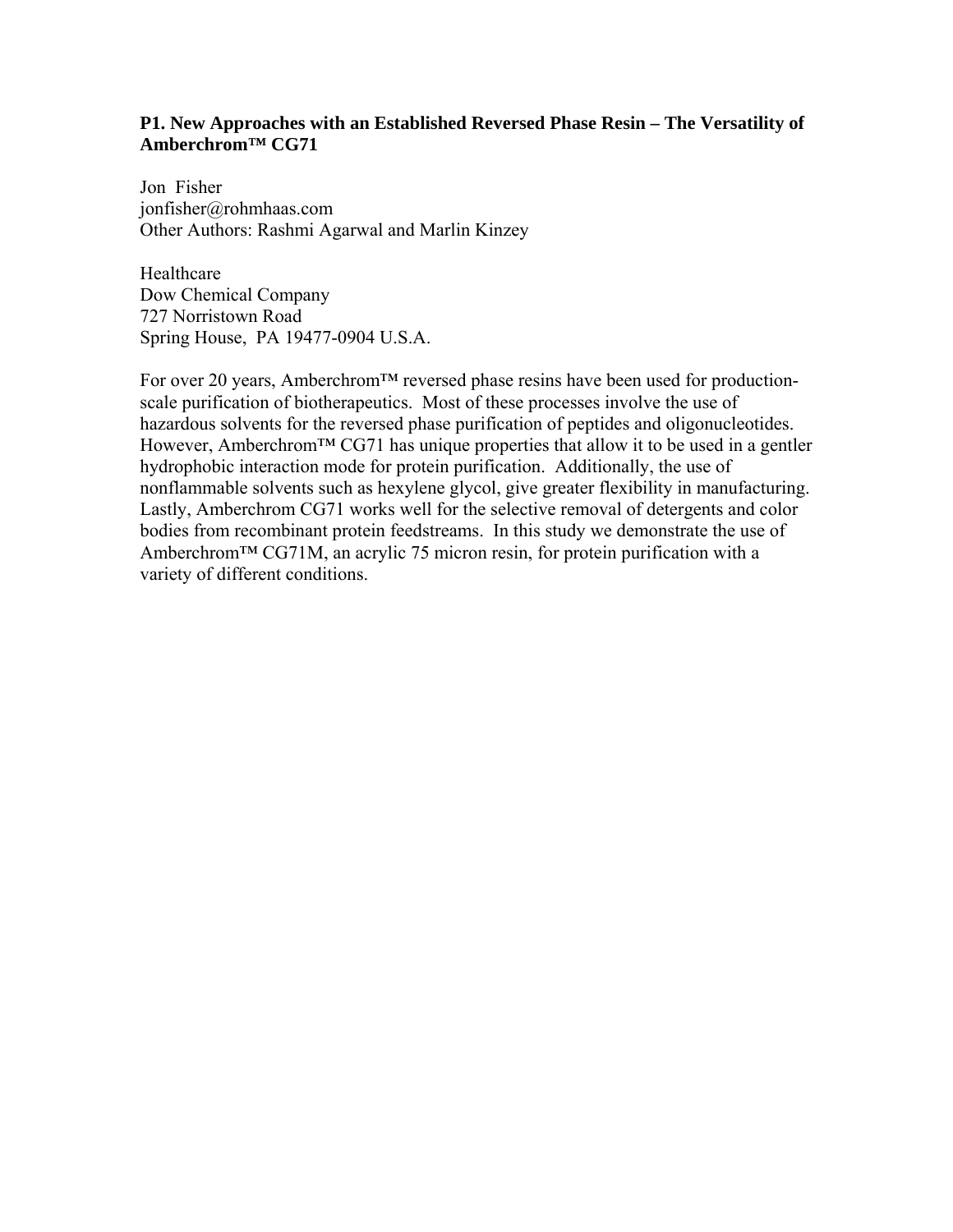# **P1. New Approaches with an Established Reversed Phase Resin – The Versatility of Amberchrom™ CG71**

Jon Fisher jonfisher@rohmhaas.com Other Authors: Rashmi Agarwal and Marlin Kinzey

Healthcare Dow Chemical Company 727 Norristown Road Spring House, PA 19477-0904 U.S.A.

For over 20 years, Amberchrom™ reversed phase resins have been used for productionscale purification of biotherapeutics. Most of these processes involve the use of hazardous solvents for the reversed phase purification of peptides and oligonucleotides. However, Amberchrom<sup>TM</sup> CG71 has unique properties that allow it to be used in a gentler hydrophobic interaction mode for protein purification. Additionally, the use of nonflammable solvents such as hexylene glycol, give greater flexibility in manufacturing. Lastly, Amberchrom CG71 works well for the selective removal of detergents and color bodies from recombinant protein feedstreams. In this study we demonstrate the use of Amberchrom™ CG71M, an acrylic 75 micron resin, for protein purification with a variety of different conditions.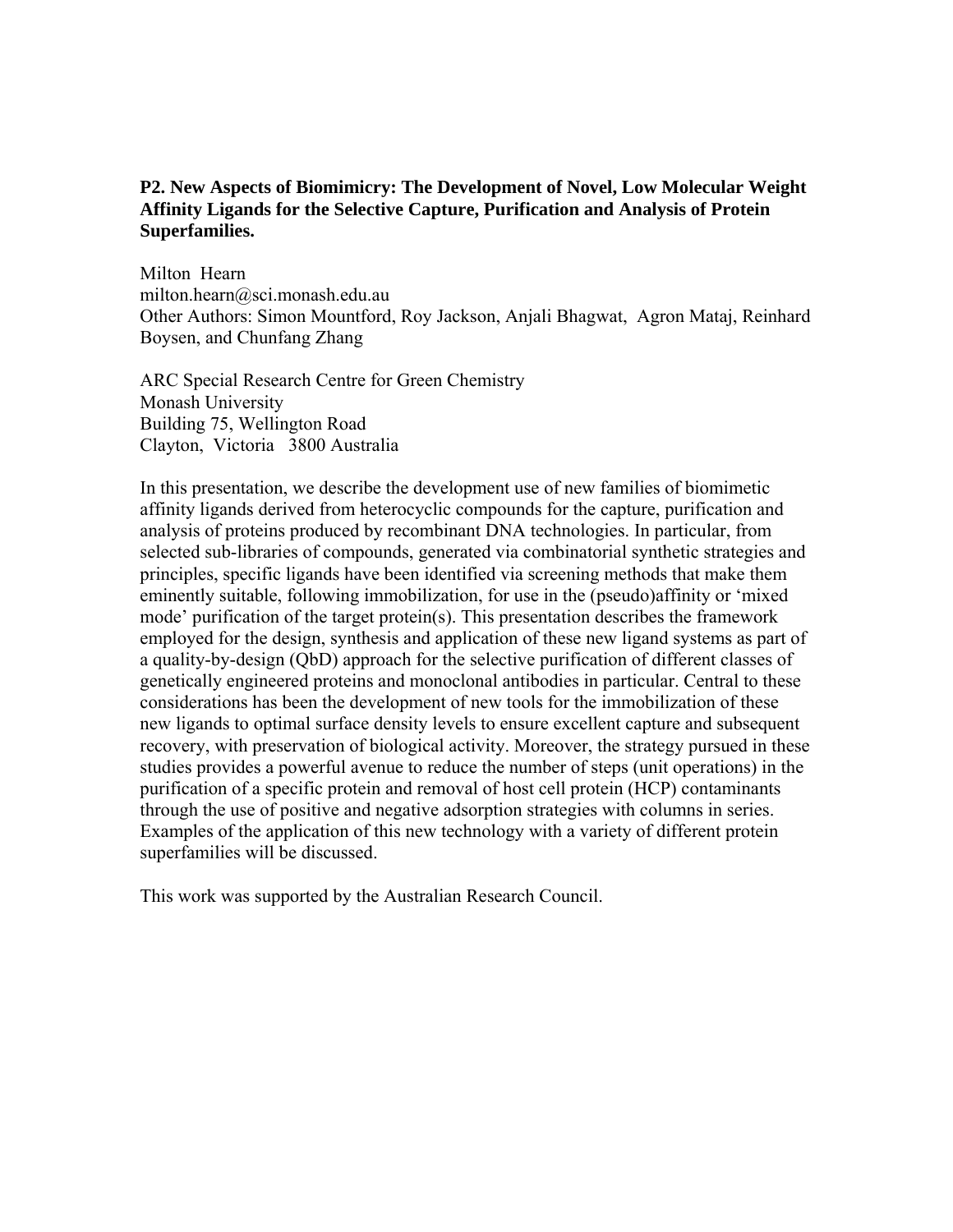# **P2. New Aspects of Biomimicry: The Development of Novel, Low Molecular Weight Affinity Ligands for the Selective Capture, Purification and Analysis of Protein Superfamilies.**

Milton Hearn milton.hearn@sci.monash.edu.au Other Authors: Simon Mountford, Roy Jackson, Anjali Bhagwat, Agron Mataj, Reinhard Boysen, and Chunfang Zhang

ARC Special Research Centre for Green Chemistry Monash University Building 75, Wellington Road Clayton, Victoria 3800 Australia

In this presentation, we describe the development use of new families of biomimetic affinity ligands derived from heterocyclic compounds for the capture, purification and analysis of proteins produced by recombinant DNA technologies. In particular, from selected sub-libraries of compounds, generated via combinatorial synthetic strategies and principles, specific ligands have been identified via screening methods that make them eminently suitable, following immobilization, for use in the (pseudo)affinity or 'mixed mode' purification of the target protein(s). This presentation describes the framework employed for the design, synthesis and application of these new ligand systems as part of a quality-by-design (QbD) approach for the selective purification of different classes of genetically engineered proteins and monoclonal antibodies in particular. Central to these considerations has been the development of new tools for the immobilization of these new ligands to optimal surface density levels to ensure excellent capture and subsequent recovery, with preservation of biological activity. Moreover, the strategy pursued in these studies provides a powerful avenue to reduce the number of steps (unit operations) in the purification of a specific protein and removal of host cell protein (HCP) contaminants through the use of positive and negative adsorption strategies with columns in series. Examples of the application of this new technology with a variety of different protein superfamilies will be discussed.

This work was supported by the Australian Research Council.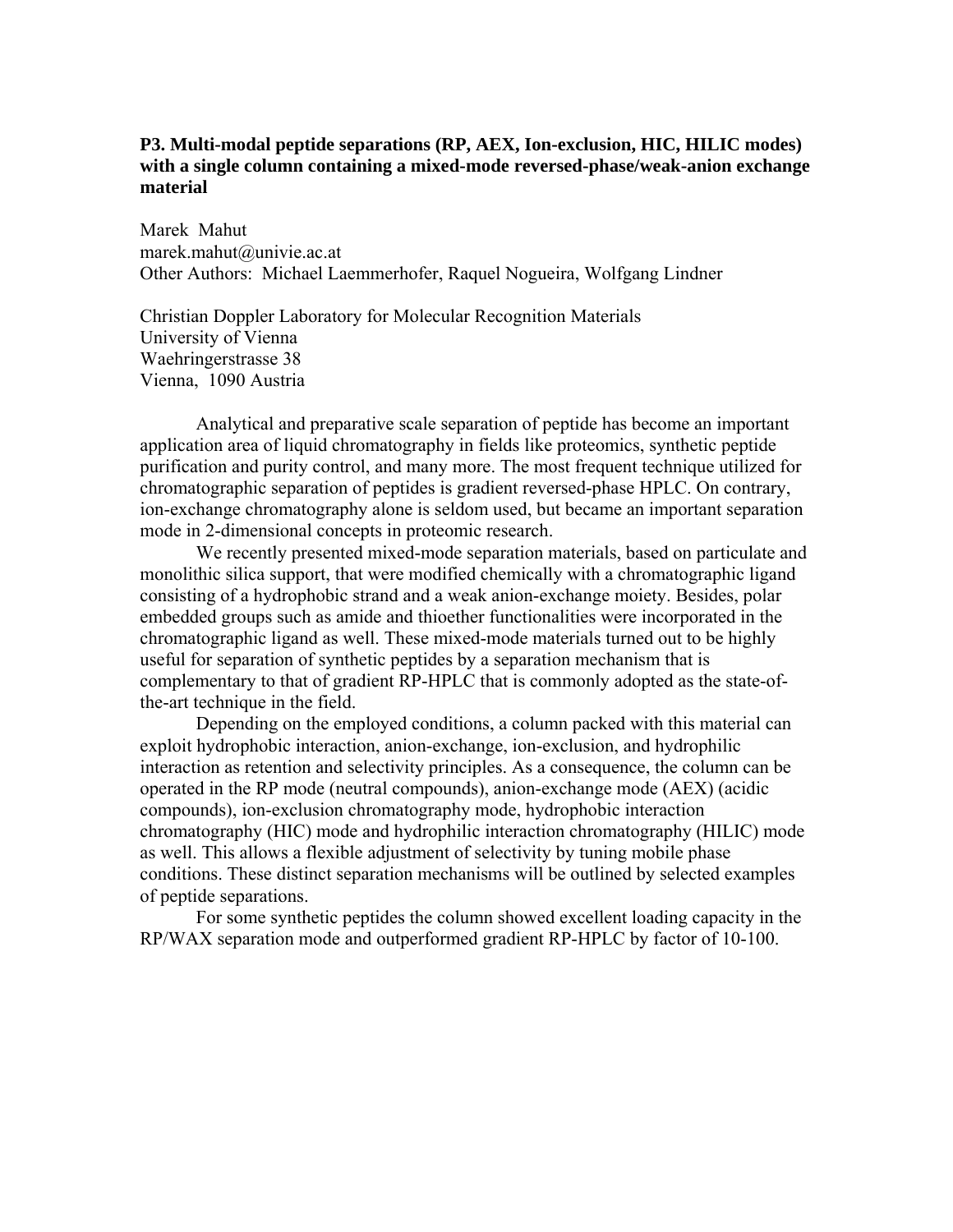# **P3. Multi-modal peptide separations (RP, AEX, Ion-exclusion, HIC, HILIC modes) with a single column containing a mixed-mode reversed-phase/weak-anion exchange material**

Marek Mahut marek.mahut@univie.ac.at Other Authors: Michael Laemmerhofer, Raquel Nogueira, Wolfgang Lindner

Christian Doppler Laboratory for Molecular Recognition Materials University of Vienna Waehringerstrasse 38 Vienna, 1090 Austria

Analytical and preparative scale separation of peptide has become an important application area of liquid chromatography in fields like proteomics, synthetic peptide purification and purity control, and many more. The most frequent technique utilized for chromatographic separation of peptides is gradient reversed-phase HPLC. On contrary, ion-exchange chromatography alone is seldom used, but became an important separation mode in 2-dimensional concepts in proteomic research.

We recently presented mixed-mode separation materials, based on particulate and monolithic silica support, that were modified chemically with a chromatographic ligand consisting of a hydrophobic strand and a weak anion-exchange moiety. Besides, polar embedded groups such as amide and thioether functionalities were incorporated in the chromatographic ligand as well. These mixed-mode materials turned out to be highly useful for separation of synthetic peptides by a separation mechanism that is complementary to that of gradient RP-HPLC that is commonly adopted as the state-ofthe-art technique in the field.

Depending on the employed conditions, a column packed with this material can exploit hydrophobic interaction, anion-exchange, ion-exclusion, and hydrophilic interaction as retention and selectivity principles. As a consequence, the column can be operated in the RP mode (neutral compounds), anion-exchange mode (AEX) (acidic compounds), ion-exclusion chromatography mode, hydrophobic interaction chromatography (HIC) mode and hydrophilic interaction chromatography (HILIC) mode as well. This allows a flexible adjustment of selectivity by tuning mobile phase conditions. These distinct separation mechanisms will be outlined by selected examples of peptide separations.

For some synthetic peptides the column showed excellent loading capacity in the RP/WAX separation mode and outperformed gradient RP-HPLC by factor of 10-100.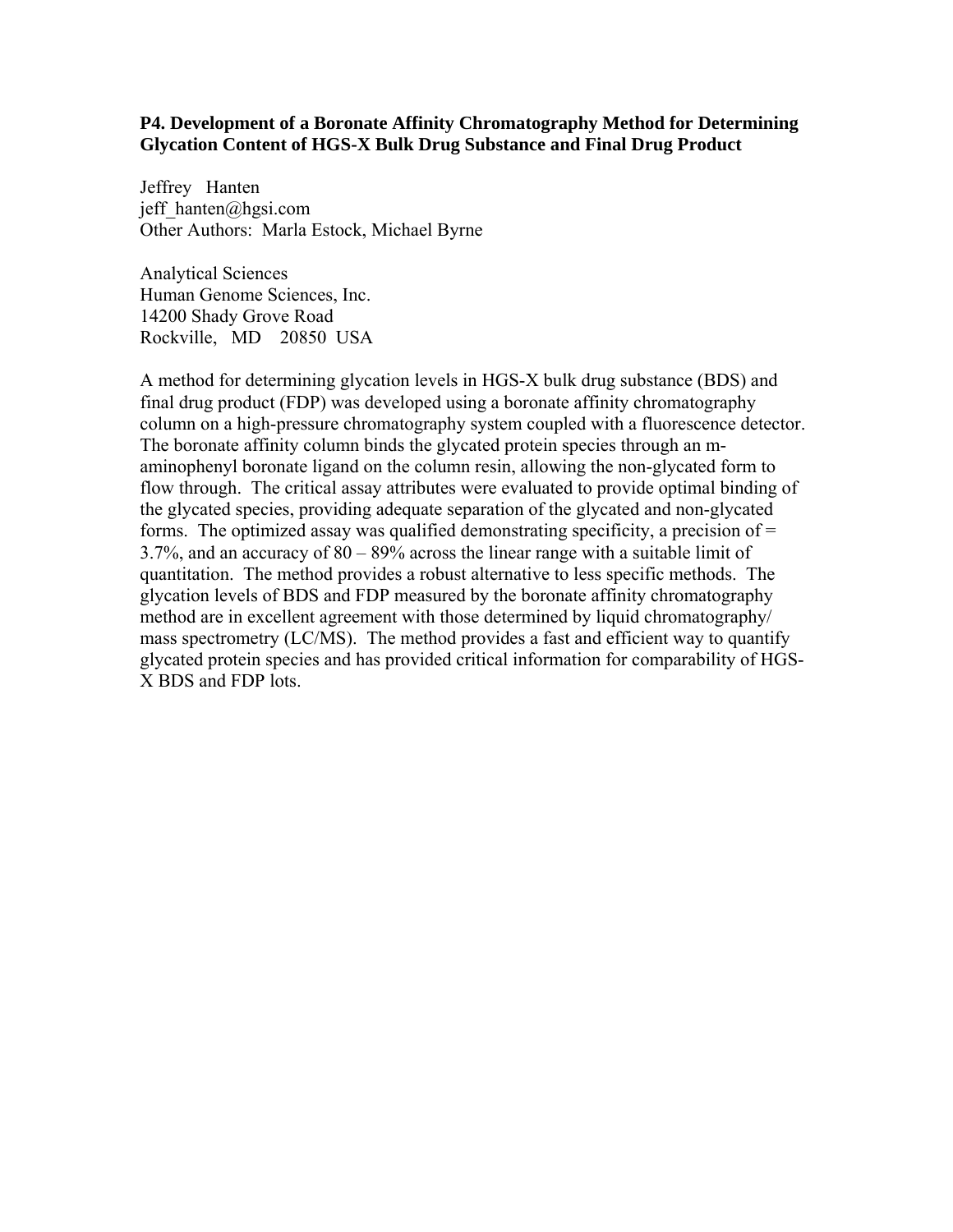### **P4. Development of a Boronate Affinity Chromatography Method for Determining Glycation Content of HGS-X Bulk Drug Substance and Final Drug Product**

Jeffrey Hanten jeff  $h$ anten@hgsi.com Other Authors: Marla Estock, Michael Byrne

Analytical Sciences Human Genome Sciences, Inc. 14200 Shady Grove Road Rockville, MD 20850 USA

A method for determining glycation levels in HGS-X bulk drug substance (BDS) and final drug product (FDP) was developed using a boronate affinity chromatography column on a high-pressure chromatography system coupled with a fluorescence detector. The boronate affinity column binds the glycated protein species through an maminophenyl boronate ligand on the column resin, allowing the non-glycated form to flow through. The critical assay attributes were evaluated to provide optimal binding of the glycated species, providing adequate separation of the glycated and non-glycated forms. The optimized assay was qualified demonstrating specificity, a precision of  $=$ 3.7%, and an accuracy of 80 – 89% across the linear range with a suitable limit of quantitation. The method provides a robust alternative to less specific methods. The glycation levels of BDS and FDP measured by the boronate affinity chromatography method are in excellent agreement with those determined by liquid chromatography/ mass spectrometry (LC/MS). The method provides a fast and efficient way to quantify glycated protein species and has provided critical information for comparability of HGS-X BDS and FDP lots.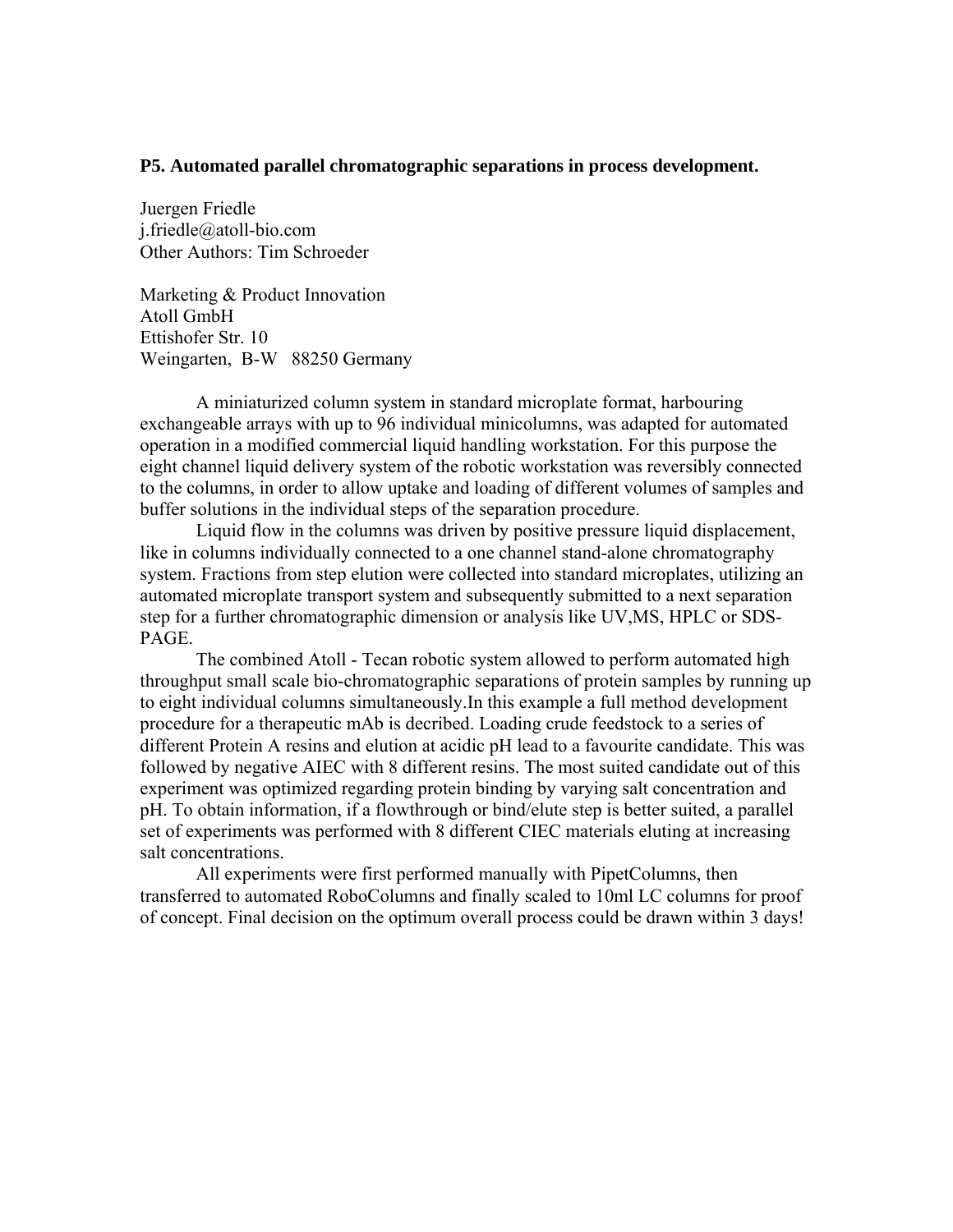#### **P5. Automated parallel chromatographic separations in process development.**

Juergen Friedle j.friedle@atoll-bio.com Other Authors: Tim Schroeder

Marketing & Product Innovation Atoll GmbH Ettishofer Str. 10 Weingarten, B-W 88250 Germany

A miniaturized column system in standard microplate format, harbouring exchangeable arrays with up to 96 individual minicolumns, was adapted for automated operation in a modified commercial liquid handling workstation. For this purpose the eight channel liquid delivery system of the robotic workstation was reversibly connected to the columns, in order to allow uptake and loading of different volumes of samples and buffer solutions in the individual steps of the separation procedure.

 Liquid flow in the columns was driven by positive pressure liquid displacement, like in columns individually connected to a one channel stand-alone chromatography system. Fractions from step elution were collected into standard microplates, utilizing an automated microplate transport system and subsequently submitted to a next separation step for a further chromatographic dimension or analysis like UV,MS, HPLC or SDS-PAGE.

 The combined Atoll - Tecan robotic system allowed to perform automated high throughput small scale bio-chromatographic separations of protein samples by running up to eight individual columns simultaneously.In this example a full method development procedure for a therapeutic mAb is decribed. Loading crude feedstock to a series of different Protein A resins and elution at acidic pH lead to a favourite candidate. This was followed by negative AIEC with 8 different resins. The most suited candidate out of this experiment was optimized regarding protein binding by varying salt concentration and pH. To obtain information, if a flowthrough or bind/elute step is better suited, a parallel set of experiments was performed with 8 different CIEC materials eluting at increasing salt concentrations.

 All experiments were first performed manually with PipetColumns, then transferred to automated RoboColumns and finally scaled to 10ml LC columns for proof of concept. Final decision on the optimum overall process could be drawn within 3 days!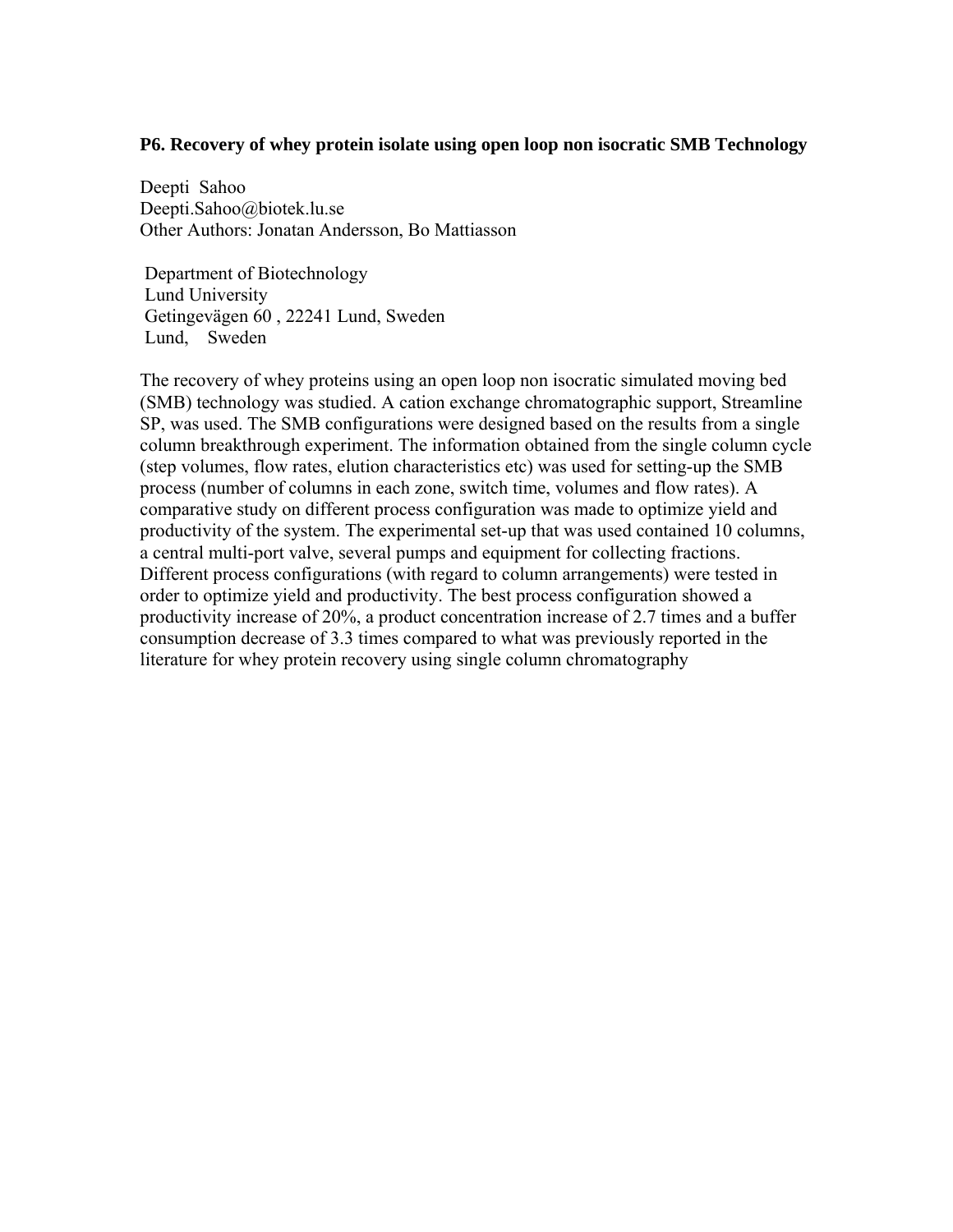## **P6. Recovery of whey protein isolate using open loop non isocratic SMB Technology**

Deepti Sahoo Deepti.Sahoo@biotek.lu.se Other Authors: Jonatan Andersson, Bo Mattiasson

 Department of Biotechnology Lund University Getingevägen 60 , 22241 Lund, Sweden Lund, Sweden

The recovery of whey proteins using an open loop non isocratic simulated moving bed (SMB) technology was studied. A cation exchange chromatographic support, Streamline SP, was used. The SMB configurations were designed based on the results from a single column breakthrough experiment. The information obtained from the single column cycle (step volumes, flow rates, elution characteristics etc) was used for setting-up the SMB process (number of columns in each zone, switch time, volumes and flow rates). A comparative study on different process configuration was made to optimize yield and productivity of the system. The experimental set-up that was used contained 10 columns, a central multi-port valve, several pumps and equipment for collecting fractions. Different process configurations (with regard to column arrangements) were tested in order to optimize yield and productivity. The best process configuration showed a productivity increase of 20%, a product concentration increase of 2.7 times and a buffer consumption decrease of 3.3 times compared to what was previously reported in the literature for whey protein recovery using single column chromatography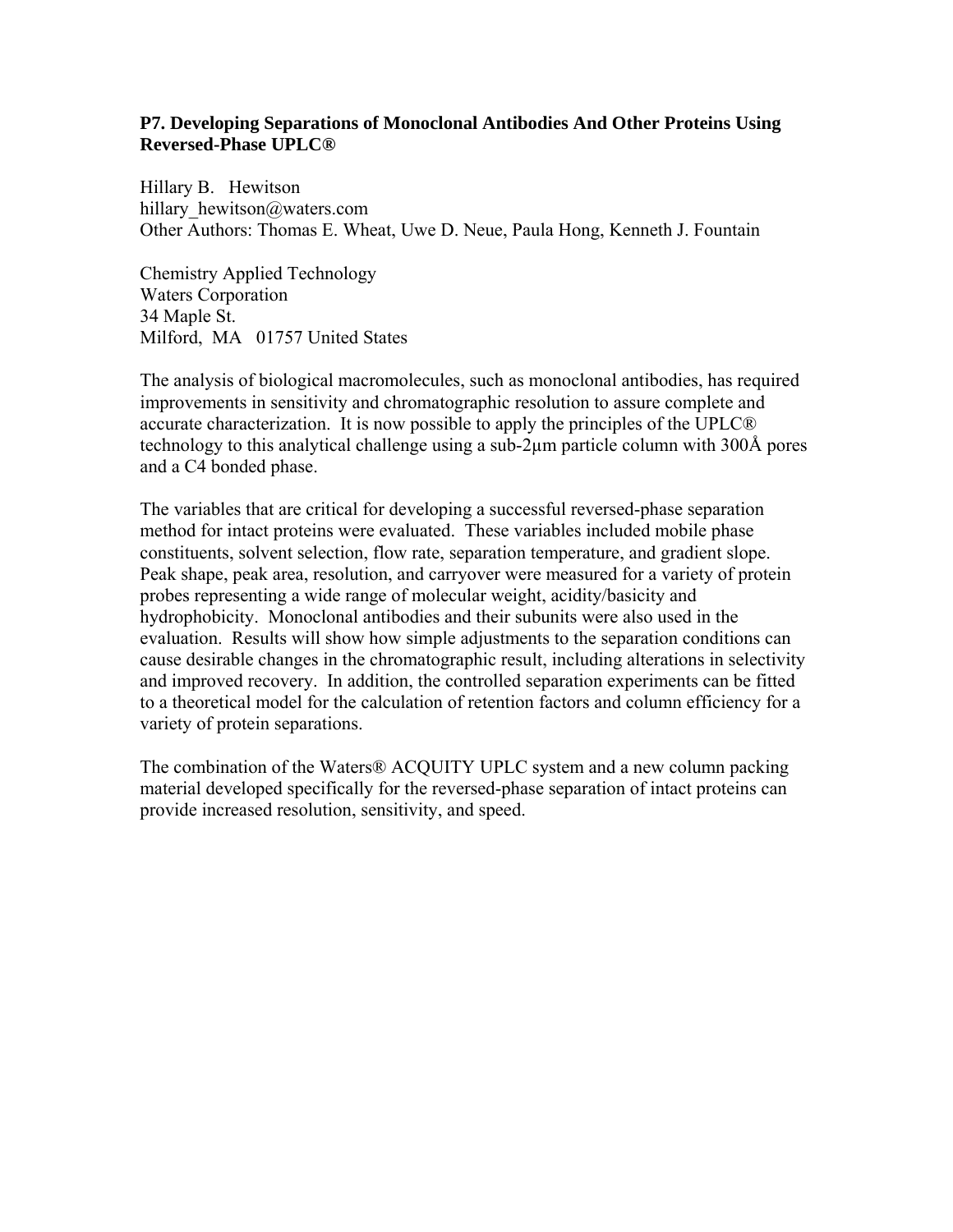# **P7. Developing Separations of Monoclonal Antibodies And Other Proteins Using Reversed-Phase UPLC®**

Hillary B. Hewitson hillary\_hewitson@waters.com Other Authors: Thomas E. Wheat, Uwe D. Neue, Paula Hong, Kenneth J. Fountain

Chemistry Applied Technology Waters Corporation 34 Maple St. Milford, MA 01757 United States

The analysis of biological macromolecules, such as monoclonal antibodies, has required improvements in sensitivity and chromatographic resolution to assure complete and accurate characterization. It is now possible to apply the principles of the UPLC® technology to this analytical challenge using a sub-2µm particle column with 300Å pores and a C4 bonded phase.

The variables that are critical for developing a successful reversed-phase separation method for intact proteins were evaluated. These variables included mobile phase constituents, solvent selection, flow rate, separation temperature, and gradient slope. Peak shape, peak area, resolution, and carryover were measured for a variety of protein probes representing a wide range of molecular weight, acidity/basicity and hydrophobicity. Monoclonal antibodies and their subunits were also used in the evaluation. Results will show how simple adjustments to the separation conditions can cause desirable changes in the chromatographic result, including alterations in selectivity and improved recovery. In addition, the controlled separation experiments can be fitted to a theoretical model for the calculation of retention factors and column efficiency for a variety of protein separations.

The combination of the Waters® ACQUITY UPLC system and a new column packing material developed specifically for the reversed-phase separation of intact proteins can provide increased resolution, sensitivity, and speed.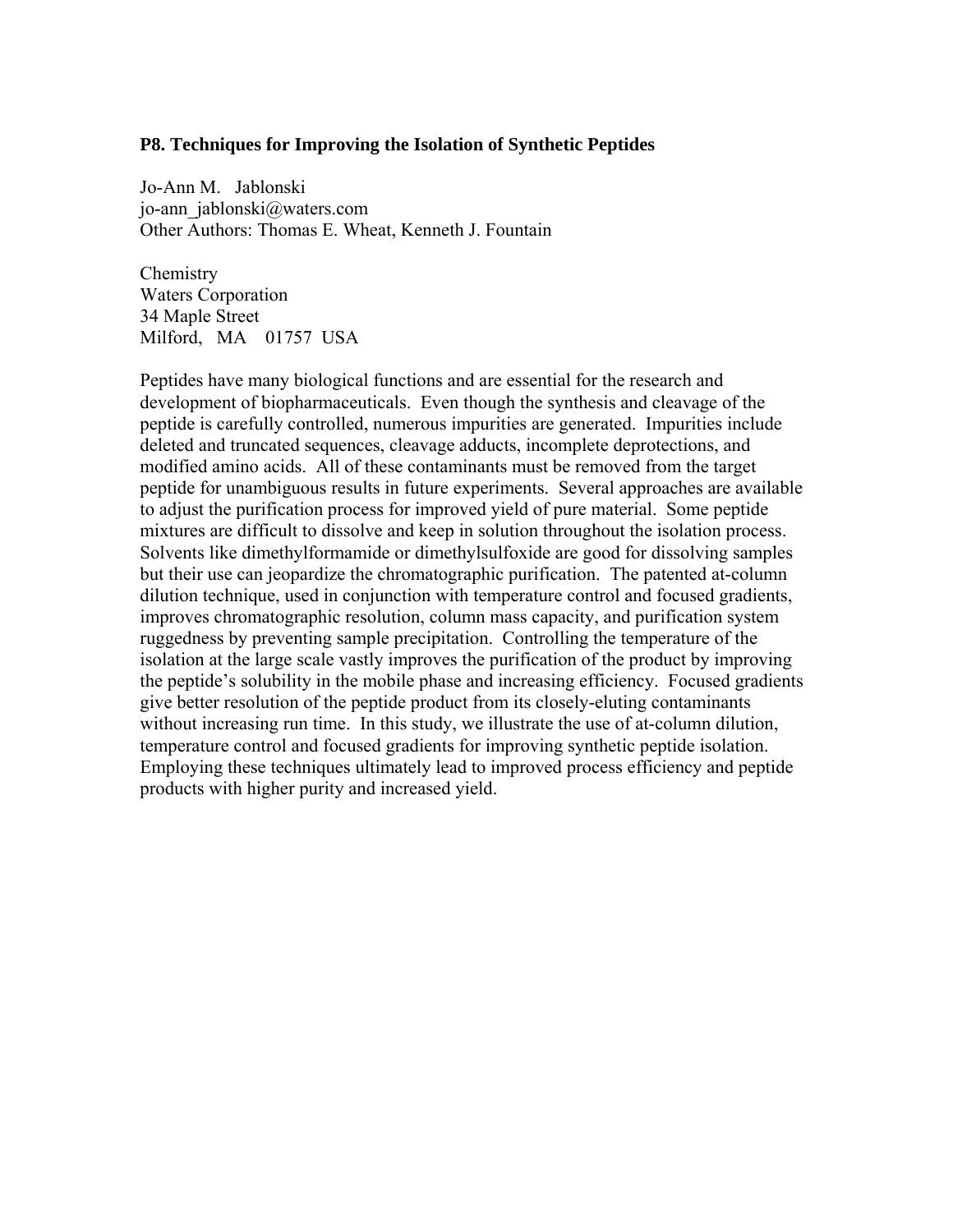### **P8. Techniques for Improving the Isolation of Synthetic Peptides**

Jo-Ann M. Jablonski jo-ann\_jablonski@waters.com Other Authors: Thomas E. Wheat, Kenneth J. Fountain

Chemistry Waters Corporation 34 Maple Street Milford, MA 01757 USA

Peptides have many biological functions and are essential for the research and development of biopharmaceuticals. Even though the synthesis and cleavage of the peptide is carefully controlled, numerous impurities are generated. Impurities include deleted and truncated sequences, cleavage adducts, incomplete deprotections, and modified amino acids. All of these contaminants must be removed from the target peptide for unambiguous results in future experiments. Several approaches are available to adjust the purification process for improved yield of pure material. Some peptide mixtures are difficult to dissolve and keep in solution throughout the isolation process. Solvents like dimethylformamide or dimethylsulfoxide are good for dissolving samples but their use can jeopardize the chromatographic purification. The patented at-column dilution technique, used in conjunction with temperature control and focused gradients, improves chromatographic resolution, column mass capacity, and purification system ruggedness by preventing sample precipitation. Controlling the temperature of the isolation at the large scale vastly improves the purification of the product by improving the peptide's solubility in the mobile phase and increasing efficiency. Focused gradients give better resolution of the peptide product from its closely-eluting contaminants without increasing run time. In this study, we illustrate the use of at-column dilution, temperature control and focused gradients for improving synthetic peptide isolation. Employing these techniques ultimately lead to improved process efficiency and peptide products with higher purity and increased yield.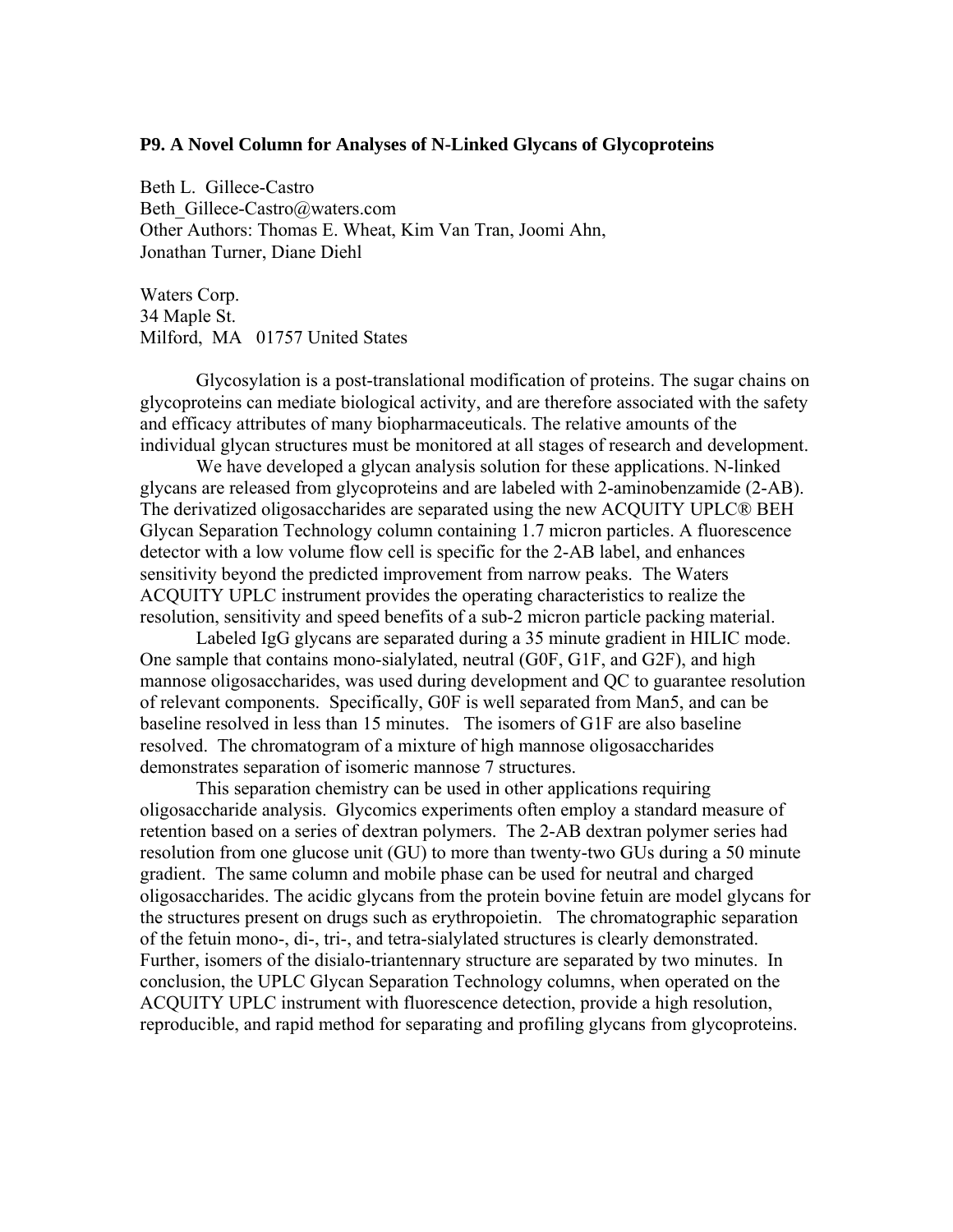## **P9. A Novel Column for Analyses of N-Linked Glycans of Glycoproteins**

Beth L. Gillece-Castro Beth\_Gillece-Castro@waters.com Other Authors: Thomas E. Wheat, Kim Van Tran, Joomi Ahn, Jonathan Turner, Diane Diehl

Waters Corp. 34 Maple St. Milford, MA 01757 United States

Glycosylation is a post-translational modification of proteins. The sugar chains on glycoproteins can mediate biological activity, and are therefore associated with the safety and efficacy attributes of many biopharmaceuticals. The relative amounts of the individual glycan structures must be monitored at all stages of research and development.

We have developed a glycan analysis solution for these applications. N-linked glycans are released from glycoproteins and are labeled with 2-aminobenzamide (2-AB). The derivatized oligosaccharides are separated using the new ACQUITY UPLC® BEH Glycan Separation Technology column containing 1.7 micron particles. A fluorescence detector with a low volume flow cell is specific for the 2-AB label, and enhances sensitivity beyond the predicted improvement from narrow peaks. The Waters ACQUITY UPLC instrument provides the operating characteristics to realize the resolution, sensitivity and speed benefits of a sub-2 micron particle packing material.

Labeled IgG glycans are separated during a 35 minute gradient in HILIC mode. One sample that contains mono-sialylated, neutral (G0F, G1F, and G2F), and high mannose oligosaccharides, was used during development and QC to guarantee resolution of relevant components. Specifically, G0F is well separated from Man5, and can be baseline resolved in less than 15 minutes. The isomers of G1F are also baseline resolved. The chromatogram of a mixture of high mannose oligosaccharides demonstrates separation of isomeric mannose 7 structures.

This separation chemistry can be used in other applications requiring oligosaccharide analysis. Glycomics experiments often employ a standard measure of retention based on a series of dextran polymers. The 2-AB dextran polymer series had resolution from one glucose unit (GU) to more than twenty-two GUs during a 50 minute gradient. The same column and mobile phase can be used for neutral and charged oligosaccharides. The acidic glycans from the protein bovine fetuin are model glycans for the structures present on drugs such as erythropoietin. The chromatographic separation of the fetuin mono-, di-, tri-, and tetra-sialylated structures is clearly demonstrated. Further, isomers of the disialo-triantennary structure are separated by two minutes. In conclusion, the UPLC Glycan Separation Technology columns, when operated on the ACQUITY UPLC instrument with fluorescence detection, provide a high resolution, reproducible, and rapid method for separating and profiling glycans from glycoproteins.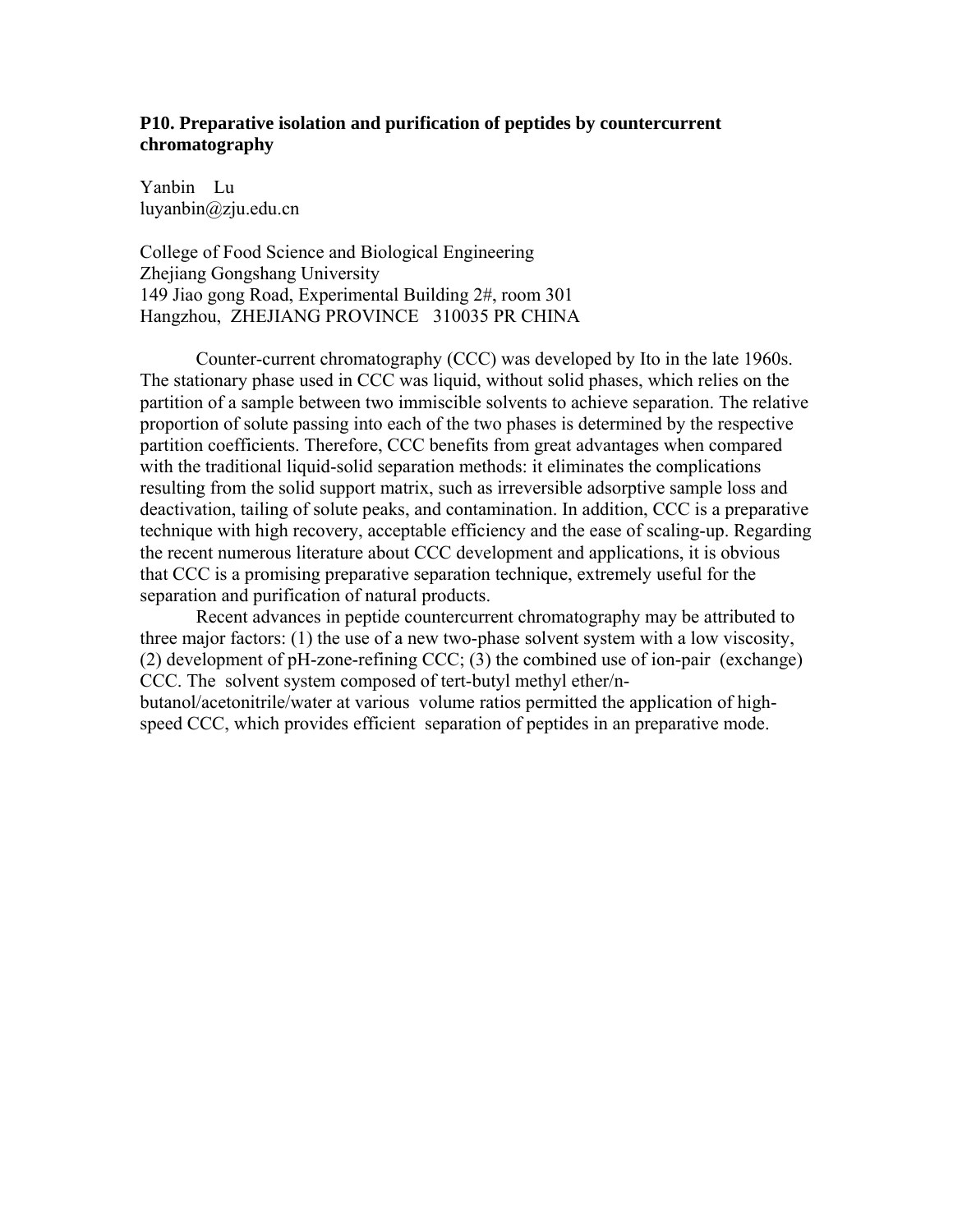# **P10. Preparative isolation and purification of peptides by countercurrent chromatography**

Yanbin Lu luyanbin@zju.edu.cn

College of Food Science and Biological Engineering Zhejiang Gongshang University 149 Jiao gong Road, Experimental Building 2#, room 301 Hangzhou, ZHEJIANG PROVINCE 310035 PR CHINA

Counter-current chromatography (CCC) was developed by Ito in the late 1960s. The stationary phase used in CCC was liquid, without solid phases, which relies on the partition of a sample between two immiscible solvents to achieve separation. The relative proportion of solute passing into each of the two phases is determined by the respective partition coefficients. Therefore, CCC benefits from great advantages when compared with the traditional liquid-solid separation methods: it eliminates the complications resulting from the solid support matrix, such as irreversible adsorptive sample loss and deactivation, tailing of solute peaks, and contamination. In addition, CCC is a preparative technique with high recovery, acceptable efficiency and the ease of scaling-up. Regarding the recent numerous literature about CCC development and applications, it is obvious that CCC is a promising preparative separation technique, extremely useful for the separation and purification of natural products.

Recent advances in peptide countercurrent chromatography may be attributed to three major factors: (1) the use of a new two-phase solvent system with a low viscosity, (2) development of pH-zone-refining CCC; (3) the combined use of ion-pair (exchange) CCC. The solvent system composed of tert-butyl methyl ether/n-

butanol/acetonitrile/water at various volume ratios permitted the application of highspeed CCC, which provides efficient separation of peptides in an preparative mode.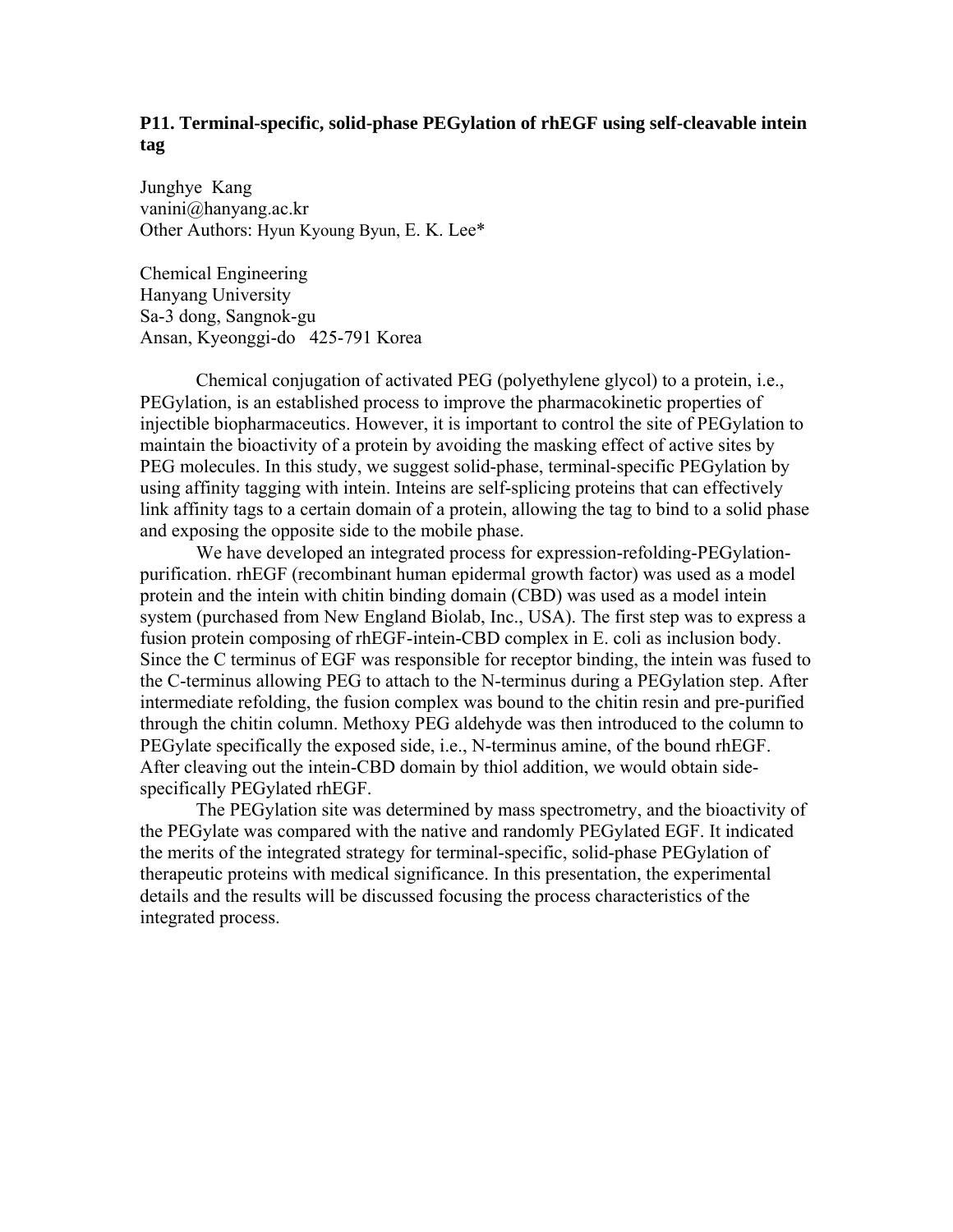# **P11. Terminal-specific, solid-phase PEGylation of rhEGF using self-cleavable intein tag**

Junghye Kang vanini@hanyang.ac.kr Other Authors: Hyun Kyoung Byun, E. K. Lee\*

Chemical Engineering Hanyang University Sa-3 dong, Sangnok-gu Ansan, Kyeonggi-do 425-791 Korea

 Chemical conjugation of activated PEG (polyethylene glycol) to a protein, i.e., PEGylation, is an established process to improve the pharmacokinetic properties of injectible biopharmaceutics. However, it is important to control the site of PEGylation to maintain the bioactivity of a protein by avoiding the masking effect of active sites by PEG molecules. In this study, we suggest solid-phase, terminal-specific PEGylation by using affinity tagging with intein. Inteins are self-splicing proteins that can effectively link affinity tags to a certain domain of a protein, allowing the tag to bind to a solid phase and exposing the opposite side to the mobile phase.

 We have developed an integrated process for expression-refolding-PEGylationpurification. rhEGF (recombinant human epidermal growth factor) was used as a model protein and the intein with chitin binding domain (CBD) was used as a model intein system (purchased from New England Biolab, Inc., USA). The first step was to express a fusion protein composing of rhEGF-intein-CBD complex in E. coli as inclusion body. Since the C terminus of EGF was responsible for receptor binding, the intein was fused to the C-terminus allowing PEG to attach to the N-terminus during a PEGylation step. After intermediate refolding, the fusion complex was bound to the chitin resin and pre-purified through the chitin column. Methoxy PEG aldehyde was then introduced to the column to PEGylate specifically the exposed side, i.e., N-terminus amine, of the bound rhEGF. After cleaving out the intein-CBD domain by thiol addition, we would obtain sidespecifically PEGylated rhEGF.

 The PEGylation site was determined by mass spectrometry, and the bioactivity of the PEGylate was compared with the native and randomly PEGylated EGF. It indicated the merits of the integrated strategy for terminal-specific, solid-phase PEGylation of therapeutic proteins with medical significance. In this presentation, the experimental details and the results will be discussed focusing the process characteristics of the integrated process.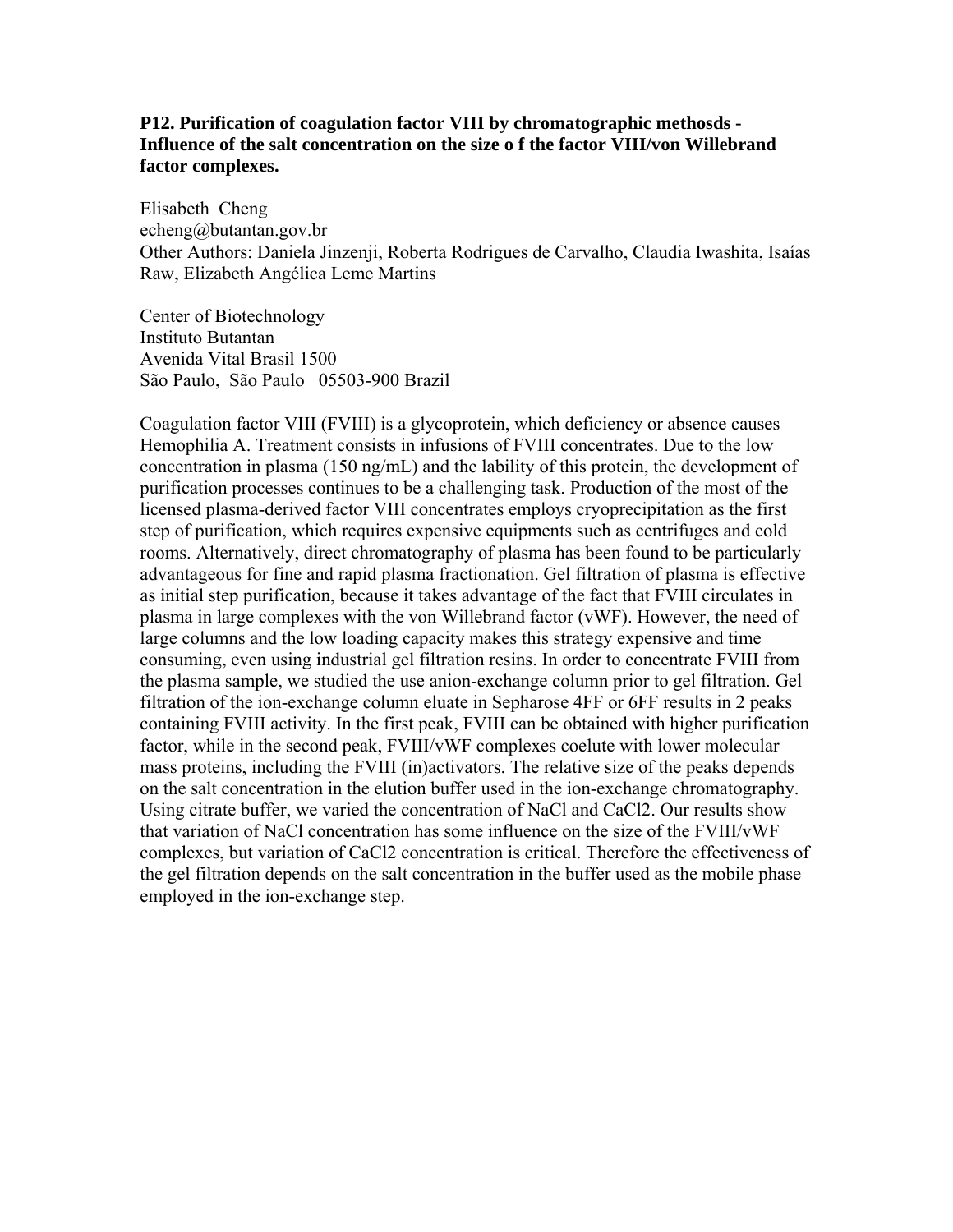# **P12. Purification of coagulation factor VIII by chromatographic methosds - Influence of the salt concentration on the size o f the factor VIII/von Willebrand factor complexes.**

Elisabeth Cheng echeng@butantan.gov.br Other Authors: Daniela Jinzenji, Roberta Rodrigues de Carvalho, Claudia Iwashita, Isaías Raw, Elizabeth Angélica Leme Martins

Center of Biotechnology Instituto Butantan Avenida Vital Brasil 1500 São Paulo, São Paulo 05503-900 Brazil

Coagulation factor VIII (FVIII) is a glycoprotein, which deficiency or absence causes Hemophilia A. Treatment consists in infusions of FVIII concentrates. Due to the low concentration in plasma (150 ng/mL) and the lability of this protein, the development of purification processes continues to be a challenging task. Production of the most of the licensed plasma-derived factor VIII concentrates employs cryoprecipitation as the first step of purification, which requires expensive equipments such as centrifuges and cold rooms. Alternatively, direct chromatography of plasma has been found to be particularly advantageous for fine and rapid plasma fractionation. Gel filtration of plasma is effective as initial step purification, because it takes advantage of the fact that FVIII circulates in plasma in large complexes with the von Willebrand factor (vWF). However, the need of large columns and the low loading capacity makes this strategy expensive and time consuming, even using industrial gel filtration resins. In order to concentrate FVIII from the plasma sample, we studied the use anion-exchange column prior to gel filtration. Gel filtration of the ion-exchange column eluate in Sepharose 4FF or 6FF results in 2 peaks containing FVIII activity. In the first peak, FVIII can be obtained with higher purification factor, while in the second peak, FVIII/vWF complexes coelute with lower molecular mass proteins, including the FVIII (in)activators. The relative size of the peaks depends on the salt concentration in the elution buffer used in the ion-exchange chromatography. Using citrate buffer, we varied the concentration of NaCl and CaCl2. Our results show that variation of NaCl concentration has some influence on the size of the FVIII/vWF complexes, but variation of CaCl2 concentration is critical. Therefore the effectiveness of the gel filtration depends on the salt concentration in the buffer used as the mobile phase employed in the ion-exchange step.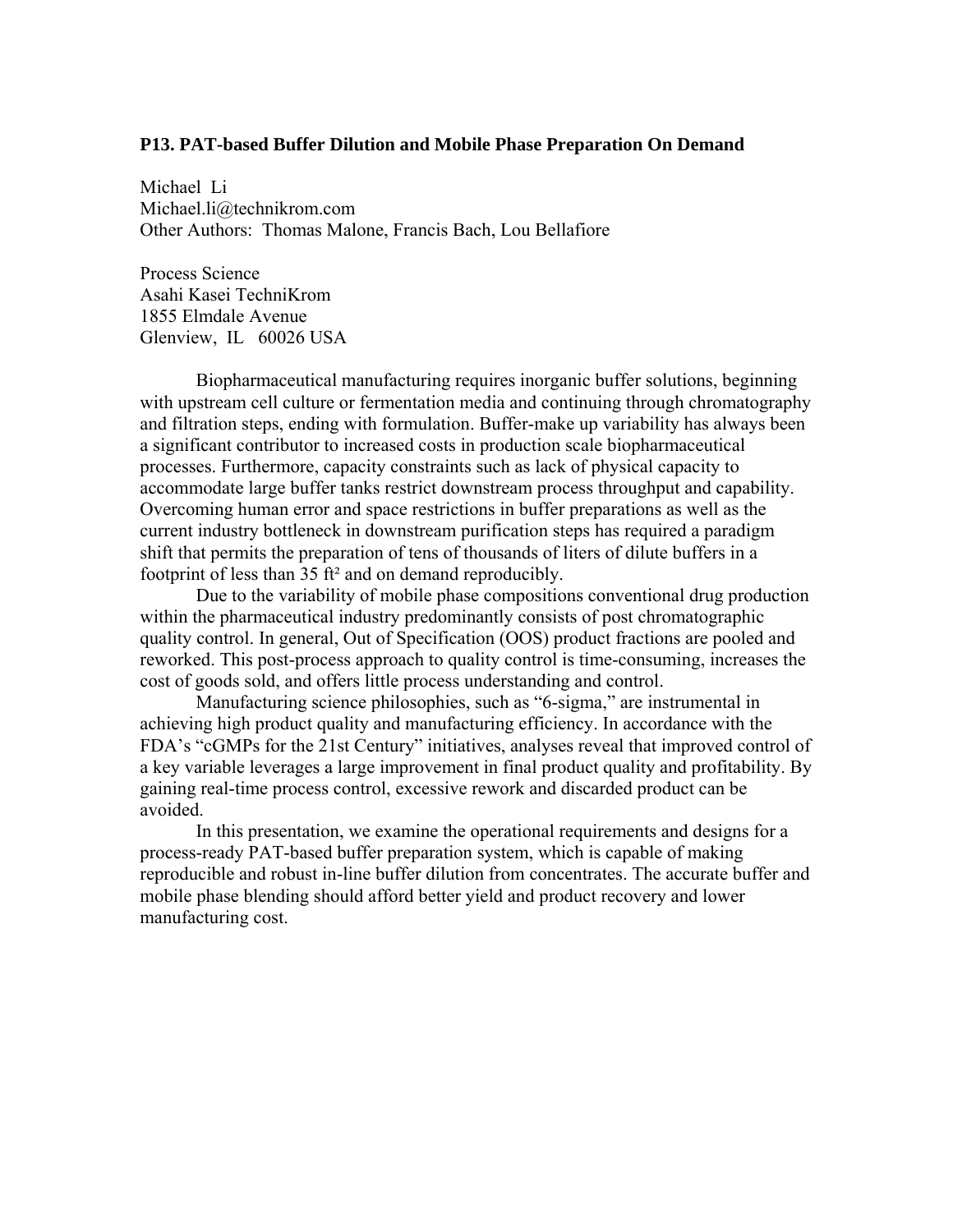#### **P13. PAT-based Buffer Dilution and Mobile Phase Preparation On Demand**

Michael Li Michael.li@technikrom.com Other Authors: Thomas Malone, Francis Bach, Lou Bellafiore

Process Science Asahi Kasei TechniKrom 1855 Elmdale Avenue Glenview, IL 60026 USA

Biopharmaceutical manufacturing requires inorganic buffer solutions, beginning with upstream cell culture or fermentation media and continuing through chromatography and filtration steps, ending with formulation. Buffer-make up variability has always been a significant contributor to increased costs in production scale biopharmaceutical processes. Furthermore, capacity constraints such as lack of physical capacity to accommodate large buffer tanks restrict downstream process throughput and capability. Overcoming human error and space restrictions in buffer preparations as well as the current industry bottleneck in downstream purification steps has required a paradigm shift that permits the preparation of tens of thousands of liters of dilute buffers in a footprint of less than 35 ft² and on demand reproducibly.

Due to the variability of mobile phase compositions conventional drug production within the pharmaceutical industry predominantly consists of post chromatographic quality control. In general, Out of Specification (OOS) product fractions are pooled and reworked. This post-process approach to quality control is time-consuming, increases the cost of goods sold, and offers little process understanding and control.

Manufacturing science philosophies, such as "6-sigma," are instrumental in achieving high product quality and manufacturing efficiency. In accordance with the FDA's "cGMPs for the 21st Century" initiatives, analyses reveal that improved control of a key variable leverages a large improvement in final product quality and profitability. By gaining real-time process control, excessive rework and discarded product can be avoided.

In this presentation, we examine the operational requirements and designs for a process-ready PAT-based buffer preparation system, which is capable of making reproducible and robust in-line buffer dilution from concentrates. The accurate buffer and mobile phase blending should afford better yield and product recovery and lower manufacturing cost.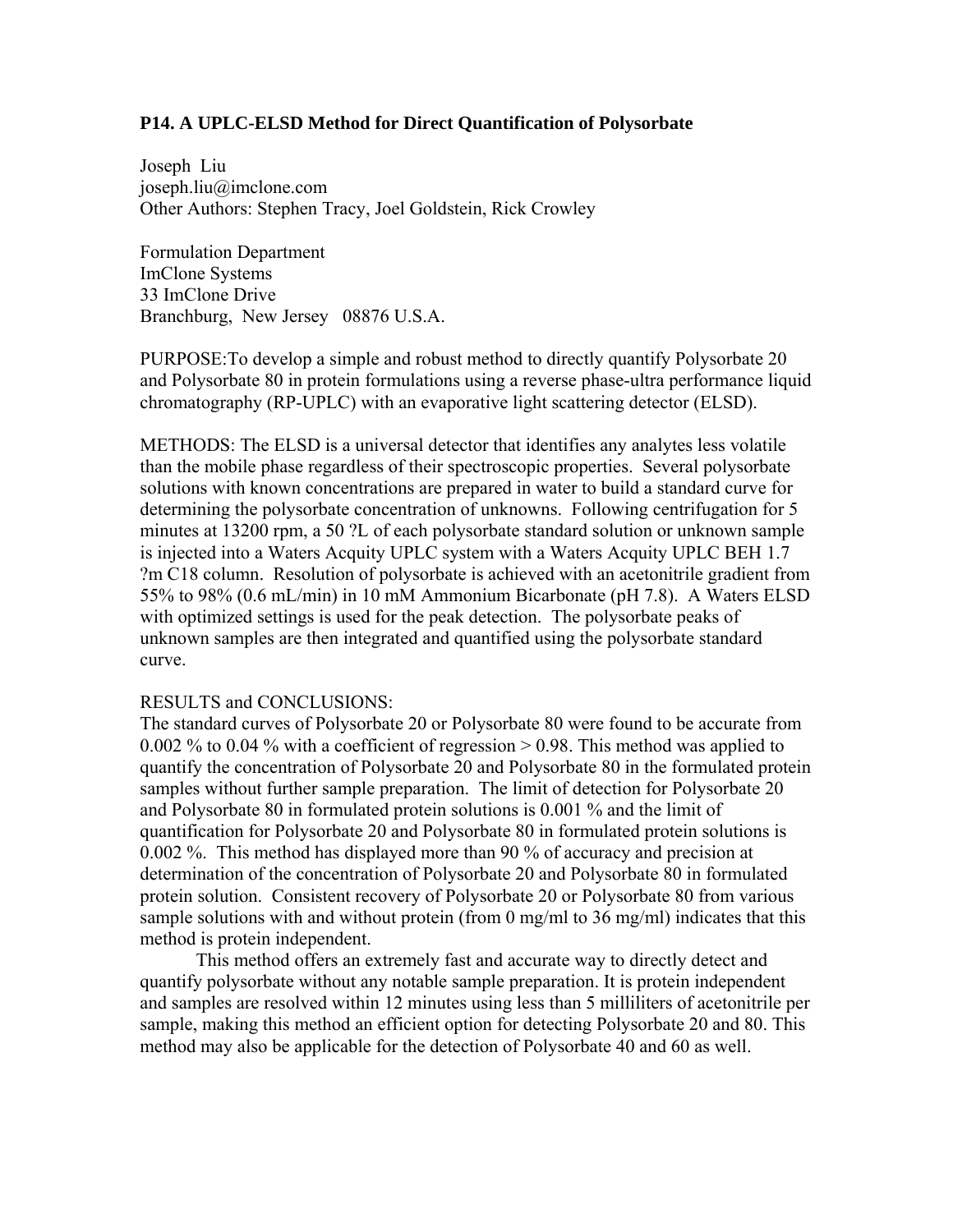# **P14. A UPLC-ELSD Method for Direct Quantification of Polysorbate**

Joseph Liu joseph.liu@imclone.com Other Authors: Stephen Tracy, Joel Goldstein, Rick Crowley

Formulation Department ImClone Systems 33 ImClone Drive Branchburg, New Jersey 08876 U.S.A.

PURPOSE:To develop a simple and robust method to directly quantify Polysorbate 20 and Polysorbate 80 in protein formulations using a reverse phase-ultra performance liquid chromatography (RP-UPLC) with an evaporative light scattering detector (ELSD).

METHODS: The ELSD is a universal detector that identifies any analytes less volatile than the mobile phase regardless of their spectroscopic properties. Several polysorbate solutions with known concentrations are prepared in water to build a standard curve for determining the polysorbate concentration of unknowns. Following centrifugation for 5 minutes at 13200 rpm, a 50 ?L of each polysorbate standard solution or unknown sample is injected into a Waters Acquity UPLC system with a Waters Acquity UPLC BEH 1.7 ?m C18 column. Resolution of polysorbate is achieved with an acetonitrile gradient from 55% to 98% (0.6 mL/min) in 10 mM Ammonium Bicarbonate (pH 7.8). A Waters ELSD with optimized settings is used for the peak detection. The polysorbate peaks of unknown samples are then integrated and quantified using the polysorbate standard curve.

## RESULTS and CONCLUSIONS:

The standard curves of Polysorbate 20 or Polysorbate 80 were found to be accurate from 0.002 % to 0.04 % with a coefficient of regression > 0.98. This method was applied to quantify the concentration of Polysorbate 20 and Polysorbate 80 in the formulated protein samples without further sample preparation. The limit of detection for Polysorbate 20 and Polysorbate 80 in formulated protein solutions is 0.001 % and the limit of quantification for Polysorbate 20 and Polysorbate 80 in formulated protein solutions is 0.002 %. This method has displayed more than 90 % of accuracy and precision at determination of the concentration of Polysorbate 20 and Polysorbate 80 in formulated protein solution. Consistent recovery of Polysorbate 20 or Polysorbate 80 from various sample solutions with and without protein (from 0 mg/ml to 36 mg/ml) indicates that this method is protein independent.

 This method offers an extremely fast and accurate way to directly detect and quantify polysorbate without any notable sample preparation. It is protein independent and samples are resolved within 12 minutes using less than 5 milliliters of acetonitrile per sample, making this method an efficient option for detecting Polysorbate 20 and 80. This method may also be applicable for the detection of Polysorbate 40 and 60 as well.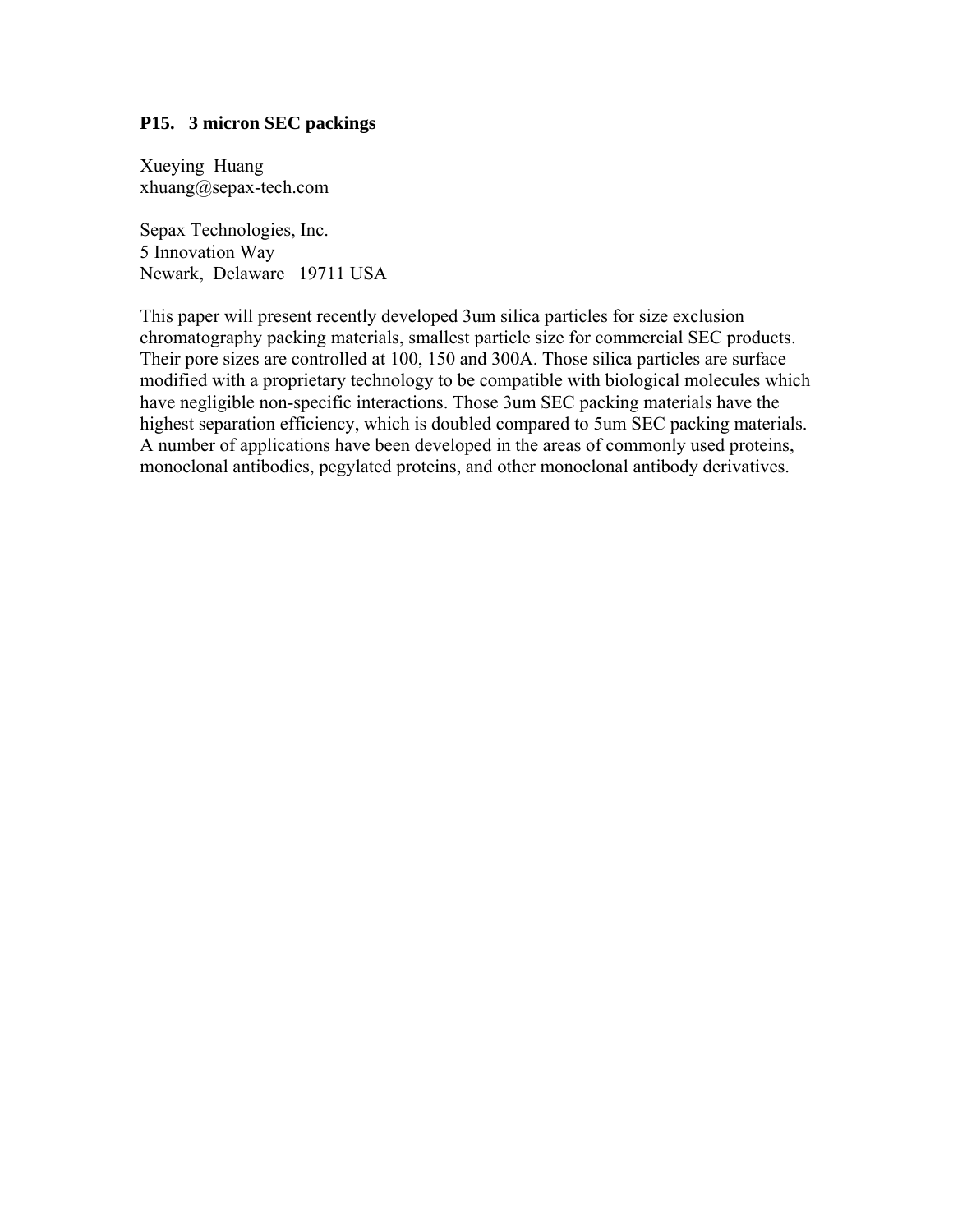## **P15. 3 micron SEC packings**

Xueying Huang xhuang@sepax-tech.com

Sepax Technologies, Inc. 5 Innovation Way Newark, Delaware 19711 USA

This paper will present recently developed 3um silica particles for size exclusion chromatography packing materials, smallest particle size for commercial SEC products. Their pore sizes are controlled at 100, 150 and 300A. Those silica particles are surface modified with a proprietary technology to be compatible with biological molecules which have negligible non-specific interactions. Those 3um SEC packing materials have the highest separation efficiency, which is doubled compared to 5um SEC packing materials. A number of applications have been developed in the areas of commonly used proteins, monoclonal antibodies, pegylated proteins, and other monoclonal antibody derivatives.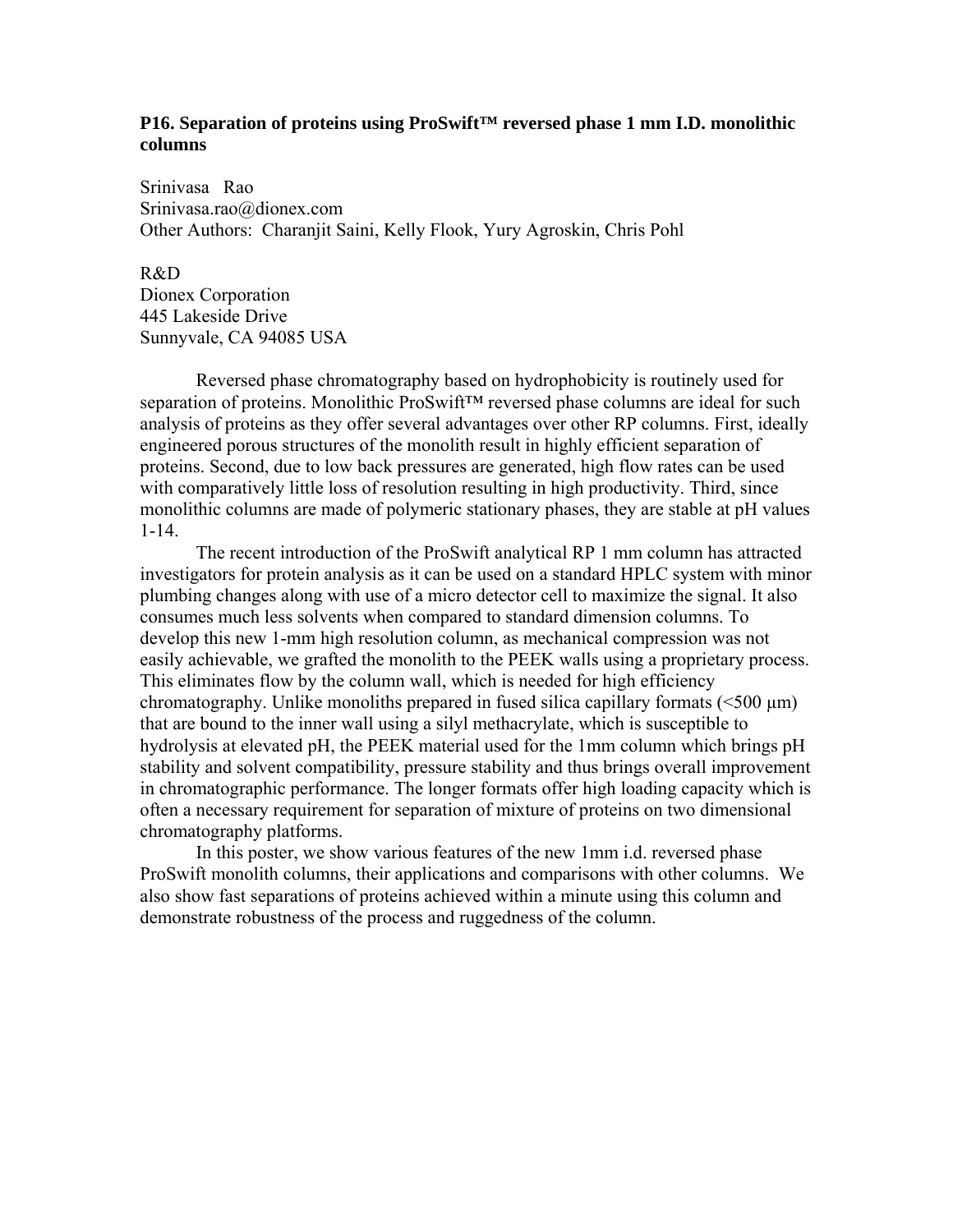## **P16. Separation of proteins using ProSwift™ reversed phase 1 mm I.D. monolithic columns**

Srinivasa Rao Srinivasa.rao@dionex.com Other Authors: Charanjit Saini, Kelly Flook, Yury Agroskin, Chris Pohl

## R&D

Dionex Corporation 445 Lakeside Drive Sunnyvale, CA 94085 USA

Reversed phase chromatography based on hydrophobicity is routinely used for separation of proteins. Monolithic ProSwift™ reversed phase columns are ideal for such analysis of proteins as they offer several advantages over other RP columns. First, ideally engineered porous structures of the monolith result in highly efficient separation of proteins. Second, due to low back pressures are generated, high flow rates can be used with comparatively little loss of resolution resulting in high productivity. Third, since monolithic columns are made of polymeric stationary phases, they are stable at pH values 1-14.

The recent introduction of the ProSwift analytical RP 1 mm column has attracted investigators for protein analysis as it can be used on a standard HPLC system with minor plumbing changes along with use of a micro detector cell to maximize the signal. It also consumes much less solvents when compared to standard dimension columns. To develop this new 1-mm high resolution column, as mechanical compression was not easily achievable, we grafted the monolith to the PEEK walls using a proprietary process. This eliminates flow by the column wall, which is needed for high efficiency chromatography. Unlike monoliths prepared in fused silica capillary formats  $(\leq 500 \text{ }\mu\text{m})$ that are bound to the inner wall using a silyl methacrylate, which is susceptible to hydrolysis at elevated pH, the PEEK material used for the 1mm column which brings pH stability and solvent compatibility, pressure stability and thus brings overall improvement in chromatographic performance. The longer formats offer high loading capacity which is often a necessary requirement for separation of mixture of proteins on two dimensional chromatography platforms.

In this poster, we show various features of the new 1mm i.d. reversed phase ProSwift monolith columns, their applications and comparisons with other columns. We also show fast separations of proteins achieved within a minute using this column and demonstrate robustness of the process and ruggedness of the column.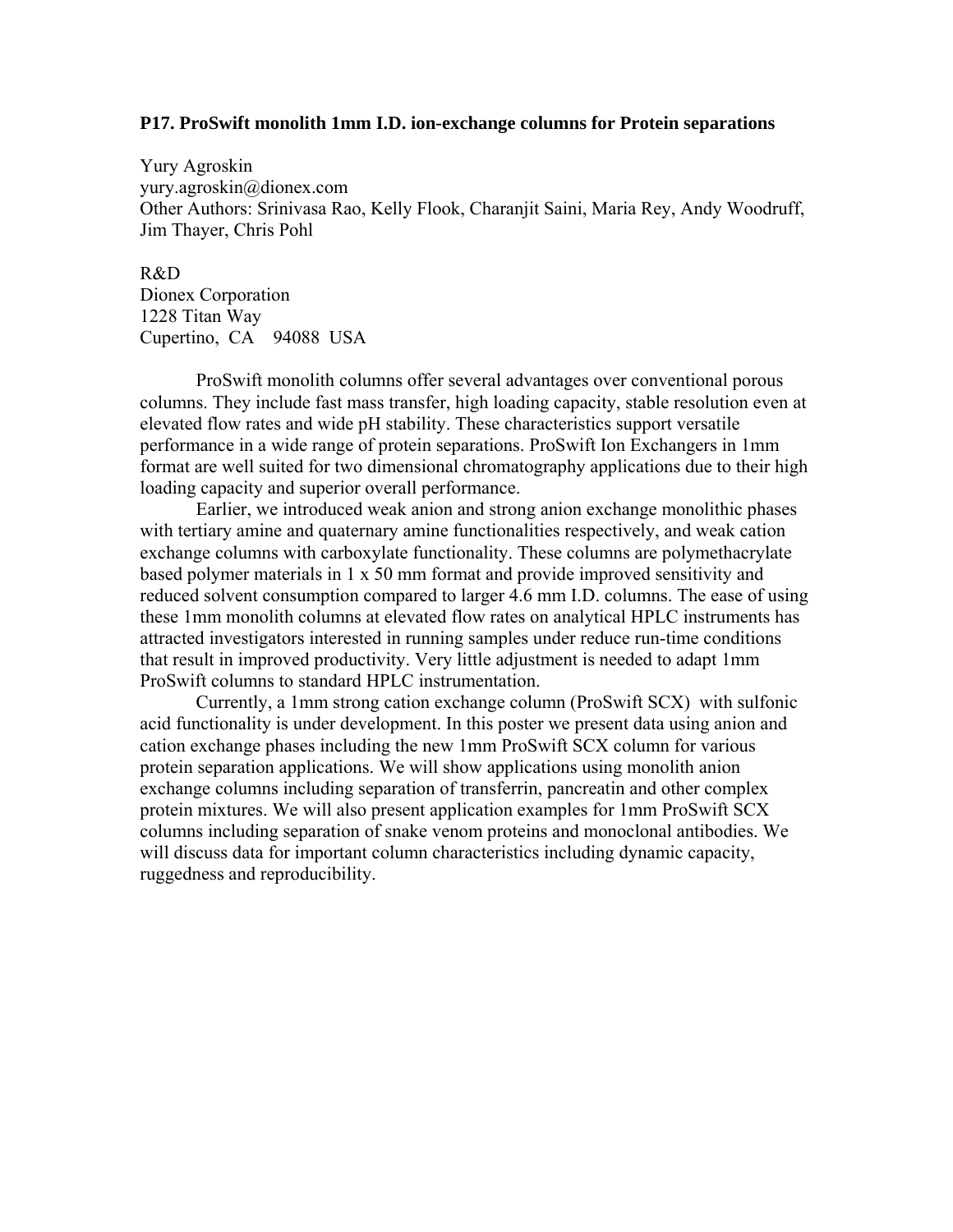#### **P17. ProSwift monolith 1mm I.D. ion-exchange columns for Protein separations**

Yury Agroskin yury.agroskin@dionex.com Other Authors: Srinivasa Rao, Kelly Flook, Charanjit Saini, Maria Rey, Andy Woodruff, Jim Thayer, Chris Pohl

R&D Dionex Corporation 1228 Titan Way Cupertino, CA 94088 USA

ProSwift monolith columns offer several advantages over conventional porous columns. They include fast mass transfer, high loading capacity, stable resolution even at elevated flow rates and wide pH stability. These characteristics support versatile performance in a wide range of protein separations. ProSwift Ion Exchangers in 1mm format are well suited for two dimensional chromatography applications due to their high loading capacity and superior overall performance.

Earlier, we introduced weak anion and strong anion exchange monolithic phases with tertiary amine and quaternary amine functionalities respectively, and weak cation exchange columns with carboxylate functionality. These columns are polymethacrylate based polymer materials in 1 x 50 mm format and provide improved sensitivity and reduced solvent consumption compared to larger 4.6 mm I.D. columns. The ease of using these 1mm monolith columns at elevated flow rates on analytical HPLC instruments has attracted investigators interested in running samples under reduce run-time conditions that result in improved productivity. Very little adjustment is needed to adapt 1mm ProSwift columns to standard HPLC instrumentation.

Currently, a 1mm strong cation exchange column (ProSwift SCX) with sulfonic acid functionality is under development. In this poster we present data using anion and cation exchange phases including the new 1mm ProSwift SCX column for various protein separation applications. We will show applications using monolith anion exchange columns including separation of transferrin, pancreatin and other complex protein mixtures. We will also present application examples for 1mm ProSwift SCX columns including separation of snake venom proteins and monoclonal antibodies. We will discuss data for important column characteristics including dynamic capacity, ruggedness and reproducibility.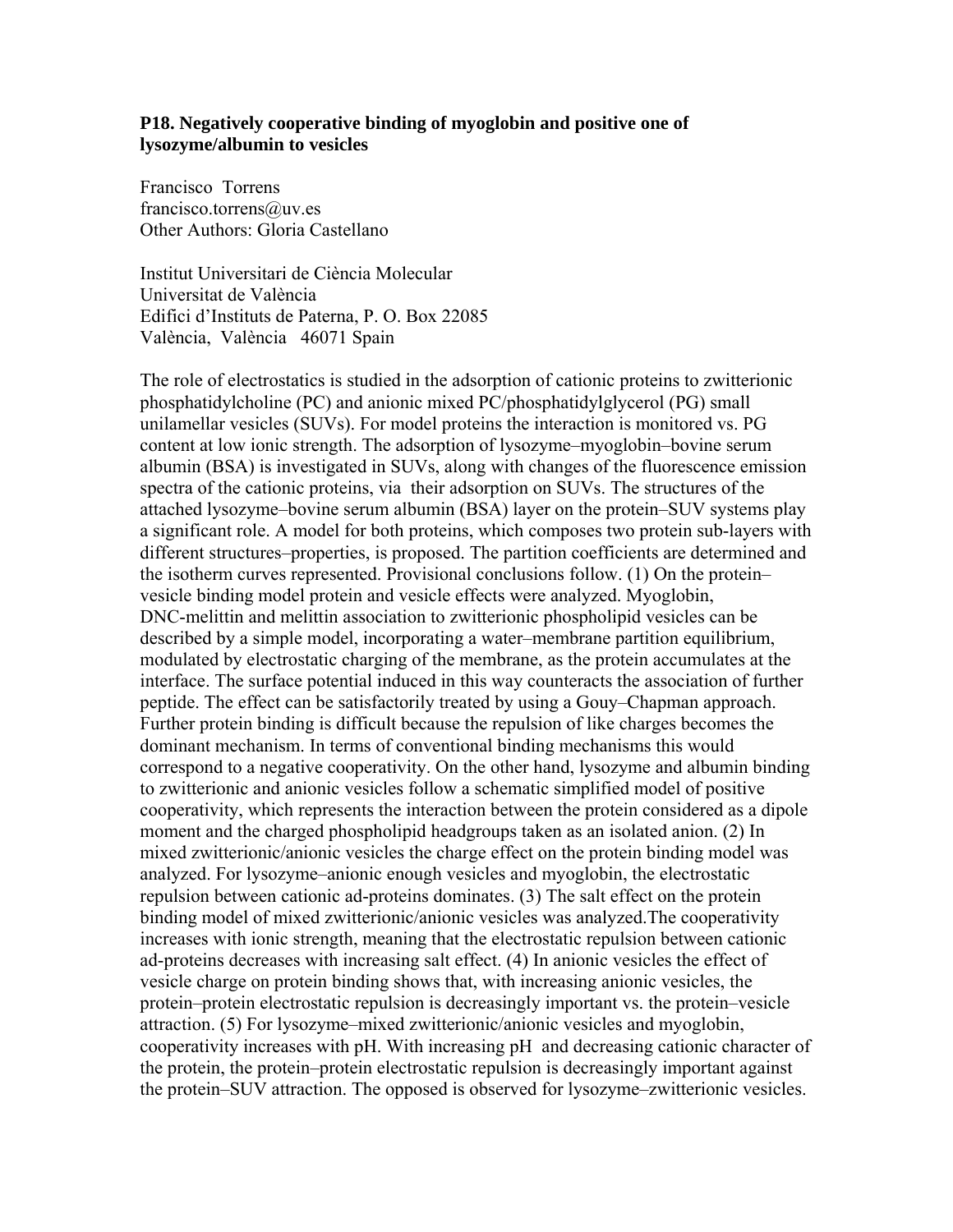## **P18. Negatively cooperative binding of myoglobin and positive one of lysozyme/albumin to vesicles**

Francisco Torrens francisco.torrens@uv.es Other Authors: Gloria Castellano

Institut Universitari de Ciència Molecular Universitat de València Edifici d'Instituts de Paterna, P. O. Box 22085 València, València 46071 Spain

The role of electrostatics is studied in the adsorption of cationic proteins to zwitterionic phosphatidylcholine (PC) and anionic mixed PC/phosphatidylglycerol (PG) small unilamellar vesicles (SUVs). For model proteins the interaction is monitored vs. PG content at low ionic strength. The adsorption of lysozyme–myoglobin–bovine serum albumin (BSA) is investigated in SUVs, along with changes of the fluorescence emission spectra of the cationic proteins, via their adsorption on SUVs. The structures of the attached lysozyme–bovine serum albumin (BSA) layer on the protein–SUV systems play a significant role. A model for both proteins, which composes two protein sub-layers with different structures–properties, is proposed. The partition coefficients are determined and the isotherm curves represented. Provisional conclusions follow. (1) On the protein– vesicle binding model protein and vesicle effects were analyzed. Myoglobin, DNC-melittin and melittin association to zwitterionic phospholipid vesicles can be described by a simple model, incorporating a water–membrane partition equilibrium, modulated by electrostatic charging of the membrane, as the protein accumulates at the interface. The surface potential induced in this way counteracts the association of further peptide. The effect can be satisfactorily treated by using a Gouy–Chapman approach. Further protein binding is difficult because the repulsion of like charges becomes the dominant mechanism. In terms of conventional binding mechanisms this would correspond to a negative cooperativity. On the other hand, lysozyme and albumin binding to zwitterionic and anionic vesicles follow a schematic simplified model of positive cooperativity, which represents the interaction between the protein considered as a dipole moment and the charged phospholipid headgroups taken as an isolated anion. (2) In mixed zwitterionic/anionic vesicles the charge effect on the protein binding model was analyzed. For lysozyme–anionic enough vesicles and myoglobin, the electrostatic repulsion between cationic ad-proteins dominates. (3) The salt effect on the protein binding model of mixed zwitterionic/anionic vesicles was analyzed.The cooperativity increases with ionic strength, meaning that the electrostatic repulsion between cationic ad-proteins decreases with increasing salt effect. (4) In anionic vesicles the effect of vesicle charge on protein binding shows that, with increasing anionic vesicles, the protein–protein electrostatic repulsion is decreasingly important vs. the protein–vesicle attraction. (5) For lysozyme–mixed zwitterionic/anionic vesicles and myoglobin, cooperativity increases with pH. With increasing pH and decreasing cationic character of the protein, the protein–protein electrostatic repulsion is decreasingly important against the protein–SUV attraction. The opposed is observed for lysozyme–zwitterionic vesicles.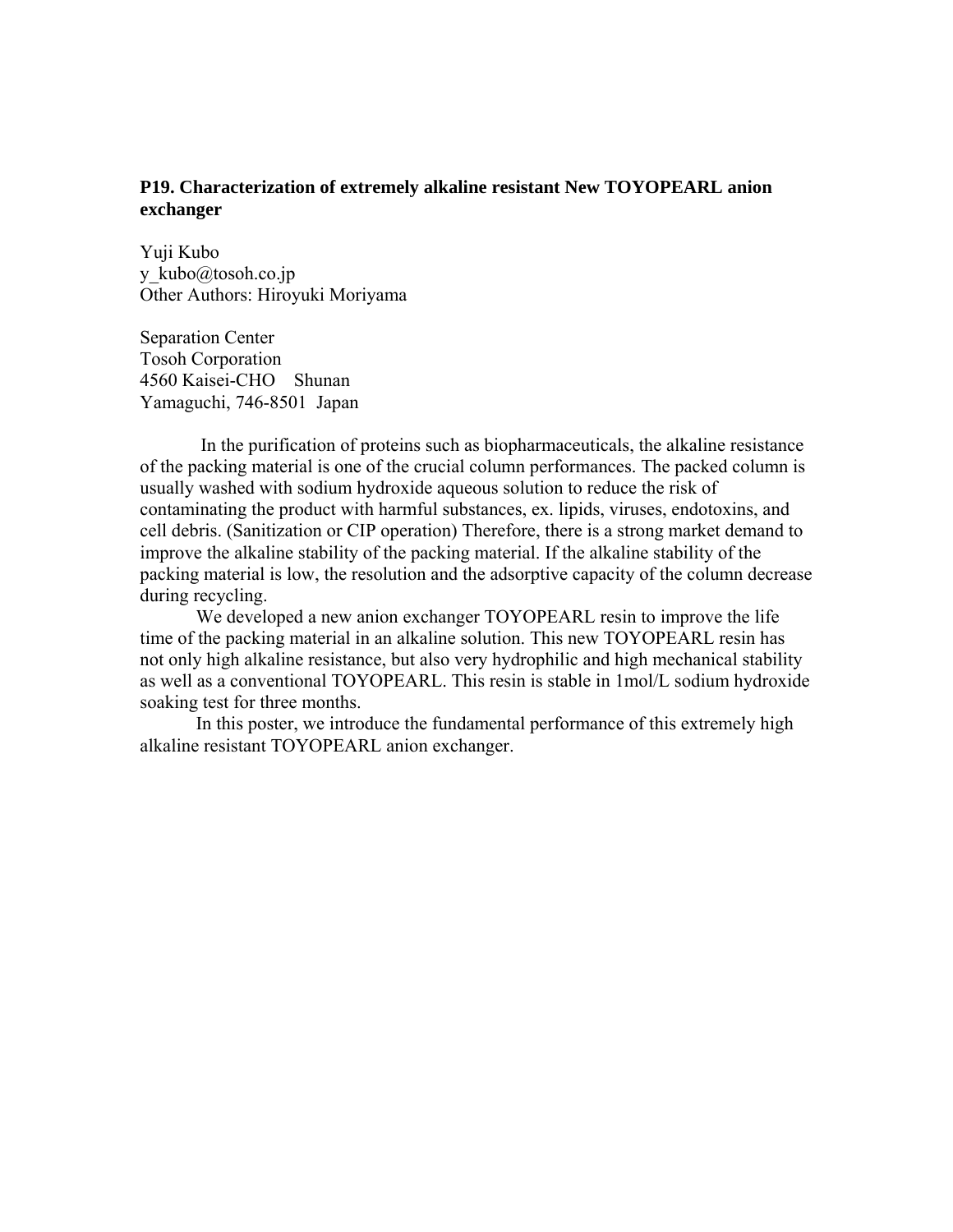## **P19. Characterization of extremely alkaline resistant New TOYOPEARL anion exchanger**

Yuji Kubo y\_kubo@tosoh.co.jp Other Authors: Hiroyuki Moriyama

Separation Center Tosoh Corporation 4560 Kaisei-CHO Shunan Yamaguchi, 746-8501 Japan

 In the purification of proteins such as biopharmaceuticals, the alkaline resistance of the packing material is one of the crucial column performances. The packed column is usually washed with sodium hydroxide aqueous solution to reduce the risk of contaminating the product with harmful substances, ex. lipids, viruses, endotoxins, and cell debris. (Sanitization or CIP operation) Therefore, there is a strong market demand to improve the alkaline stability of the packing material. If the alkaline stability of the packing material is low, the resolution and the adsorptive capacity of the column decrease during recycling.

 We developed a new anion exchanger TOYOPEARL resin to improve the life time of the packing material in an alkaline solution. This new TOYOPEARL resin has not only high alkaline resistance, but also very hydrophilic and high mechanical stability as well as a conventional TOYOPEARL. This resin is stable in 1mol/L sodium hydroxide soaking test for three months.

 In this poster, we introduce the fundamental performance of this extremely high alkaline resistant TOYOPEARL anion exchanger.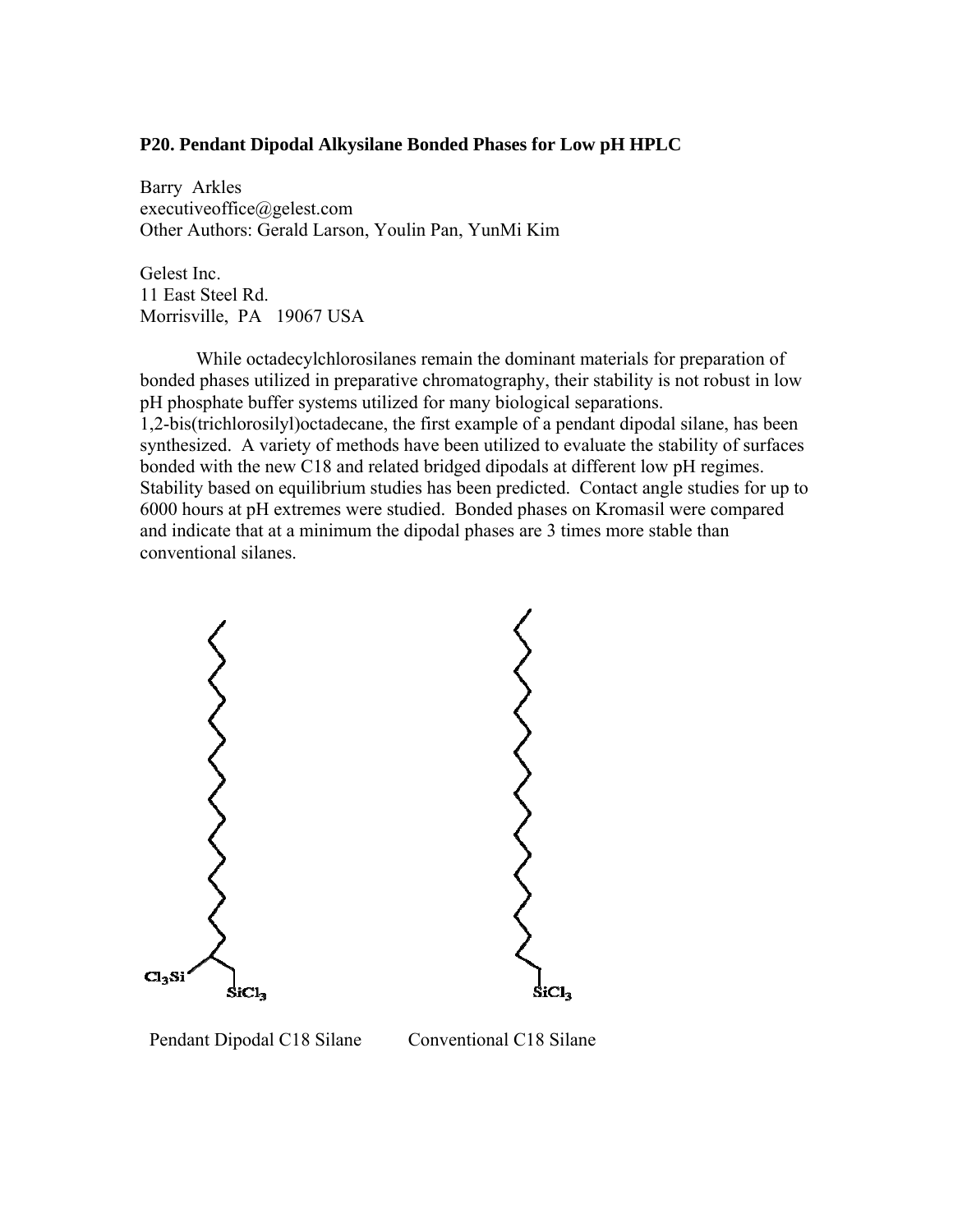## **P20. Pendant Dipodal Alkysilane Bonded Phases for Low pH HPLC**

Barry Arkles executiveoffice@gelest.com Other Authors: Gerald Larson, Youlin Pan, YunMi Kim

Gelest Inc. 11 East Steel Rd. Morrisville, PA 19067 USA

While octadecylchlorosilanes remain the dominant materials for preparation of bonded phases utilized in preparative chromatography, their stability is not robust in low pH phosphate buffer systems utilized for many biological separations. 1,2-bis(trichlorosilyl)octadecane, the first example of a pendant dipodal silane, has been synthesized. A variety of methods have been utilized to evaluate the stability of surfaces bonded with the new C18 and related bridged dipodals at different low pH regimes. Stability based on equilibrium studies has been predicted. Contact angle studies for up to 6000 hours at pH extremes were studied. Bonded phases on Kromasil were compared and indicate that at a minimum the dipodal phases are 3 times more stable than conventional silanes.



Pendant Dipodal C18 Silane Conventional C18 Silane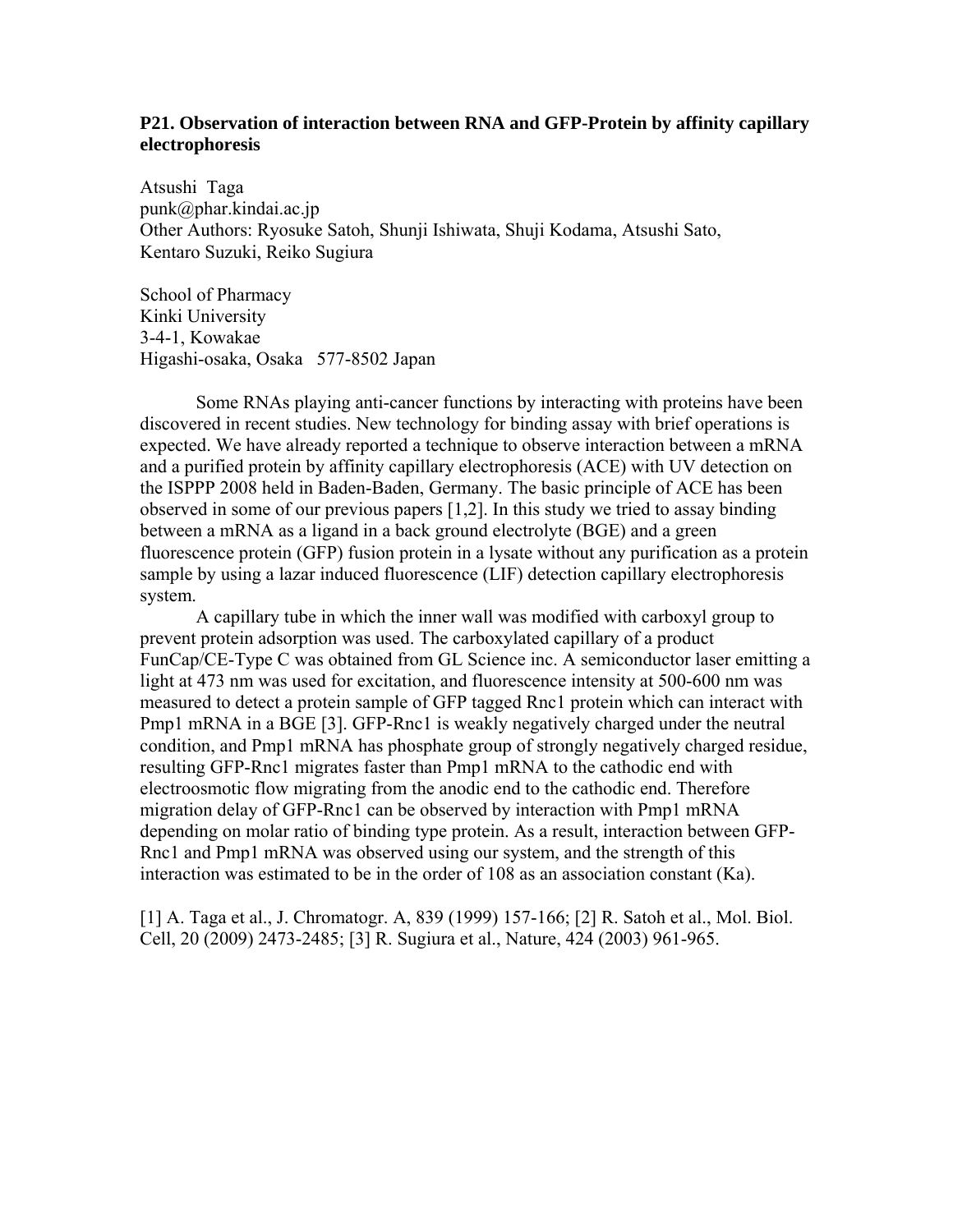## **P21. Observation of interaction between RNA and GFP-Protein by affinity capillary electrophoresis**

Atsushi Taga punk@phar.kindai.ac.jp Other Authors: Ryosuke Satoh, Shunji Ishiwata, Shuji Kodama, Atsushi Sato, Kentaro Suzuki, Reiko Sugiura

School of Pharmacy Kinki University 3-4-1, Kowakae Higashi-osaka, Osaka 577-8502 Japan

Some RNAs playing anti-cancer functions by interacting with proteins have been discovered in recent studies. New technology for binding assay with brief operations is expected. We have already reported a technique to observe interaction between a mRNA and a purified protein by affinity capillary electrophoresis (ACE) with UV detection on the ISPPP 2008 held in Baden-Baden, Germany. The basic principle of ACE has been observed in some of our previous papers [1,2]. In this study we tried to assay binding between a mRNA as a ligand in a back ground electrolyte (BGE) and a green fluorescence protein (GFP) fusion protein in a lysate without any purification as a protein sample by using a lazar induced fluorescence (LIF) detection capillary electrophoresis system.

A capillary tube in which the inner wall was modified with carboxyl group to prevent protein adsorption was used. The carboxylated capillary of a product FunCap/CE-Type C was obtained from GL Science inc. A semiconductor laser emitting a light at 473 nm was used for excitation, and fluorescence intensity at 500-600 nm was measured to detect a protein sample of GFP tagged Rnc1 protein which can interact with Pmp1 mRNA in a BGE [3]. GFP-Rnc1 is weakly negatively charged under the neutral condition, and Pmp1 mRNA has phosphate group of strongly negatively charged residue, resulting GFP-Rnc1 migrates faster than Pmp1 mRNA to the cathodic end with electroosmotic flow migrating from the anodic end to the cathodic end. Therefore migration delay of GFP-Rnc1 can be observed by interaction with Pmp1 mRNA depending on molar ratio of binding type protein. As a result, interaction between GFP-Rnc1 and Pmp1 mRNA was observed using our system, and the strength of this interaction was estimated to be in the order of 108 as an association constant (Ka).

[1] A. Taga et al., J. Chromatogr. A, 839 (1999) 157-166; [2] R. Satoh et al., Mol. Biol. Cell, 20 (2009) 2473-2485; [3] R. Sugiura et al., Nature, 424 (2003) 961-965.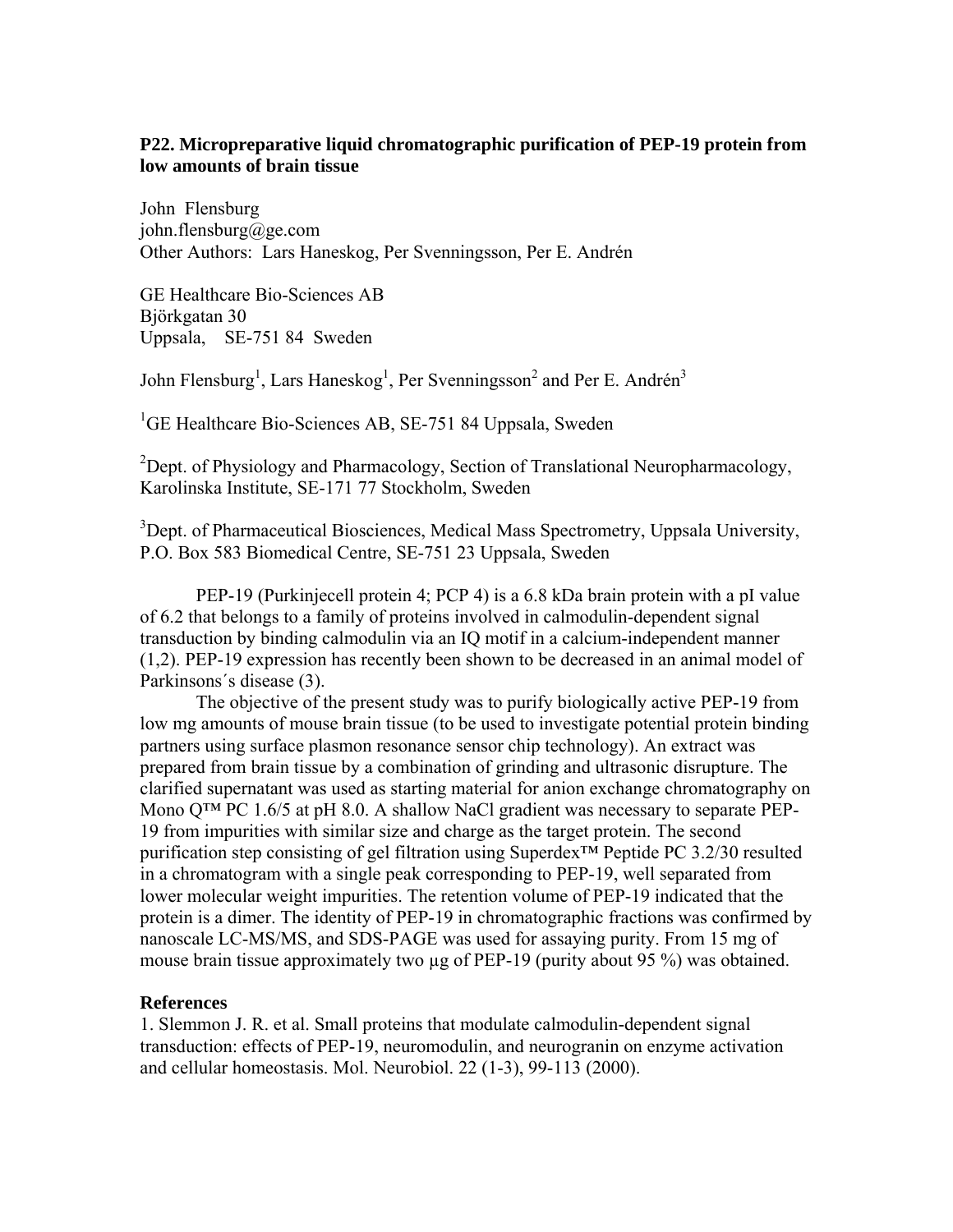# **P22. Micropreparative liquid chromatographic purification of PEP-19 protein from low amounts of brain tissue**

John Flensburg john.flensburg@ge.com Other Authors: Lars Haneskog, Per Svenningsson, Per E. Andrén

GE Healthcare Bio-Sciences AB Björkgatan 30 Uppsala, SE-751 84 Sweden

John Flensburg<sup>1</sup>, Lars Haneskog<sup>1</sup>, Per Svenningsson<sup>2</sup> and Per E. Andrén<sup>3</sup>

<sup>1</sup>GE Healthcare Bio-Sciences AB, SE-751 84 Uppsala, Sweden

<sup>2</sup>Dept. of Physiology and Pharmacology, Section of Translational Neuropharmacology, Karolinska Institute, SE-171 77 Stockholm, Sweden

<sup>3</sup>Dept. of Pharmaceutical Biosciences, Medical Mass Spectrometry, Uppsala University, P.O. Box 583 Biomedical Centre, SE-751 23 Uppsala, Sweden

PEP-19 (Purkinjecell protein 4; PCP 4) is a 6.8 kDa brain protein with a pI value of 6.2 that belongs to a family of proteins involved in calmodulin-dependent signal transduction by binding calmodulin via an IQ motif in a calcium-independent manner (1,2). PEP-19 expression has recently been shown to be decreased in an animal model of Parkinsons´s disease (3).

The objective of the present study was to purify biologically active PEP-19 from low mg amounts of mouse brain tissue (to be used to investigate potential protein binding partners using surface plasmon resonance sensor chip technology). An extract was prepared from brain tissue by a combination of grinding and ultrasonic disrupture. The clarified supernatant was used as starting material for anion exchange chromatography on Mono Q™ PC 1.6/5 at pH 8.0. A shallow NaCl gradient was necessary to separate PEP-19 from impurities with similar size and charge as the target protein. The second purification step consisting of gel filtration using Superdex™ Peptide PC 3.2/30 resulted in a chromatogram with a single peak corresponding to PEP-19, well separated from lower molecular weight impurities. The retention volume of PEP-19 indicated that the protein is a dimer. The identity of PEP-19 in chromatographic fractions was confirmed by nanoscale LC-MS/MS, and SDS-PAGE was used for assaying purity. From 15 mg of mouse brain tissue approximately two µg of PEP-19 (purity about 95 %) was obtained.

## **References**

1. Slemmon J. R. et al. Small proteins that modulate calmodulin-dependent signal transduction: effects of PEP-19, neuromodulin, and neurogranin on enzyme activation and cellular homeostasis. Mol. Neurobiol. 22 (1-3), 99-113 (2000).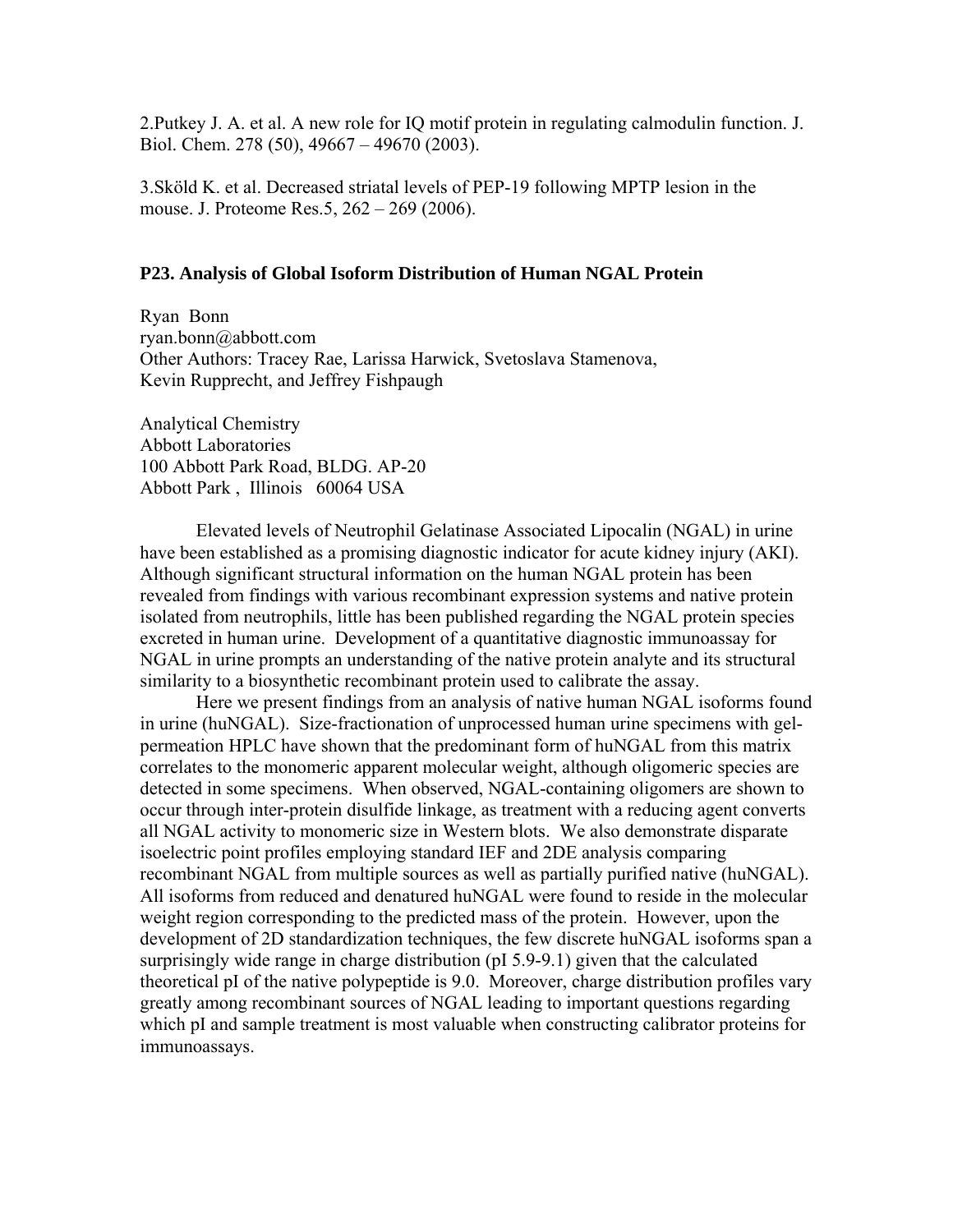2.Putkey J. A. et al. A new role for IQ motif protein in regulating calmodulin function. J. Biol. Chem. 278 (50), 49667 – 49670 (2003).

3.Sköld K. et al. Decreased striatal levels of PEP-19 following MPTP lesion in the mouse. J. Proteome Res.5, 262 – 269 (2006).

# **P23. Analysis of Global Isoform Distribution of Human NGAL Protein**

Ryan Bonn ryan.bonn@abbott.com Other Authors: Tracey Rae, Larissa Harwick, Svetoslava Stamenova, Kevin Rupprecht, and Jeffrey Fishpaugh

Analytical Chemistry Abbott Laboratories 100 Abbott Park Road, BLDG. AP-20 Abbott Park , Illinois 60064 USA

Elevated levels of Neutrophil Gelatinase Associated Lipocalin (NGAL) in urine have been established as a promising diagnostic indicator for acute kidney injury (AKI). Although significant structural information on the human NGAL protein has been revealed from findings with various recombinant expression systems and native protein isolated from neutrophils, little has been published regarding the NGAL protein species excreted in human urine. Development of a quantitative diagnostic immunoassay for NGAL in urine prompts an understanding of the native protein analyte and its structural similarity to a biosynthetic recombinant protein used to calibrate the assay.

Here we present findings from an analysis of native human NGAL isoforms found in urine (huNGAL). Size-fractionation of unprocessed human urine specimens with gelpermeation HPLC have shown that the predominant form of huNGAL from this matrix correlates to the monomeric apparent molecular weight, although oligomeric species are detected in some specimens. When observed, NGAL-containing oligomers are shown to occur through inter-protein disulfide linkage, as treatment with a reducing agent converts all NGAL activity to monomeric size in Western blots. We also demonstrate disparate isoelectric point profiles employing standard IEF and 2DE analysis comparing recombinant NGAL from multiple sources as well as partially purified native (huNGAL). All isoforms from reduced and denatured huNGAL were found to reside in the molecular weight region corresponding to the predicted mass of the protein. However, upon the development of 2D standardization techniques, the few discrete huNGAL isoforms span a surprisingly wide range in charge distribution (pI 5.9-9.1) given that the calculated theoretical pI of the native polypeptide is 9.0. Moreover, charge distribution profiles vary greatly among recombinant sources of NGAL leading to important questions regarding which pI and sample treatment is most valuable when constructing calibrator proteins for immunoassays.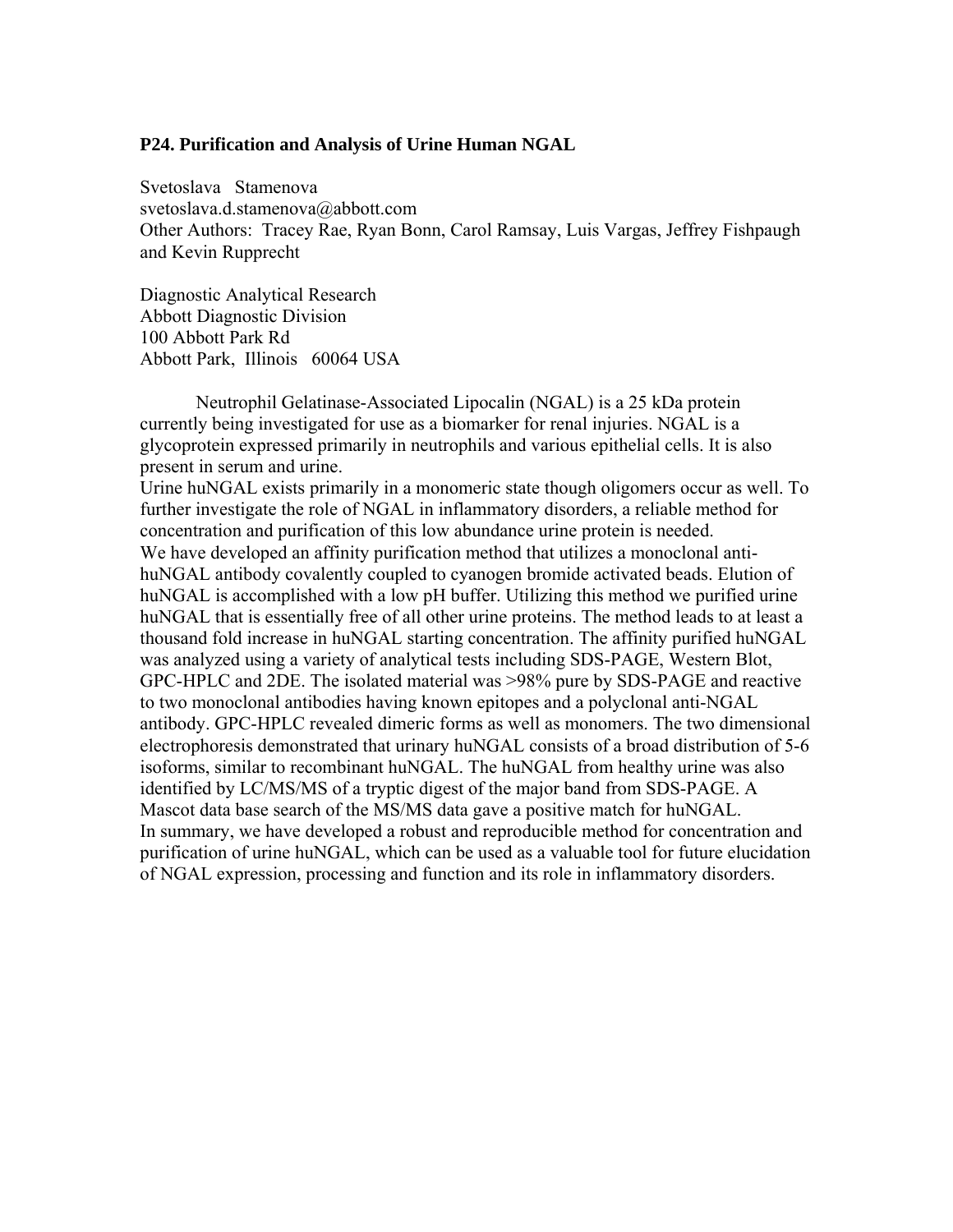#### **P24. Purification and Analysis of Urine Human NGAL**

Svetoslava Stamenova svetoslava.d.stamenova@abbott.com Other Authors: Tracey Rae, Ryan Bonn, Carol Ramsay, Luis Vargas, Jeffrey Fishpaugh and Kevin Rupprecht

Diagnostic Analytical Research Abbott Diagnostic Division 100 Abbott Park Rd Abbott Park, Illinois 60064 USA

Neutrophil Gelatinase-Associated Lipocalin (NGAL) is a 25 kDa protein currently being investigated for use as a biomarker for renal injuries. NGAL is a glycoprotein expressed primarily in neutrophils and various epithelial cells. It is also present in serum and urine.

Urine huNGAL exists primarily in a monomeric state though oligomers occur as well. To further investigate the role of NGAL in inflammatory disorders, a reliable method for concentration and purification of this low abundance urine protein is needed. We have developed an affinity purification method that utilizes a monoclonal antihuNGAL antibody covalently coupled to cyanogen bromide activated beads. Elution of huNGAL is accomplished with a low pH buffer. Utilizing this method we purified urine huNGAL that is essentially free of all other urine proteins. The method leads to at least a thousand fold increase in huNGAL starting concentration. The affinity purified huNGAL was analyzed using a variety of analytical tests including SDS-PAGE, Western Blot, GPC-HPLC and 2DE. The isolated material was >98% pure by SDS-PAGE and reactive to two monoclonal antibodies having known epitopes and a polyclonal anti-NGAL antibody. GPC-HPLC revealed dimeric forms as well as monomers. The two dimensional electrophoresis demonstrated that urinary huNGAL consists of a broad distribution of 5-6 isoforms, similar to recombinant huNGAL. The huNGAL from healthy urine was also identified by LC/MS/MS of a tryptic digest of the major band from SDS-PAGE. A Mascot data base search of the MS/MS data gave a positive match for huNGAL. In summary, we have developed a robust and reproducible method for concentration and purification of urine huNGAL, which can be used as a valuable tool for future elucidation of NGAL expression, processing and function and its role in inflammatory disorders.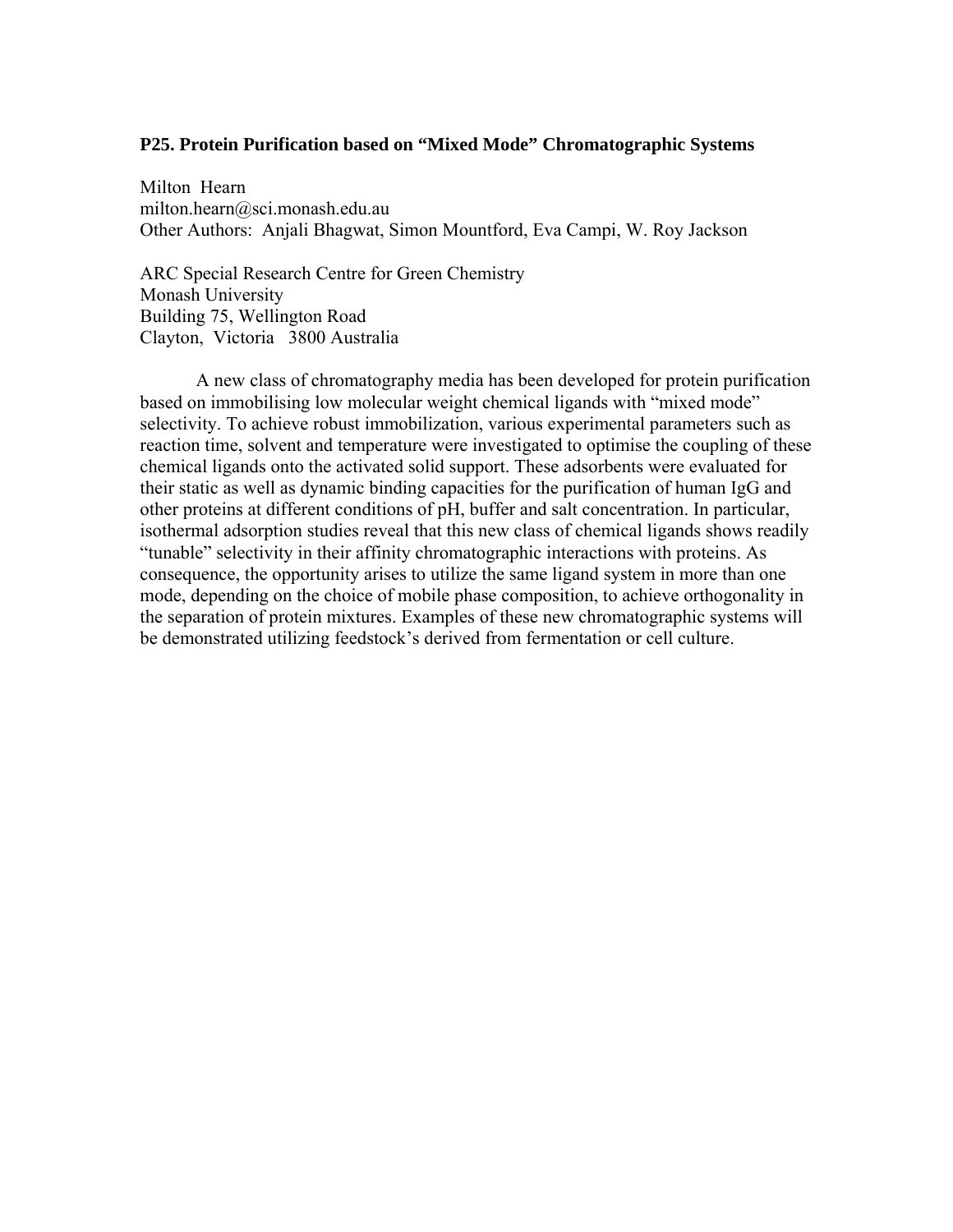### **P25. Protein Purification based on "Mixed Mode" Chromatographic Systems**

Milton Hearn milton.hearn@sci.monash.edu.au Other Authors: Anjali Bhagwat, Simon Mountford, Eva Campi, W. Roy Jackson

ARC Special Research Centre for Green Chemistry Monash University Building 75, Wellington Road Clayton, Victoria 3800 Australia

A new class of chromatography media has been developed for protein purification based on immobilising low molecular weight chemical ligands with "mixed mode" selectivity. To achieve robust immobilization, various experimental parameters such as reaction time, solvent and temperature were investigated to optimise the coupling of these chemical ligands onto the activated solid support. These adsorbents were evaluated for their static as well as dynamic binding capacities for the purification of human IgG and other proteins at different conditions of pH, buffer and salt concentration. In particular, isothermal adsorption studies reveal that this new class of chemical ligands shows readily "tunable" selectivity in their affinity chromatographic interactions with proteins. As consequence, the opportunity arises to utilize the same ligand system in more than one mode, depending on the choice of mobile phase composition, to achieve orthogonality in the separation of protein mixtures. Examples of these new chromatographic systems will be demonstrated utilizing feedstock's derived from fermentation or cell culture.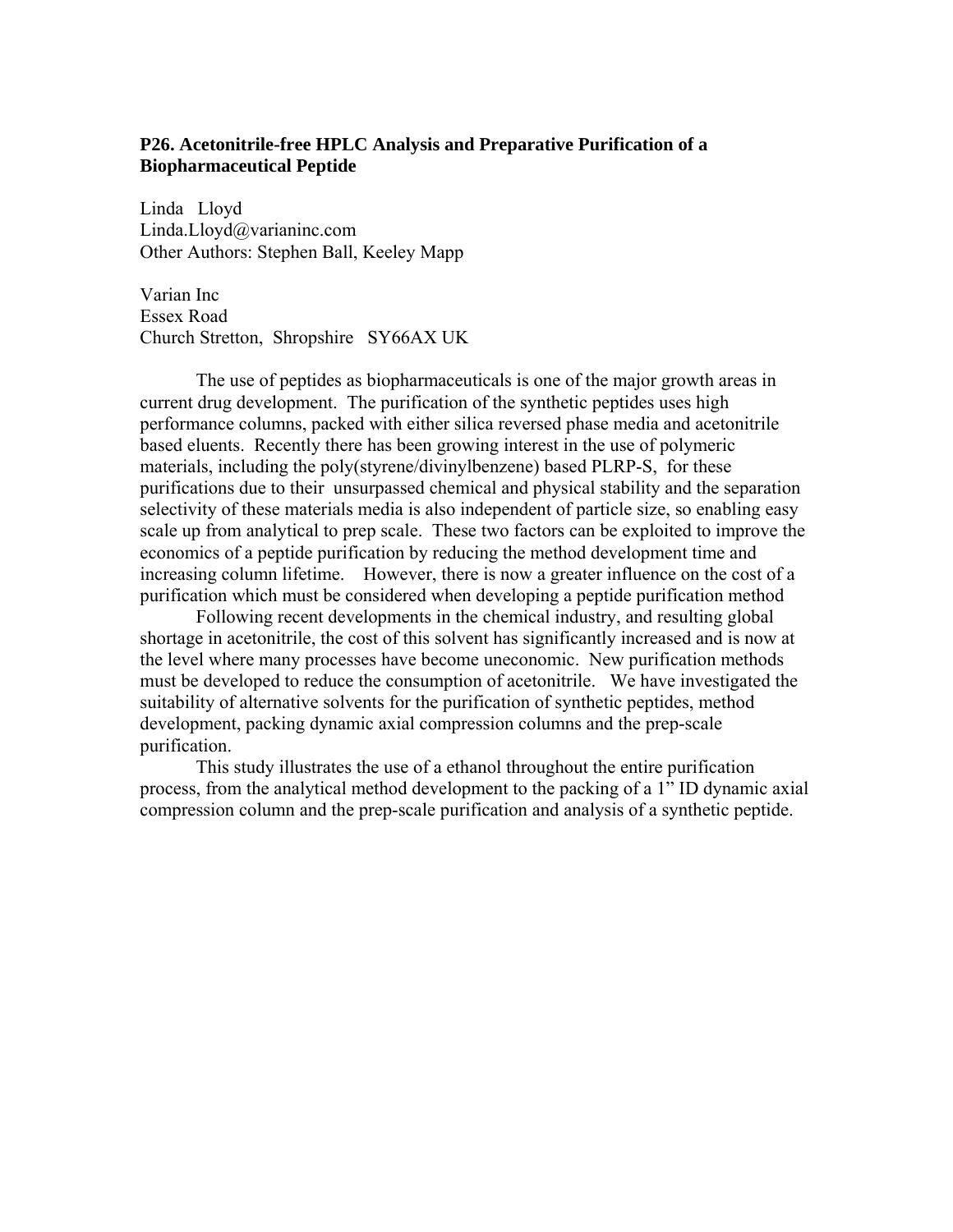# **P26. Acetonitrile-free HPLC Analysis and Preparative Purification of a Biopharmaceutical Peptide**

Linda Lloyd Linda.Lloyd@varianinc.com Other Authors: Stephen Ball, Keeley Mapp

Varian Inc Essex Road Church Stretton, Shropshire SY66AX UK

The use of peptides as biopharmaceuticals is one of the major growth areas in current drug development. The purification of the synthetic peptides uses high performance columns, packed with either silica reversed phase media and acetonitrile based eluents. Recently there has been growing interest in the use of polymeric materials, including the poly(styrene/divinylbenzene) based PLRP-S, for these purifications due to their unsurpassed chemical and physical stability and the separation selectivity of these materials media is also independent of particle size, so enabling easy scale up from analytical to prep scale. These two factors can be exploited to improve the economics of a peptide purification by reducing the method development time and increasing column lifetime. However, there is now a greater influence on the cost of a purification which must be considered when developing a peptide purification method

Following recent developments in the chemical industry, and resulting global shortage in acetonitrile, the cost of this solvent has significantly increased and is now at the level where many processes have become uneconomic. New purification methods must be developed to reduce the consumption of acetonitrile. We have investigated the suitability of alternative solvents for the purification of synthetic peptides, method development, packing dynamic axial compression columns and the prep-scale purification.

 This study illustrates the use of a ethanol throughout the entire purification process, from the analytical method development to the packing of a 1" ID dynamic axial compression column and the prep-scale purification and analysis of a synthetic peptide.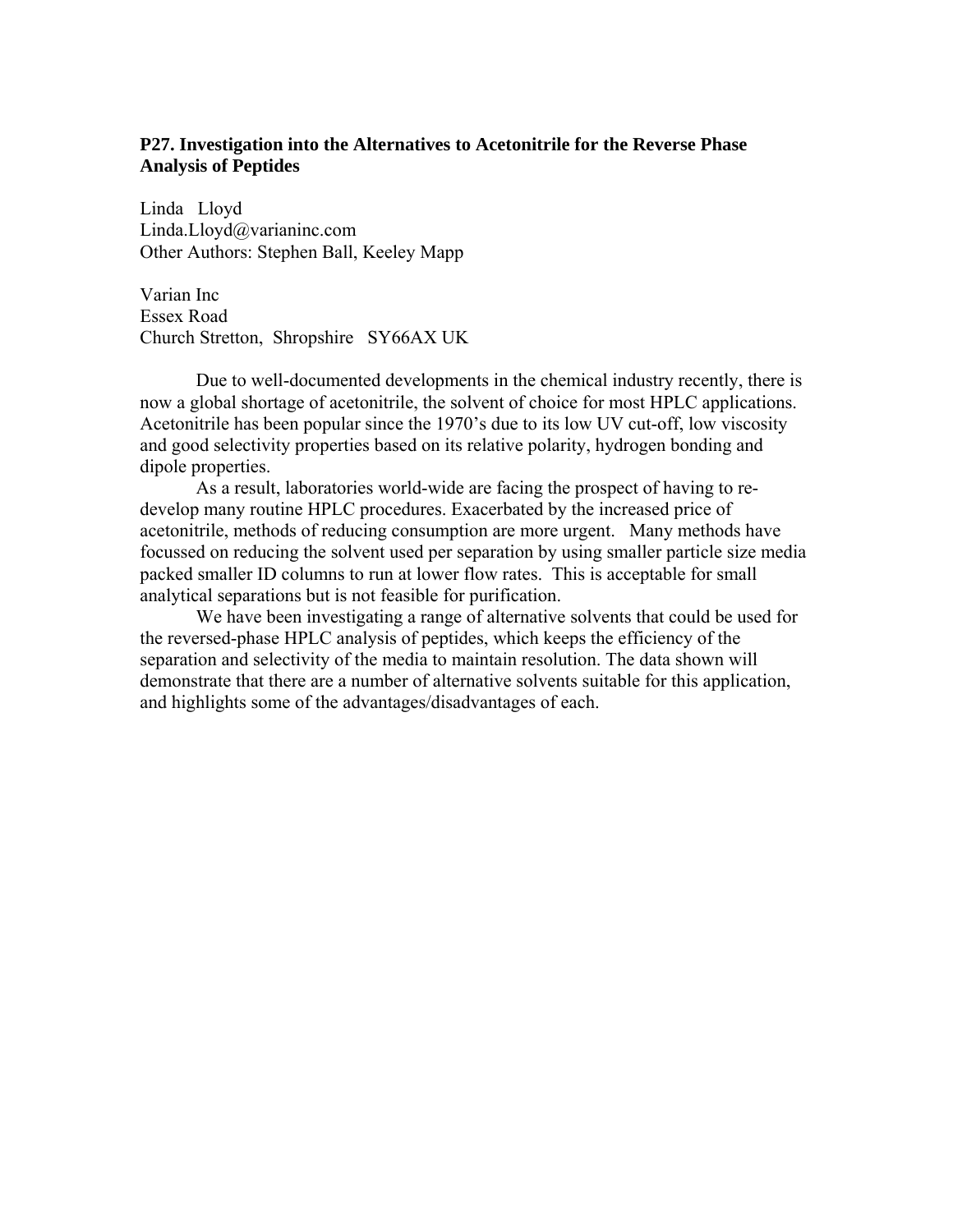# **P27. Investigation into the Alternatives to Acetonitrile for the Reverse Phase Analysis of Peptides**

Linda Lloyd Linda.Lloyd@varianinc.com Other Authors: Stephen Ball, Keeley Mapp

Varian Inc Essex Road Church Stretton, Shropshire SY66AX UK

Due to well-documented developments in the chemical industry recently, there is now a global shortage of acetonitrile, the solvent of choice for most HPLC applications. Acetonitrile has been popular since the 1970's due to its low UV cut-off, low viscosity and good selectivity properties based on its relative polarity, hydrogen bonding and dipole properties.

As a result, laboratories world-wide are facing the prospect of having to redevelop many routine HPLC procedures. Exacerbated by the increased price of acetonitrile, methods of reducing consumption are more urgent. Many methods have focussed on reducing the solvent used per separation by using smaller particle size media packed smaller ID columns to run at lower flow rates. This is acceptable for small analytical separations but is not feasible for purification.

We have been investigating a range of alternative solvents that could be used for the reversed-phase HPLC analysis of peptides, which keeps the efficiency of the separation and selectivity of the media to maintain resolution. The data shown will demonstrate that there are a number of alternative solvents suitable for this application, and highlights some of the advantages/disadvantages of each.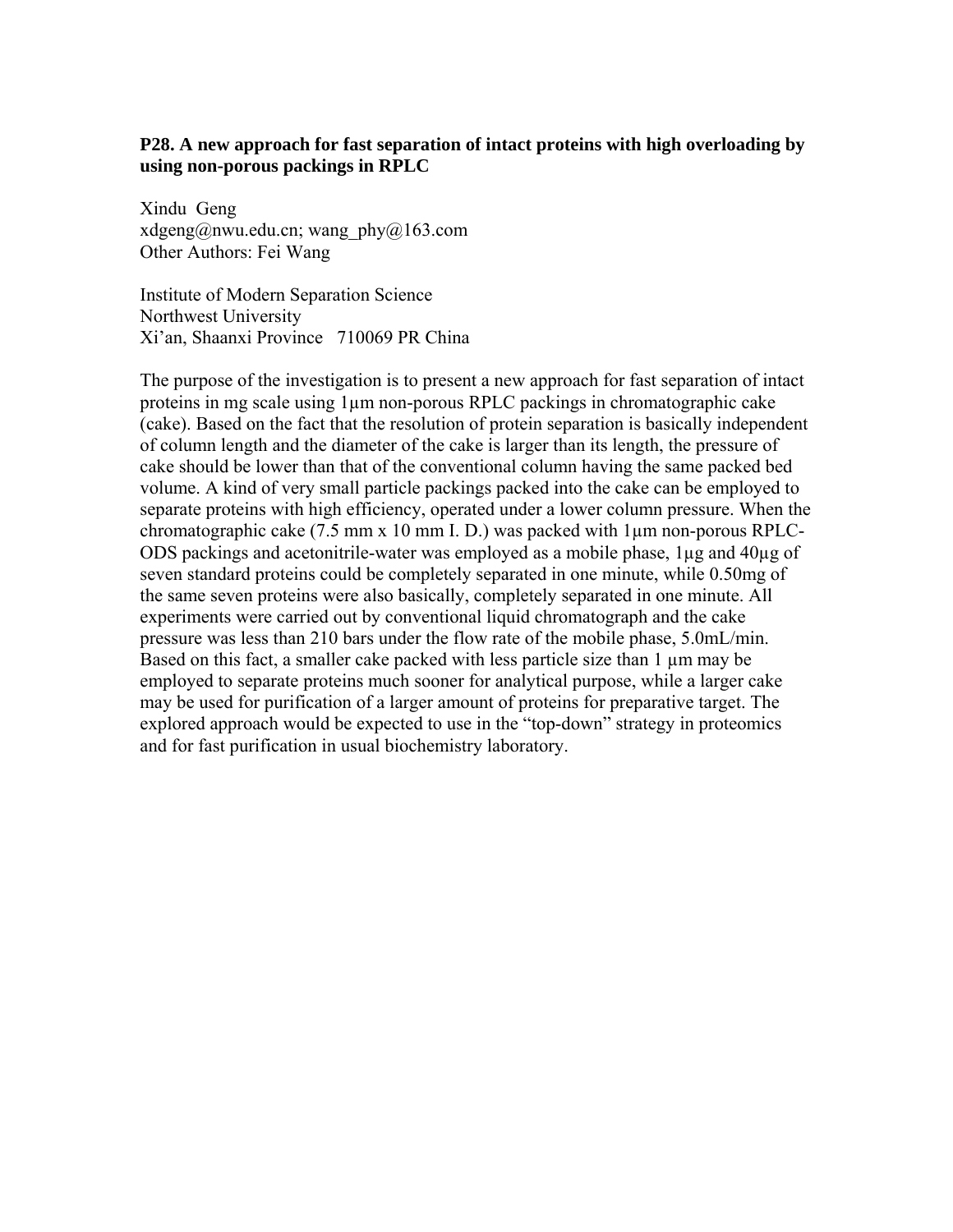# **P28. A new approach for fast separation of intact proteins with high overloading by using non-porous packings in RPLC**

Xindu Geng xdgeng@nwu.edu.cn; wang\_phy@163.com Other Authors: Fei Wang

Institute of Modern Separation Science Northwest University Xi'an, Shaanxi Province 710069 PR China

The purpose of the investigation is to present a new approach for fast separation of intact proteins in mg scale using 1µm non-porous RPLC packings in chromatographic cake (cake). Based on the fact that the resolution of protein separation is basically independent of column length and the diameter of the cake is larger than its length, the pressure of cake should be lower than that of the conventional column having the same packed bed volume. A kind of very small particle packings packed into the cake can be employed to separate proteins with high efficiency, operated under a lower column pressure. When the chromatographic cake (7.5 mm x 10 mm I. D.) was packed with 1µm non-porous RPLC-ODS packings and acetonitrile-water was employed as a mobile phase, 1µg and 40µg of seven standard proteins could be completely separated in one minute, while 0.50mg of the same seven proteins were also basically, completely separated in one minute. All experiments were carried out by conventional liquid chromatograph and the cake pressure was less than 210 bars under the flow rate of the mobile phase, 5.0mL/min. Based on this fact, a smaller cake packed with less particle size than  $1 \mu m$  may be employed to separate proteins much sooner for analytical purpose, while a larger cake may be used for purification of a larger amount of proteins for preparative target. The explored approach would be expected to use in the "top-down" strategy in proteomics and for fast purification in usual biochemistry laboratory.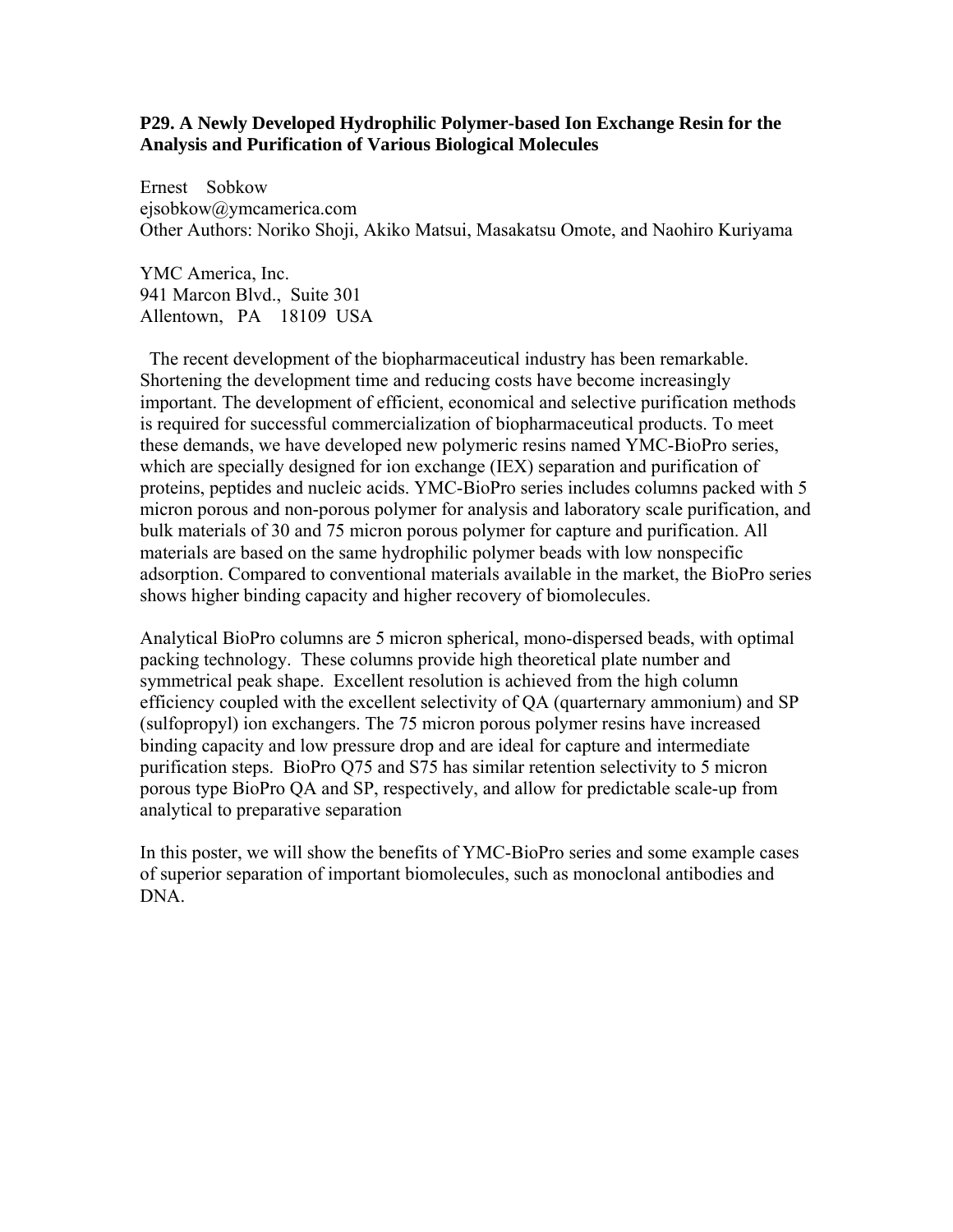## **P29. A Newly Developed Hydrophilic Polymer-based Ion Exchange Resin for the Analysis and Purification of Various Biological Molecules**

Ernest Sobkow ejsobkow@ymcamerica.com Other Authors: Noriko Shoji, Akiko Matsui, Masakatsu Omote, and Naohiro Kuriyama

YMC America, Inc. 941 Marcon Blvd., Suite 301 Allentown, PA 18109 USA

 The recent development of the biopharmaceutical industry has been remarkable. Shortening the development time and reducing costs have become increasingly important. The development of efficient, economical and selective purification methods is required for successful commercialization of biopharmaceutical products. To meet these demands, we have developed new polymeric resins named YMC-BioPro series, which are specially designed for ion exchange (IEX) separation and purification of proteins, peptides and nucleic acids. YMC-BioPro series includes columns packed with 5 micron porous and non-porous polymer for analysis and laboratory scale purification, and bulk materials of 30 and 75 micron porous polymer for capture and purification. All materials are based on the same hydrophilic polymer beads with low nonspecific adsorption. Compared to conventional materials available in the market, the BioPro series shows higher binding capacity and higher recovery of biomolecules.

Analytical BioPro columns are 5 micron spherical, mono-dispersed beads, with optimal packing technology. These columns provide high theoretical plate number and symmetrical peak shape. Excellent resolution is achieved from the high column efficiency coupled with the excellent selectivity of QA (quarternary ammonium) and SP (sulfopropyl) ion exchangers. The 75 micron porous polymer resins have increased binding capacity and low pressure drop and are ideal for capture and intermediate purification steps. BioPro Q75 and S75 has similar retention selectivity to 5 micron porous type BioPro QA and SP, respectively, and allow for predictable scale-up from analytical to preparative separation

In this poster, we will show the benefits of YMC-BioPro series and some example cases of superior separation of important biomolecules, such as monoclonal antibodies and DNA.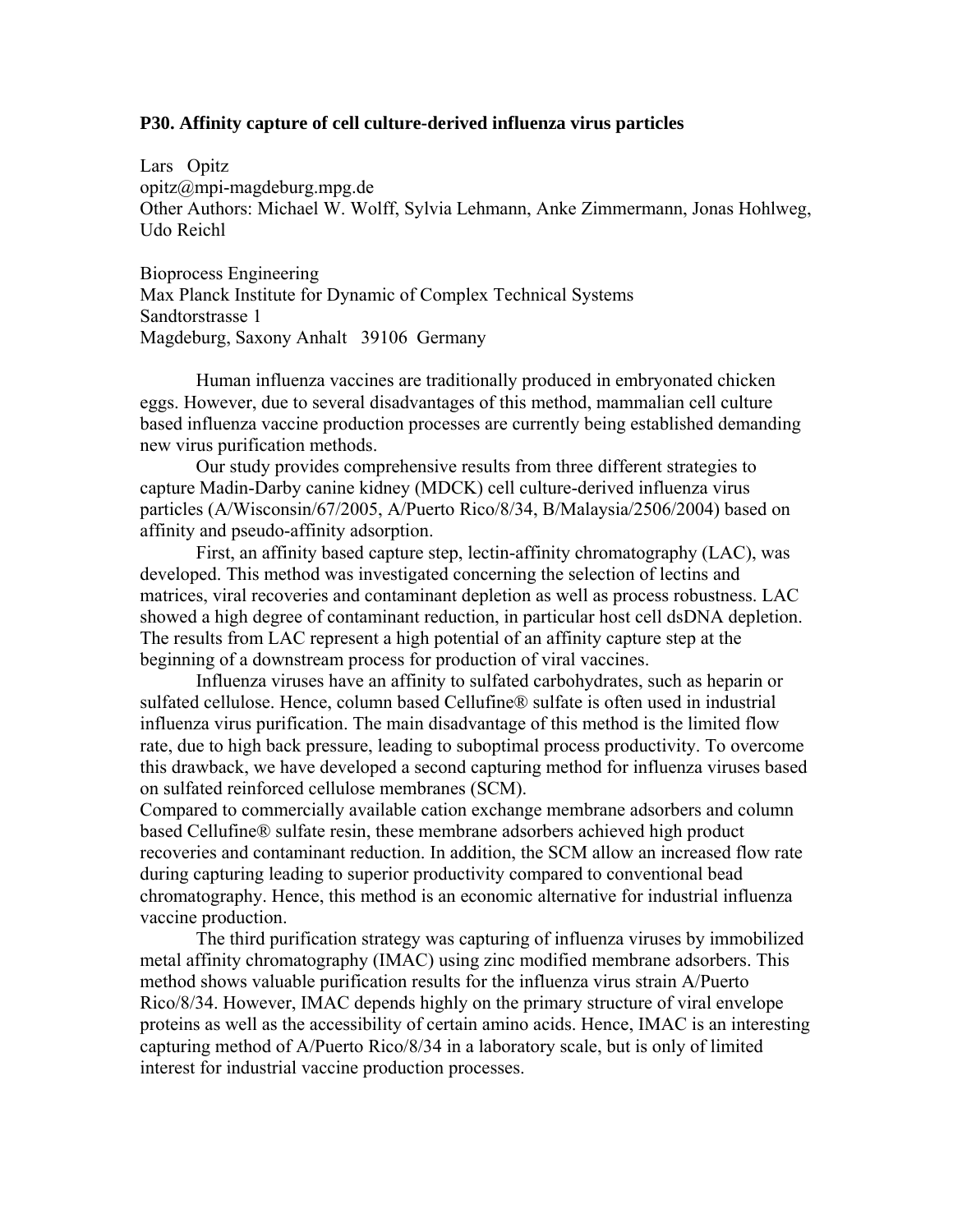#### **P30. Affinity capture of cell culture-derived influenza virus particles**

Lars Opitz opitz@mpi-magdeburg.mpg.de Other Authors: Michael W. Wolff, Sylvia Lehmann, Anke Zimmermann, Jonas Hohlweg, Udo Reichl

Bioprocess Engineering Max Planck Institute for Dynamic of Complex Technical Systems Sandtorstrasse 1 Magdeburg, Saxony Anhalt 39106 Germany

Human influenza vaccines are traditionally produced in embryonated chicken eggs. However, due to several disadvantages of this method, mammalian cell culture based influenza vaccine production processes are currently being established demanding new virus purification methods.

Our study provides comprehensive results from three different strategies to capture Madin-Darby canine kidney (MDCK) cell culture-derived influenza virus particles (A/Wisconsin/67/2005, A/Puerto Rico/8/34, B/Malaysia/2506/2004) based on affinity and pseudo-affinity adsorption.

First, an affinity based capture step, lectin-affinity chromatography (LAC), was developed. This method was investigated concerning the selection of lectins and matrices, viral recoveries and contaminant depletion as well as process robustness. LAC showed a high degree of contaminant reduction, in particular host cell dsDNA depletion. The results from LAC represent a high potential of an affinity capture step at the beginning of a downstream process for production of viral vaccines.

Influenza viruses have an affinity to sulfated carbohydrates, such as heparin or sulfated cellulose. Hence, column based Cellufine® sulfate is often used in industrial influenza virus purification. The main disadvantage of this method is the limited flow rate, due to high back pressure, leading to suboptimal process productivity. To overcome this drawback, we have developed a second capturing method for influenza viruses based on sulfated reinforced cellulose membranes (SCM).

Compared to commercially available cation exchange membrane adsorbers and column based Cellufine® sulfate resin, these membrane adsorbers achieved high product recoveries and contaminant reduction. In addition, the SCM allow an increased flow rate during capturing leading to superior productivity compared to conventional bead chromatography. Hence, this method is an economic alternative for industrial influenza vaccine production.

The third purification strategy was capturing of influenza viruses by immobilized metal affinity chromatography (IMAC) using zinc modified membrane adsorbers. This method shows valuable purification results for the influenza virus strain A/Puerto Rico/8/34. However, IMAC depends highly on the primary structure of viral envelope proteins as well as the accessibility of certain amino acids. Hence, IMAC is an interesting capturing method of A/Puerto Rico/8/34 in a laboratory scale, but is only of limited interest for industrial vaccine production processes.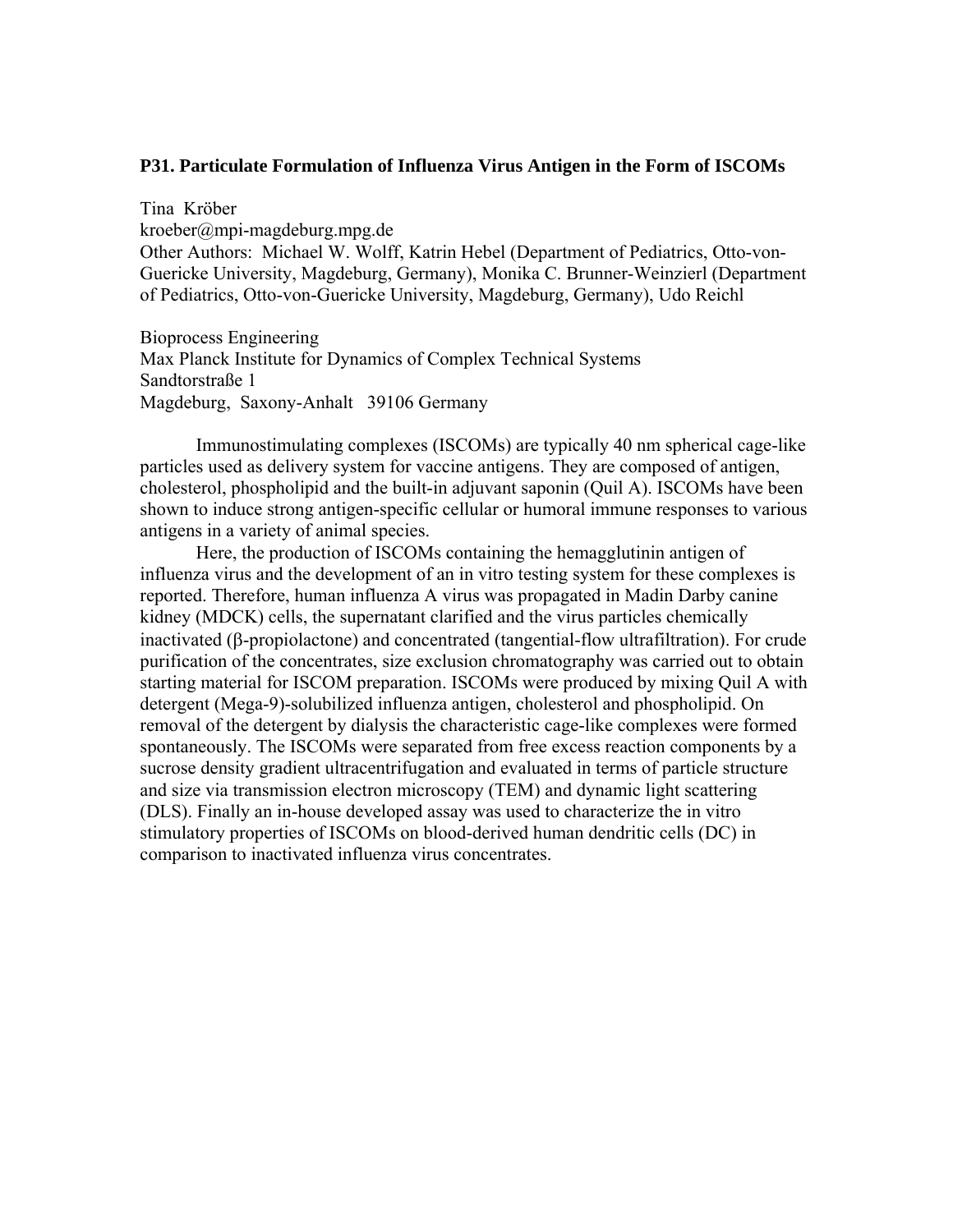### **P31. Particulate Formulation of Influenza Virus Antigen in the Form of ISCOMs**

Tina Kröber kroeber@mpi-magdeburg.mpg.de Other Authors: Michael W. Wolff, Katrin Hebel (Department of Pediatrics, Otto-von-Guericke University, Magdeburg, Germany), Monika C. Brunner-Weinzierl (Department of Pediatrics, Otto-von-Guericke University, Magdeburg, Germany), Udo Reichl

Bioprocess Engineering Max Planck Institute for Dynamics of Complex Technical Systems Sandtorstraße 1 Magdeburg, Saxony-Anhalt 39106 Germany

Immunostimulating complexes (ISCOMs) are typically 40 nm spherical cage-like particles used as delivery system for vaccine antigens. They are composed of antigen, cholesterol, phospholipid and the built-in adjuvant saponin (Quil A). ISCOMs have been shown to induce strong antigen-specific cellular or humoral immune responses to various antigens in a variety of animal species.

Here, the production of ISCOMs containing the hemagglutinin antigen of influenza virus and the development of an in vitro testing system for these complexes is reported. Therefore, human influenza A virus was propagated in Madin Darby canine kidney (MDCK) cells, the supernatant clarified and the virus particles chemically inactivated (β-propiolactone) and concentrated (tangential-flow ultrafiltration). For crude purification of the concentrates, size exclusion chromatography was carried out to obtain starting material for ISCOM preparation. ISCOMs were produced by mixing Quil A with detergent (Mega-9)-solubilized influenza antigen, cholesterol and phospholipid. On removal of the detergent by dialysis the characteristic cage-like complexes were formed spontaneously. The ISCOMs were separated from free excess reaction components by a sucrose density gradient ultracentrifugation and evaluated in terms of particle structure and size via transmission electron microscopy (TEM) and dynamic light scattering (DLS). Finally an in-house developed assay was used to characterize the in vitro stimulatory properties of ISCOMs on blood-derived human dendritic cells (DC) in comparison to inactivated influenza virus concentrates.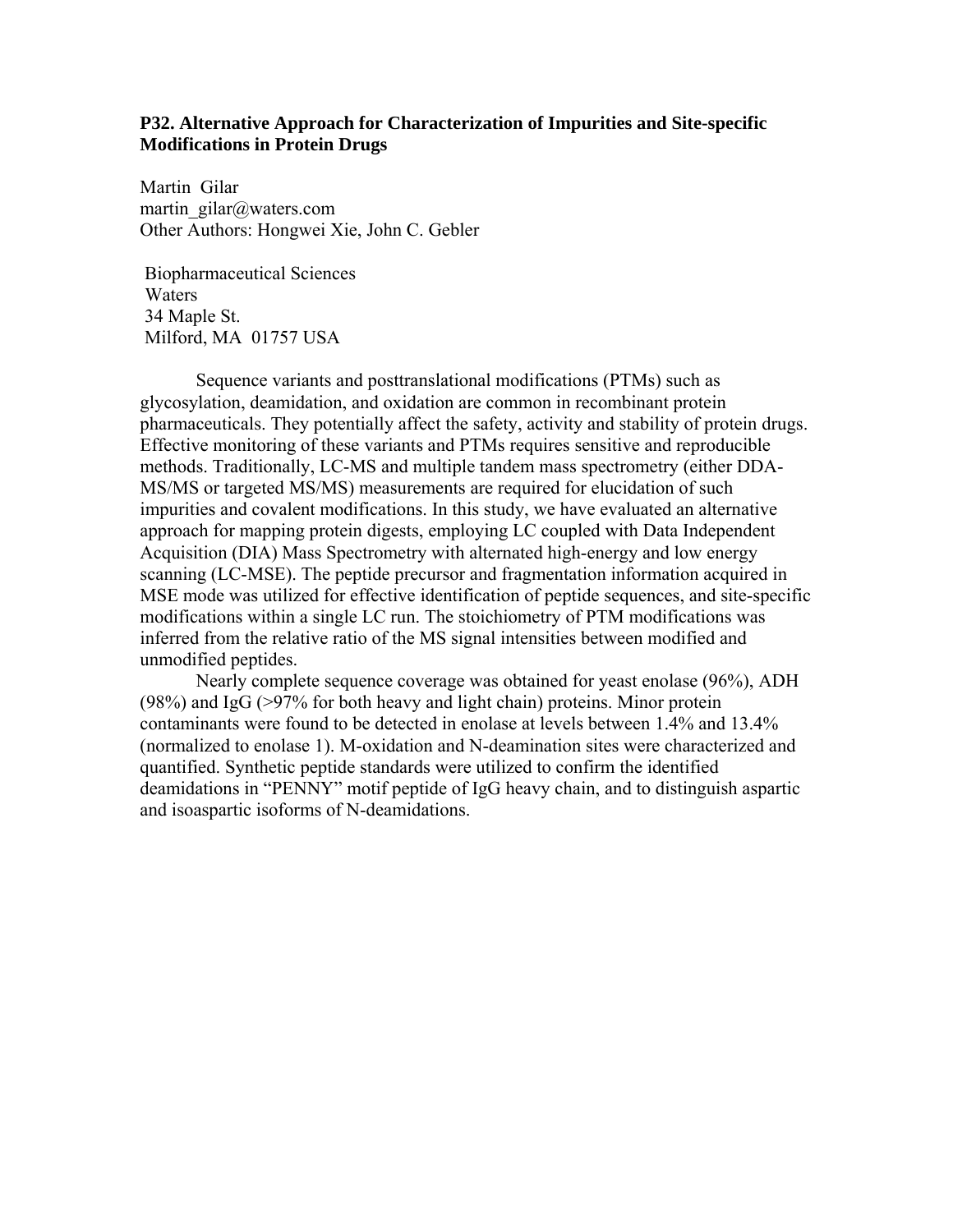## **P32. Alternative Approach for Characterization of Impurities and Site-specific Modifications in Protein Drugs**

Martin Gilar martin\_gilar@waters.com Other Authors: Hongwei Xie, John C. Gebler

 Biopharmaceutical Sciences Waters 34 Maple St. Milford, MA 01757 USA

Sequence variants and posttranslational modifications (PTMs) such as glycosylation, deamidation, and oxidation are common in recombinant protein pharmaceuticals. They potentially affect the safety, activity and stability of protein drugs. Effective monitoring of these variants and PTMs requires sensitive and reproducible methods. Traditionally, LC-MS and multiple tandem mass spectrometry (either DDA-MS/MS or targeted MS/MS) measurements are required for elucidation of such impurities and covalent modifications. In this study, we have evaluated an alternative approach for mapping protein digests, employing LC coupled with Data Independent Acquisition (DIA) Mass Spectrometry with alternated high-energy and low energy scanning (LC-MSE). The peptide precursor and fragmentation information acquired in MSE mode was utilized for effective identification of peptide sequences, and site-specific modifications within a single LC run. The stoichiometry of PTM modifications was inferred from the relative ratio of the MS signal intensities between modified and unmodified peptides.

Nearly complete sequence coverage was obtained for yeast enolase (96%), ADH (98%) and IgG ( $>97\%$  for both heavy and light chain) proteins. Minor protein contaminants were found to be detected in enolase at levels between 1.4% and 13.4% (normalized to enolase 1). M-oxidation and N-deamination sites were characterized and quantified. Synthetic peptide standards were utilized to confirm the identified deamidations in "PENNY" motif peptide of IgG heavy chain, and to distinguish aspartic and isoaspartic isoforms of N-deamidations.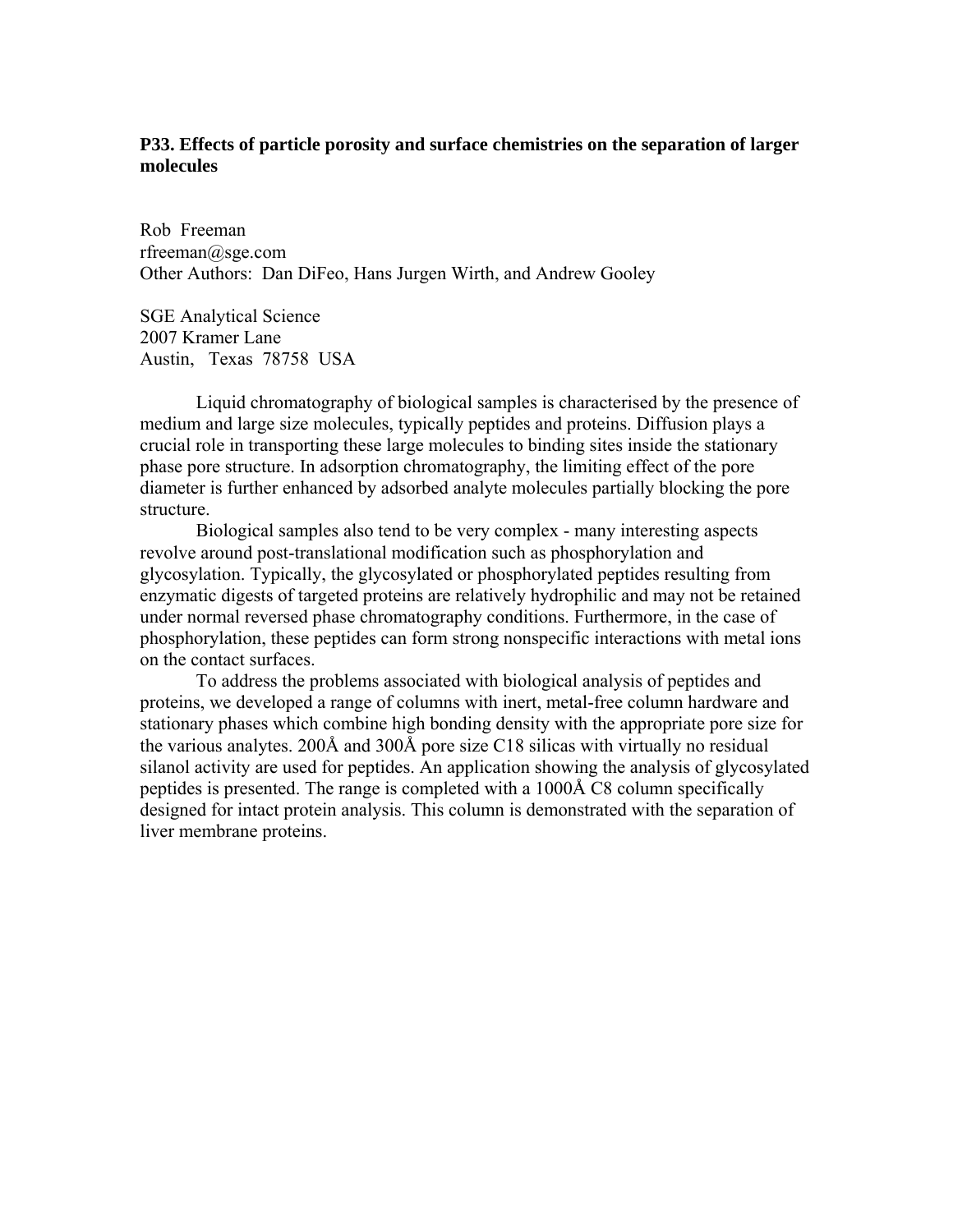# **P33. Effects of particle porosity and surface chemistries on the separation of larger molecules**

Rob Freeman rfreeman@sge.com Other Authors: Dan DiFeo, Hans Jurgen Wirth, and Andrew Gooley

SGE Analytical Science 2007 Kramer Lane Austin, Texas 78758 USA

Liquid chromatography of biological samples is characterised by the presence of medium and large size molecules, typically peptides and proteins. Diffusion plays a crucial role in transporting these large molecules to binding sites inside the stationary phase pore structure. In adsorption chromatography, the limiting effect of the pore diameter is further enhanced by adsorbed analyte molecules partially blocking the pore structure.

Biological samples also tend to be very complex - many interesting aspects revolve around post-translational modification such as phosphorylation and glycosylation. Typically, the glycosylated or phosphorylated peptides resulting from enzymatic digests of targeted proteins are relatively hydrophilic and may not be retained under normal reversed phase chromatography conditions. Furthermore, in the case of phosphorylation, these peptides can form strong nonspecific interactions with metal ions on the contact surfaces.

To address the problems associated with biological analysis of peptides and proteins, we developed a range of columns with inert, metal-free column hardware and stationary phases which combine high bonding density with the appropriate pore size for the various analytes. 200Å and 300Å pore size C18 silicas with virtually no residual silanol activity are used for peptides. An application showing the analysis of glycosylated peptides is presented. The range is completed with a 1000Å C8 column specifically designed for intact protein analysis. This column is demonstrated with the separation of liver membrane proteins.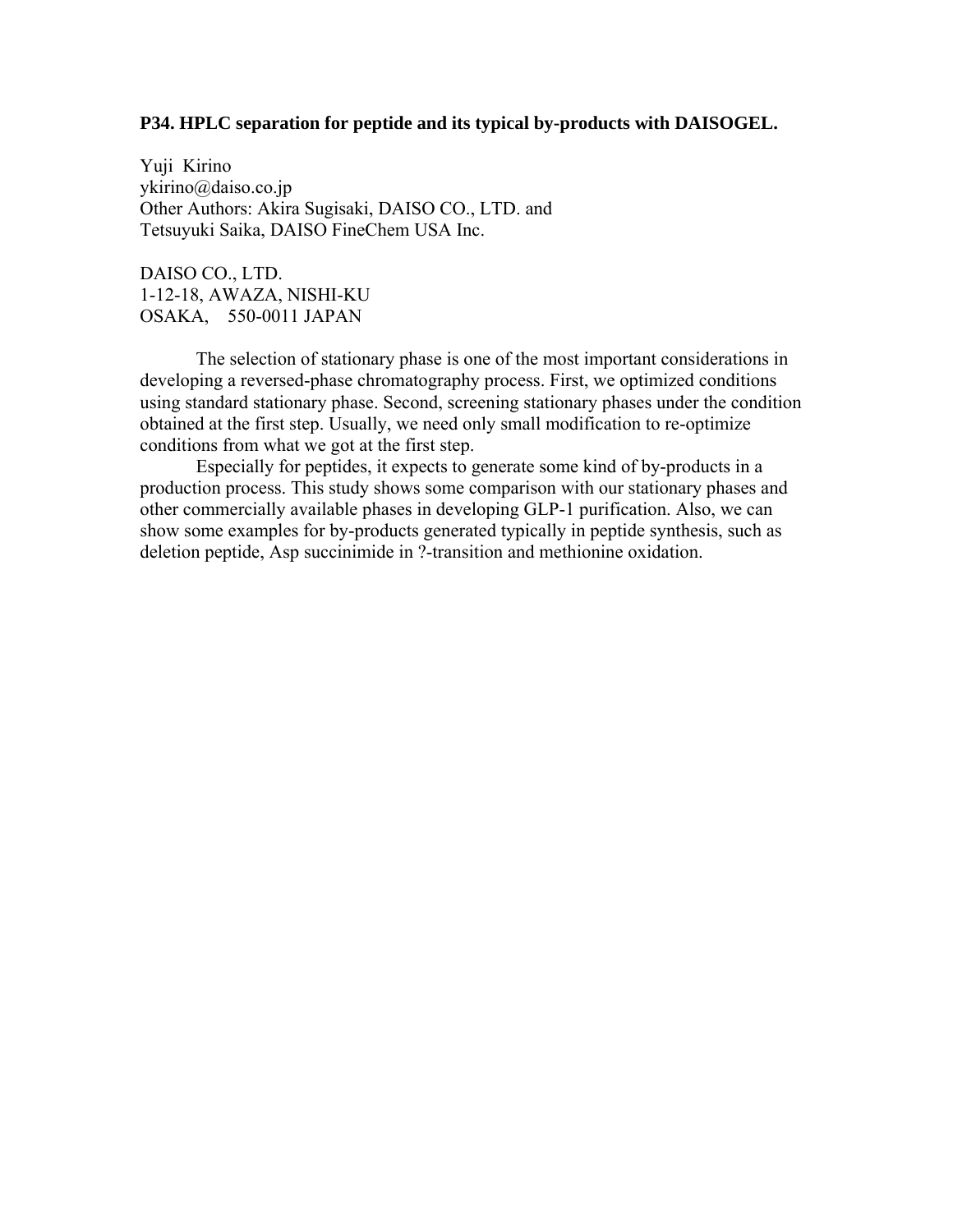### **P34. HPLC separation for peptide and its typical by-products with DAISOGEL.**

Yuji Kirino ykirino@daiso.co.jp Other Authors: Akira Sugisaki, DAISO CO., LTD. and Tetsuyuki Saika, DAISO FineChem USA Inc.

DAISO CO., LTD. 1-12-18, AWAZA, NISHI-KU OSAKA, 550-0011 JAPAN

The selection of stationary phase is one of the most important considerations in developing a reversed-phase chromatography process. First, we optimized conditions using standard stationary phase. Second, screening stationary phases under the condition obtained at the first step. Usually, we need only small modification to re-optimize conditions from what we got at the first step.

Especially for peptides, it expects to generate some kind of by-products in a production process. This study shows some comparison with our stationary phases and other commercially available phases in developing GLP-1 purification. Also, we can show some examples for by-products generated typically in peptide synthesis, such as deletion peptide, Asp succinimide in ?-transition and methionine oxidation.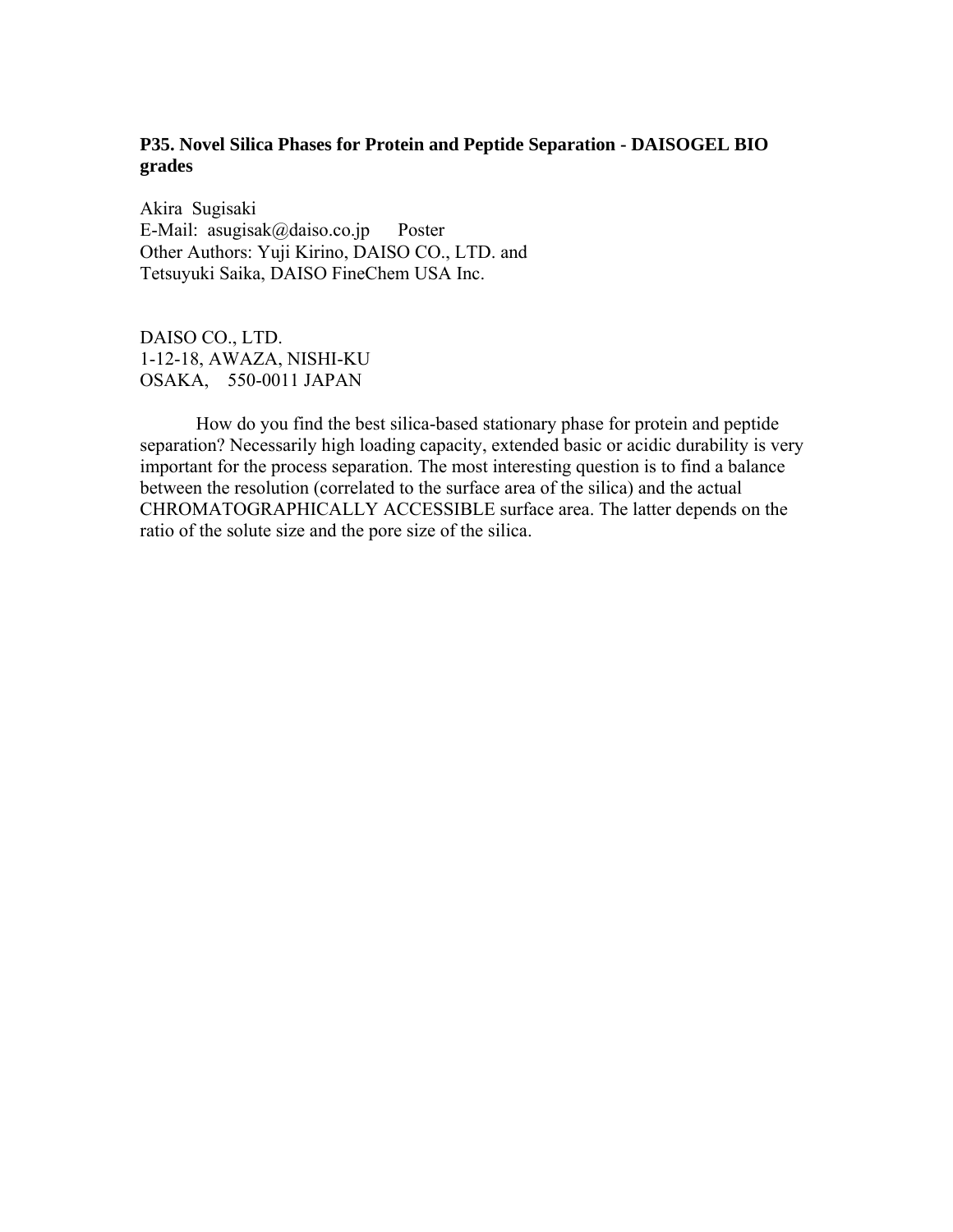# **P35. Novel Silica Phases for Protein and Peptide Separation - DAISOGEL BIO grades**

Akira Sugisaki E-Mail: asugisak@daiso.co.jp Poster Other Authors: Yuji Kirino, DAISO CO., LTD. and Tetsuyuki Saika, DAISO FineChem USA Inc.

DAISO CO., LTD. 1-12-18, AWAZA, NISHI-KU OSAKA, 550-0011 JAPAN

How do you find the best silica-based stationary phase for protein and peptide separation? Necessarily high loading capacity, extended basic or acidic durability is very important for the process separation. The most interesting question is to find a balance between the resolution (correlated to the surface area of the silica) and the actual CHROMATOGRAPHICALLY ACCESSIBLE surface area. The latter depends on the ratio of the solute size and the pore size of the silica.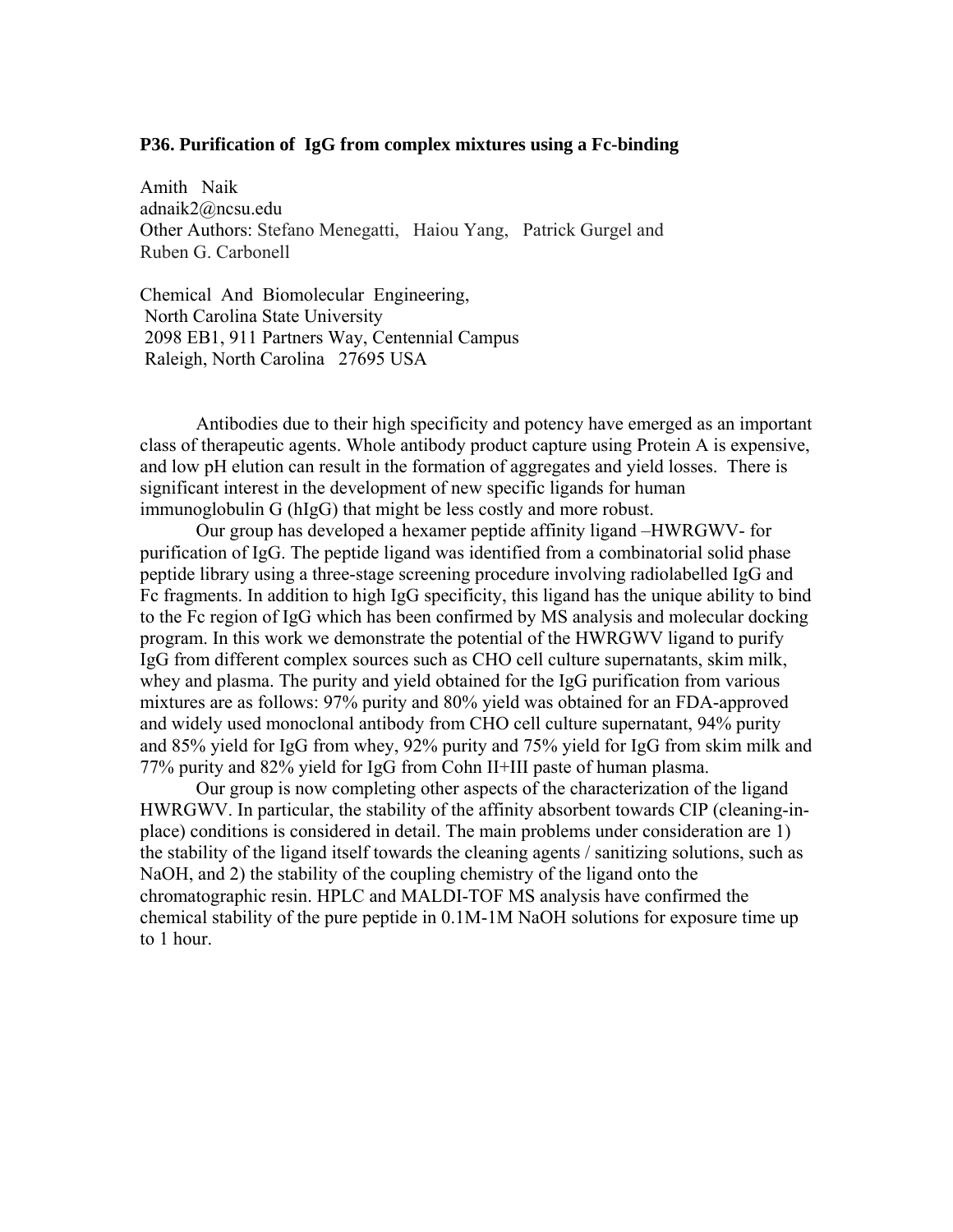#### **P36. Purification of IgG from complex mixtures using a Fc-binding**

Amith Naik adnaik2@ncsu.edu Other Authors: Stefano Menegatti, Haiou Yang, Patrick Gurgel and Ruben G. Carbonell

Chemical And Biomolecular Engineering, North Carolina State University 2098 EB1, 911 Partners Way, Centennial Campus Raleigh, North Carolina 27695 USA

Antibodies due to their high specificity and potency have emerged as an important class of therapeutic agents. Whole antibody product capture using Protein A is expensive, and low pH elution can result in the formation of aggregates and yield losses. There is significant interest in the development of new specific ligands for human immunoglobulin G (hIgG) that might be less costly and more robust.

Our group has developed a hexamer peptide affinity ligand –HWRGWV- for purification of IgG. The peptide ligand was identified from a combinatorial solid phase peptide library using a three-stage screening procedure involving radiolabelled IgG and Fc fragments. In addition to high IgG specificity, this ligand has the unique ability to bind to the Fc region of IgG which has been confirmed by MS analysis and molecular docking program. In this work we demonstrate the potential of the HWRGWV ligand to purify IgG from different complex sources such as CHO cell culture supernatants, skim milk, whey and plasma. The purity and yield obtained for the IgG purification from various mixtures are as follows: 97% purity and 80% yield was obtained for an FDA-approved and widely used monoclonal antibody from CHO cell culture supernatant, 94% purity and 85% yield for IgG from whey, 92% purity and 75% yield for IgG from skim milk and 77% purity and 82% yield for IgG from Cohn II+III paste of human plasma.

Our group is now completing other aspects of the characterization of the ligand HWRGWV. In particular, the stability of the affinity absorbent towards CIP (cleaning-inplace) conditions is considered in detail. The main problems under consideration are 1) the stability of the ligand itself towards the cleaning agents / sanitizing solutions, such as NaOH, and 2) the stability of the coupling chemistry of the ligand onto the chromatographic resin. HPLC and MALDI-TOF MS analysis have confirmed the chemical stability of the pure peptide in 0.1M-1M NaOH solutions for exposure time up to 1 hour.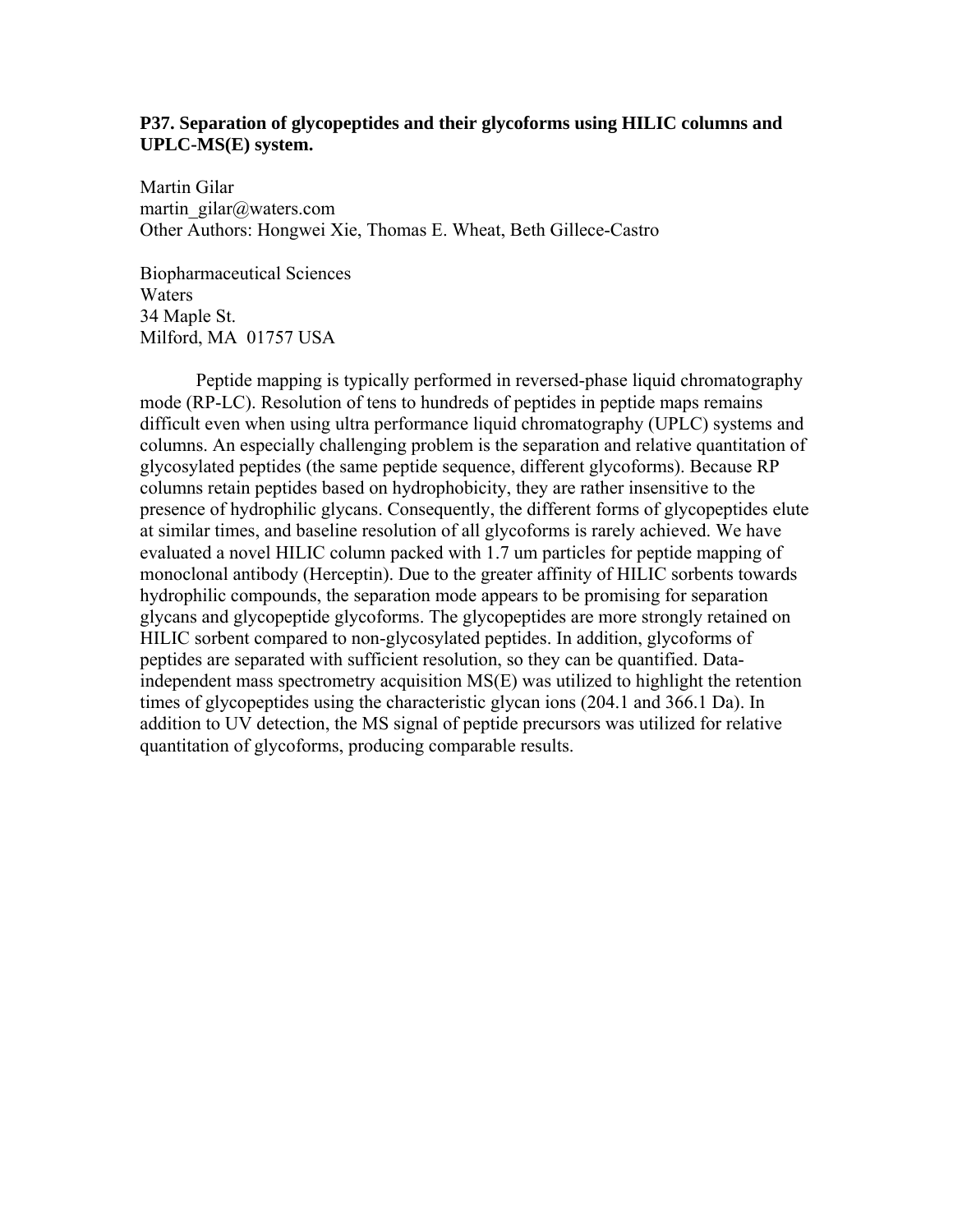# **P37. Separation of glycopeptides and their glycoforms using HILIC columns and UPLC-MS(E) system.**

Martin Gilar martin\_gilar@waters.com Other Authors: Hongwei Xie, Thomas E. Wheat, Beth Gillece-Castro

Biopharmaceutical Sciences Waters 34 Maple St. Milford, MA 01757 USA

Peptide mapping is typically performed in reversed-phase liquid chromatography mode (RP-LC). Resolution of tens to hundreds of peptides in peptide maps remains difficult even when using ultra performance liquid chromatography (UPLC) systems and columns. An especially challenging problem is the separation and relative quantitation of glycosylated peptides (the same peptide sequence, different glycoforms). Because RP columns retain peptides based on hydrophobicity, they are rather insensitive to the presence of hydrophilic glycans. Consequently, the different forms of glycopeptides elute at similar times, and baseline resolution of all glycoforms is rarely achieved. We have evaluated a novel HILIC column packed with 1.7 um particles for peptide mapping of monoclonal antibody (Herceptin). Due to the greater affinity of HILIC sorbents towards hydrophilic compounds, the separation mode appears to be promising for separation glycans and glycopeptide glycoforms. The glycopeptides are more strongly retained on HILIC sorbent compared to non-glycosylated peptides. In addition, glycoforms of peptides are separated with sufficient resolution, so they can be quantified. Dataindependent mass spectrometry acquisition MS(E) was utilized to highlight the retention times of glycopeptides using the characteristic glycan ions (204.1 and 366.1 Da). In addition to UV detection, the MS signal of peptide precursors was utilized for relative quantitation of glycoforms, producing comparable results.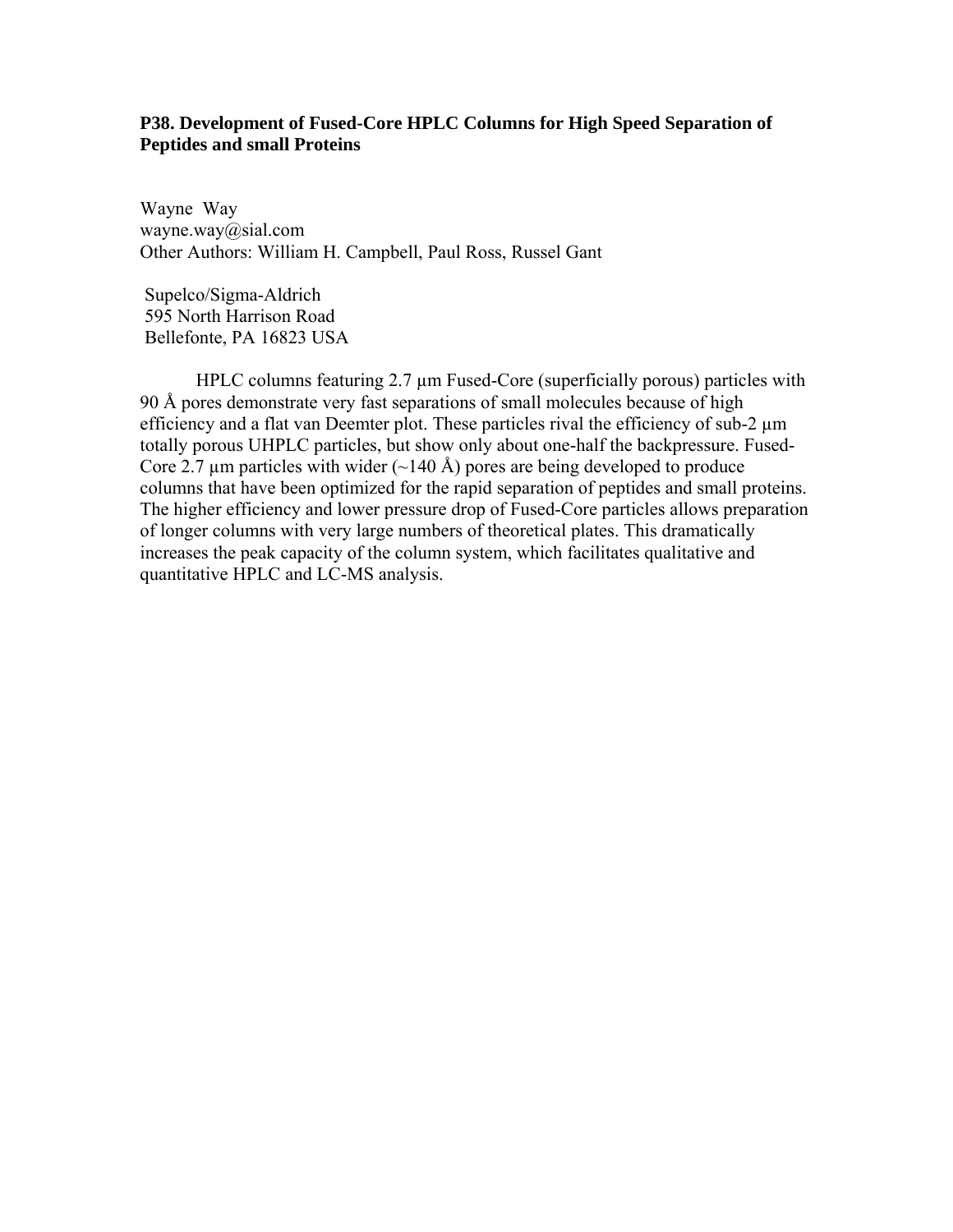## **P38. Development of Fused-Core HPLC Columns for High Speed Separation of Peptides and small Proteins**

Wayne Way wayne.way@sial.com Other Authors: William H. Campbell, Paul Ross, Russel Gant

 Supelco/Sigma-Aldrich 595 North Harrison Road Bellefonte, PA 16823 USA

HPLC columns featuring 2.7  $\mu$ m Fused-Core (superficially porous) particles with 90 Å pores demonstrate very fast separations of small molecules because of high efficiency and a flat van Deemter plot. These particles rival the efficiency of sub-2 µm totally porous UHPLC particles, but show only about one-half the backpressure. Fused-Core 2.7  $\mu$ m particles with wider (~140 Å) pores are being developed to produce columns that have been optimized for the rapid separation of peptides and small proteins. The higher efficiency and lower pressure drop of Fused-Core particles allows preparation of longer columns with very large numbers of theoretical plates. This dramatically increases the peak capacity of the column system, which facilitates qualitative and quantitative HPLC and LC-MS analysis.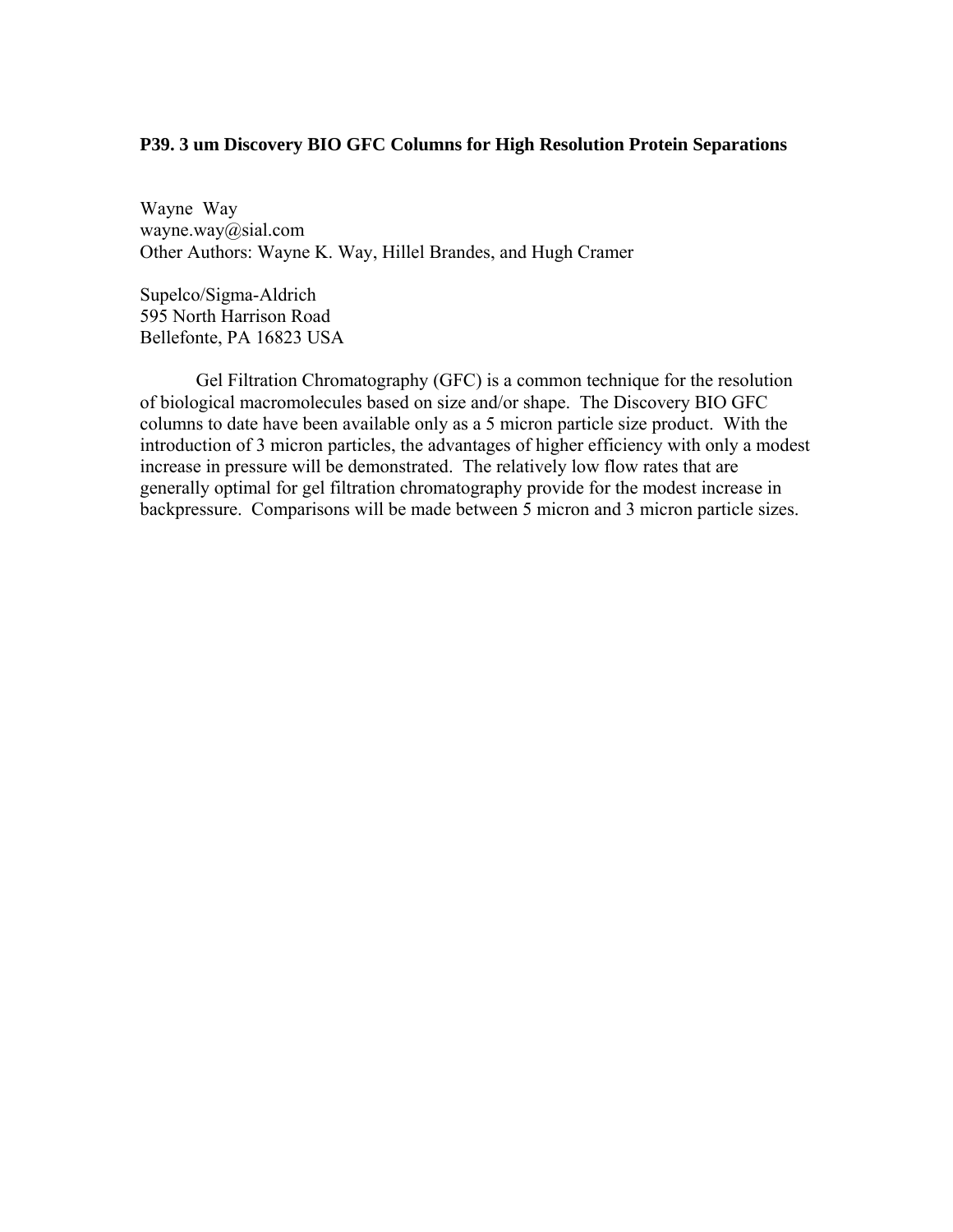### **P39. 3 um Discovery BIO GFC Columns for High Resolution Protein Separations**

Wayne Way wayne.way@sial.com Other Authors: Wayne K. Way, Hillel Brandes, and Hugh Cramer

Supelco/Sigma-Aldrich 595 North Harrison Road Bellefonte, PA 16823 USA

Gel Filtration Chromatography (GFC) is a common technique for the resolution of biological macromolecules based on size and/or shape. The Discovery BIO GFC columns to date have been available only as a 5 micron particle size product. With the introduction of 3 micron particles, the advantages of higher efficiency with only a modest increase in pressure will be demonstrated. The relatively low flow rates that are generally optimal for gel filtration chromatography provide for the modest increase in backpressure. Comparisons will be made between 5 micron and 3 micron particle sizes.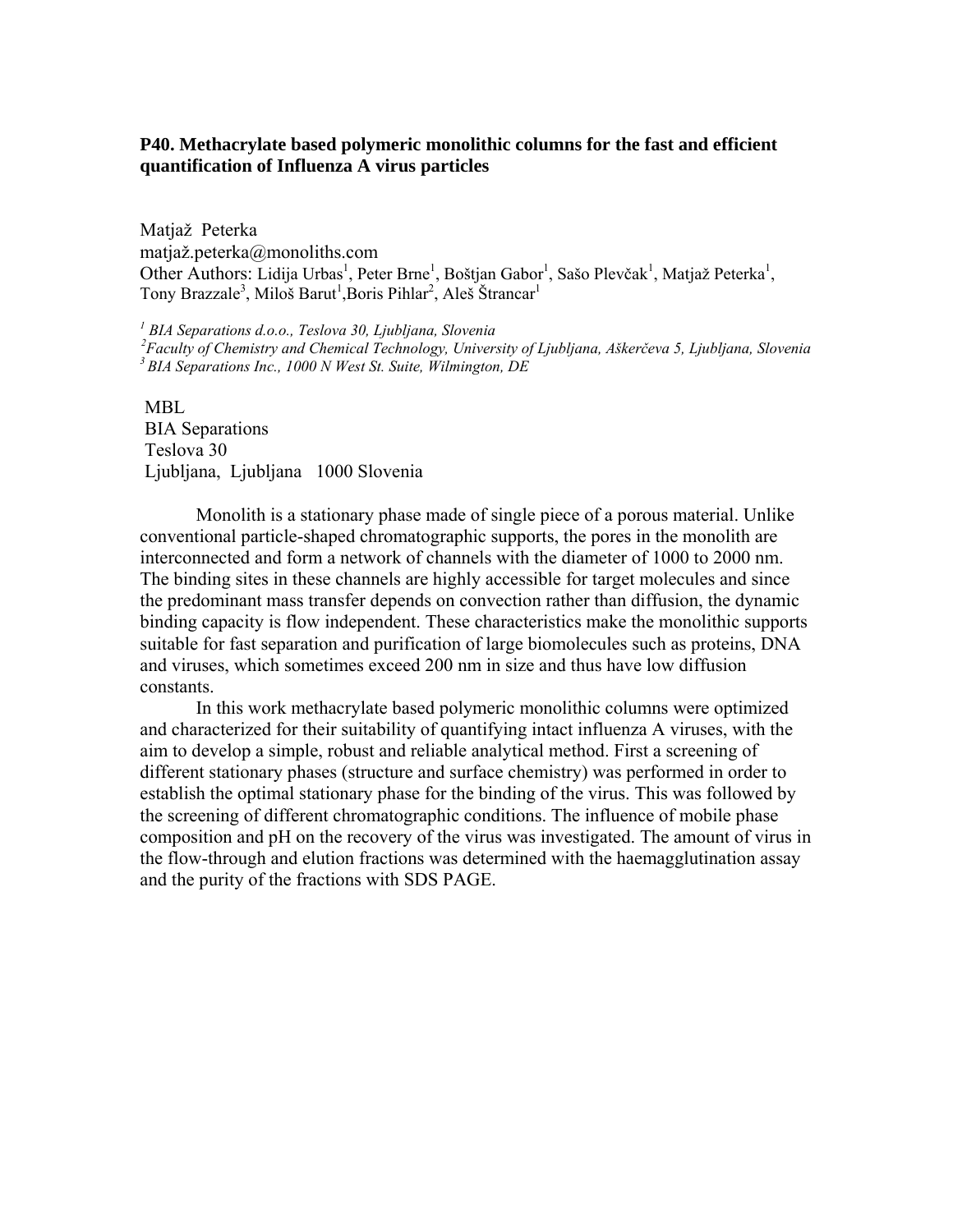# **P40. Methacrylate based polymeric monolithic columns for the fast and efficient quantification of Influenza A virus particles**

Matjaž Peterka matjaž.peterka@monoliths.com Other Authors: Lidija Urbas<sup>1</sup>, Peter Brne<sup>1</sup>, Boštjan Gabor<sup>1</sup>, Sašo Plevčak<sup>1</sup>, Matjaž Peterka<sup>1</sup>, Tony Brazzale<sup>3</sup>, Miloš Barut<sup>1</sup>, Boris Pihlar<sup>2</sup>, Aleš Štrancar<sup>1</sup>

<sup>1</sup> BIA Separations d.o.o., Teslova 30, Ljubljana, Slovenia

<sup>2</sup> Faculty of Chemistry and Chemical Technology, University of Ljubljana, Aškerčeva 5, Ljubljana, Slovenia<br><sup>3</sup> BIA Separations Inc., 1000 N West St. Suite, Wilmington, DE

MBL. BIA Separations Teslova 30 Ljubljana, Ljubljana 1000 Slovenia

Monolith is a stationary phase made of single piece of a porous material. Unlike conventional particle-shaped chromatographic supports, the pores in the monolith are interconnected and form a network of channels with the diameter of 1000 to 2000 nm. The binding sites in these channels are highly accessible for target molecules and since the predominant mass transfer depends on convection rather than diffusion, the dynamic binding capacity is flow independent. These characteristics make the monolithic supports suitable for fast separation and purification of large biomolecules such as proteins, DNA and viruses, which sometimes exceed 200 nm in size and thus have low diffusion constants.

In this work methacrylate based polymeric monolithic columns were optimized and characterized for their suitability of quantifying intact influenza A viruses, with the aim to develop a simple, robust and reliable analytical method. First a screening of different stationary phases (structure and surface chemistry) was performed in order to establish the optimal stationary phase for the binding of the virus. This was followed by the screening of different chromatographic conditions. The influence of mobile phase composition and pH on the recovery of the virus was investigated. The amount of virus in the flow-through and elution fractions was determined with the haemagglutination assay and the purity of the fractions with SDS PAGE.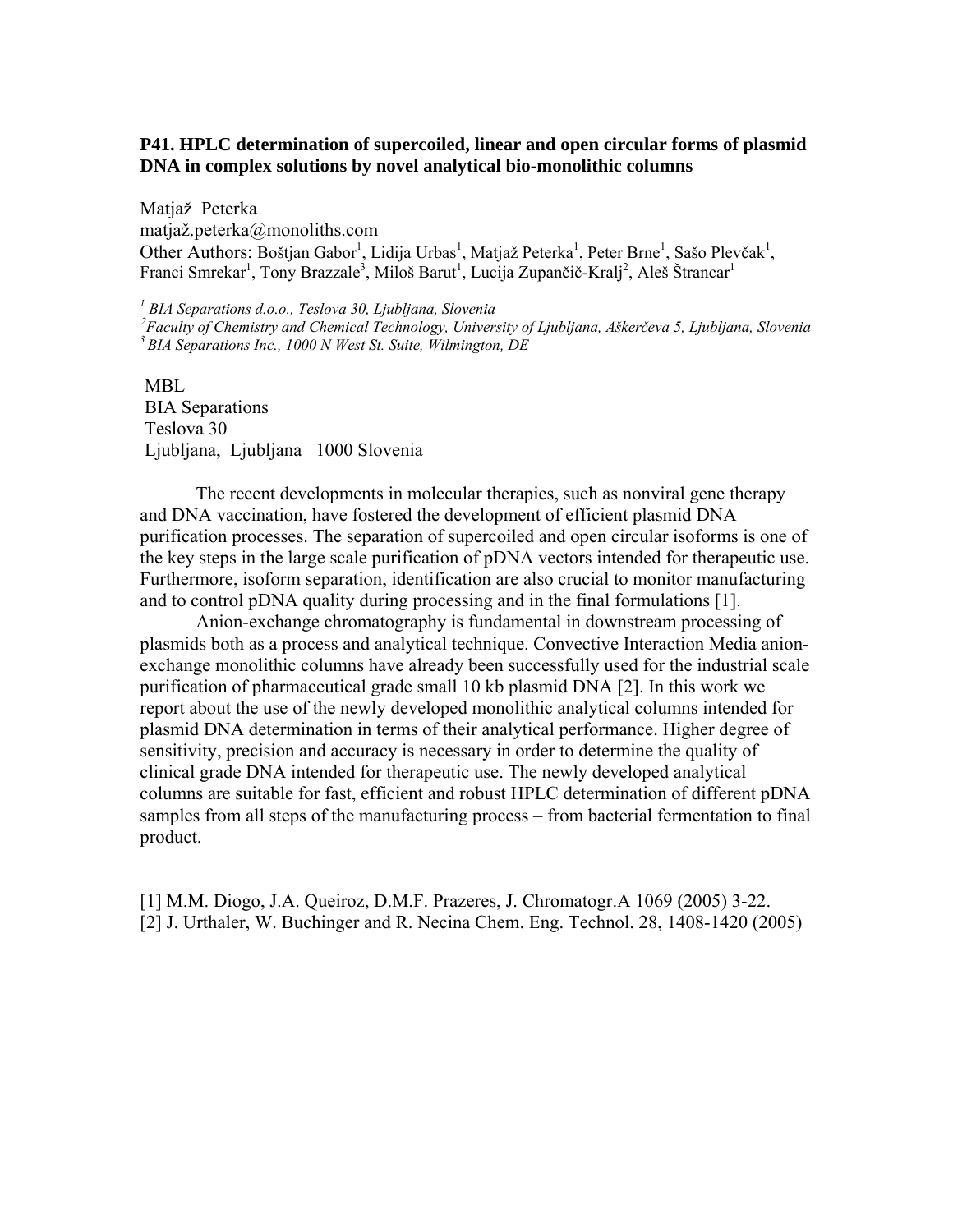# **P41. HPLC determination of supercoiled, linear and open circular forms of plasmid DNA in complex solutions by novel analytical bio-monolithic columns**

Matjaž Peterka matjaž.peterka@monoliths.com Other Authors: Boštjan Gabor<sup>1</sup>, Lidija Urbas<sup>1</sup>, Matjaž Peterka<sup>1</sup>, Peter Brne<sup>1</sup>, Sašo Plevčak<sup>1</sup>, Franci Smrekar<sup>1</sup>, Tony Brazzale<sup>3</sup>, Miloš Barut<sup>1</sup>, Lucija Zupančič-Kralj<sup>2</sup>, Aleš Štrancar<sup>1</sup>

<sup>1</sup> BIA Separations d.o.o., Teslova 30, Ljubljana, Slovenia <sup>2</sup> Faculty of Chemistry and Chemical Technology, University of Ljubljana, Aškerčeva 5, Ljubljana, Slovenia<br><sup>3</sup> BIA Separations Inc., 1000 N West St. Suite, Wilmington, DE

 MBL BIA Separations Teslova 30 Ljubljana, Ljubljana 1000 Slovenia

The recent developments in molecular therapies, such as nonviral gene therapy and DNA vaccination, have fostered the development of efficient plasmid DNA purification processes. The separation of supercoiled and open circular isoforms is one of the key steps in the large scale purification of pDNA vectors intended for therapeutic use. Furthermore, isoform separation, identification are also crucial to monitor manufacturing and to control pDNA quality during processing and in the final formulations [1].

Anion-exchange chromatography is fundamental in downstream processing of plasmids both as a process and analytical technique. Convective Interaction Media anionexchange monolithic columns have already been successfully used for the industrial scale purification of pharmaceutical grade small 10 kb plasmid DNA [2]. In this work we report about the use of the newly developed monolithic analytical columns intended for plasmid DNA determination in terms of their analytical performance. Higher degree of sensitivity, precision and accuracy is necessary in order to determine the quality of clinical grade DNA intended for therapeutic use. The newly developed analytical columns are suitable for fast, efficient and robust HPLC determination of different pDNA samples from all steps of the manufacturing process – from bacterial fermentation to final product.

[1] M.M. Diogo, J.A. Queiroz, D.M.F. Prazeres, J. Chromatogr.A 1069 (2005) 3-22. [2] J. Urthaler, W. Buchinger and R. Necina Chem. Eng. Technol. 28, 1408-1420 (2005)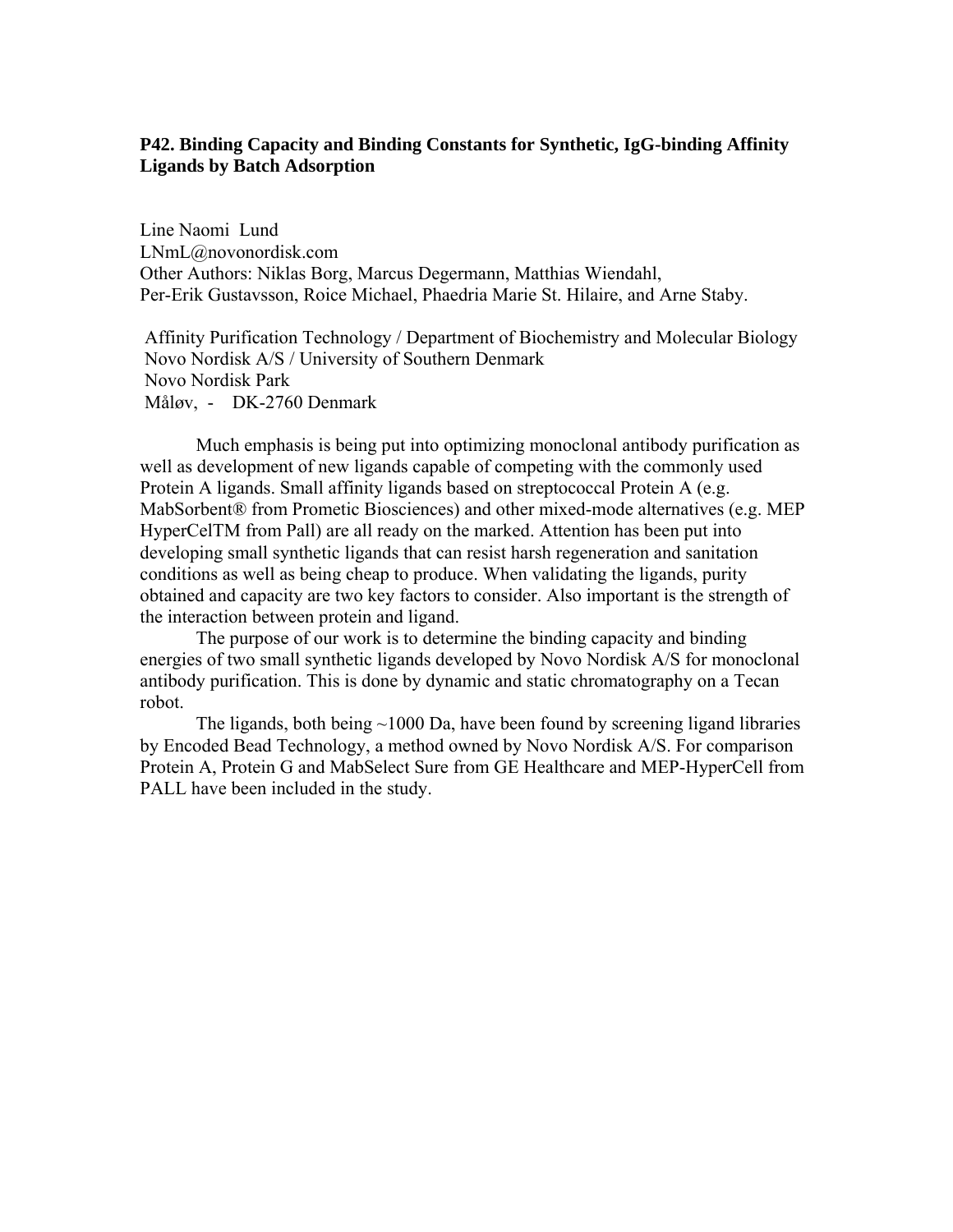# **P42. Binding Capacity and Binding Constants for Synthetic, IgG-binding Affinity Ligands by Batch Adsorption**

Line Naomi Lund LNmL@novonordisk.com Other Authors: Niklas Borg, Marcus Degermann, Matthias Wiendahl, Per-Erik Gustavsson, Roice Michael, Phaedria Marie St. Hilaire, and Arne Staby.

 Affinity Purification Technology / Department of Biochemistry and Molecular Biology Novo Nordisk A/S / University of Southern Denmark Novo Nordisk Park Måløv, - DK-2760 Denmark

Much emphasis is being put into optimizing monoclonal antibody purification as well as development of new ligands capable of competing with the commonly used Protein A ligands. Small affinity ligands based on streptococcal Protein A (e.g. MabSorbent® from Prometic Biosciences) and other mixed-mode alternatives (e.g. MEP HyperCelTM from Pall) are all ready on the marked. Attention has been put into developing small synthetic ligands that can resist harsh regeneration and sanitation conditions as well as being cheap to produce. When validating the ligands, purity obtained and capacity are two key factors to consider. Also important is the strength of the interaction between protein and ligand.

The purpose of our work is to determine the binding capacity and binding energies of two small synthetic ligands developed by Novo Nordisk A/S for monoclonal antibody purification. This is done by dynamic and static chromatography on a Tecan robot.

The ligands, both being  $\sim$ 1000 Da, have been found by screening ligand libraries by Encoded Bead Technology, a method owned by Novo Nordisk A/S. For comparison Protein A, Protein G and MabSelect Sure from GE Healthcare and MEP-HyperCell from PALL have been included in the study.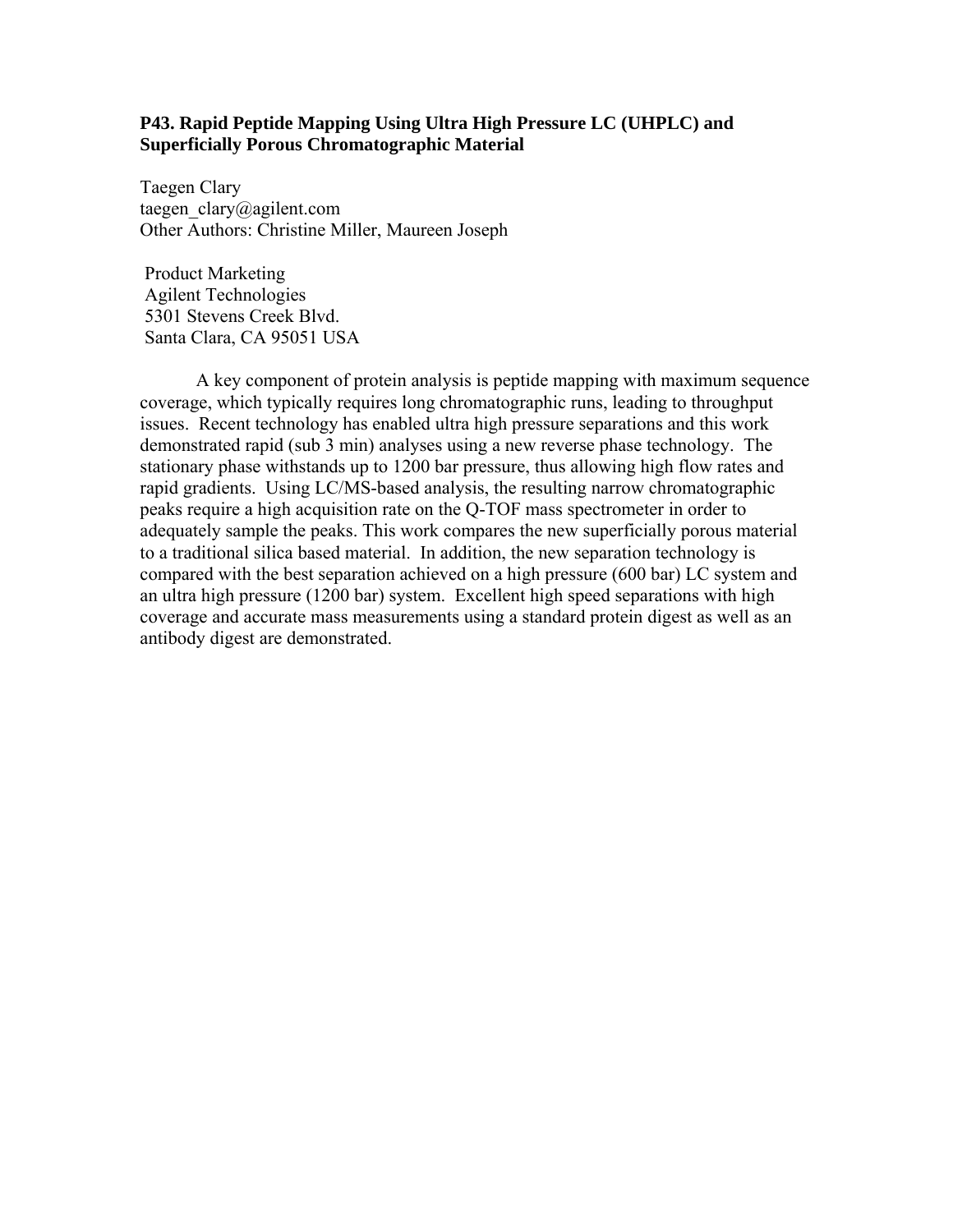## **P43. Rapid Peptide Mapping Using Ultra High Pressure LC (UHPLC) and Superficially Porous Chromatographic Material**

Taegen Clary taegen  $clary@a$ gilent.com Other Authors: Christine Miller, Maureen Joseph

 Product Marketing Agilent Technologies 5301 Stevens Creek Blvd. Santa Clara, CA 95051 USA

A key component of protein analysis is peptide mapping with maximum sequence coverage, which typically requires long chromatographic runs, leading to throughput issues. Recent technology has enabled ultra high pressure separations and this work demonstrated rapid (sub 3 min) analyses using a new reverse phase technology. The stationary phase withstands up to 1200 bar pressure, thus allowing high flow rates and rapid gradients. Using LC/MS-based analysis, the resulting narrow chromatographic peaks require a high acquisition rate on the Q-TOF mass spectrometer in order to adequately sample the peaks. This work compares the new superficially porous material to a traditional silica based material. In addition, the new separation technology is compared with the best separation achieved on a high pressure (600 bar) LC system and an ultra high pressure (1200 bar) system. Excellent high speed separations with high coverage and accurate mass measurements using a standard protein digest as well as an antibody digest are demonstrated.